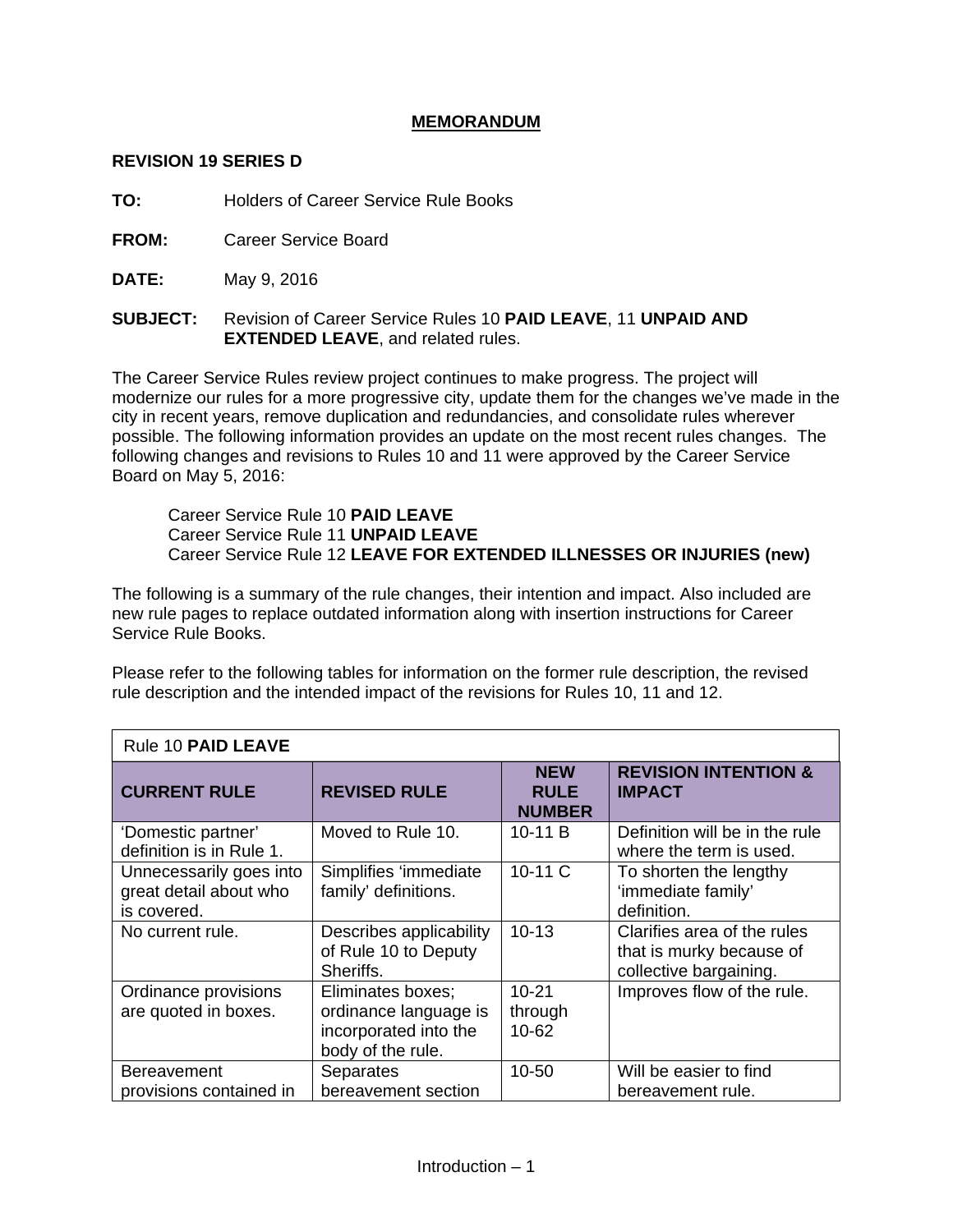## **MEMORANDUM**

#### **REVISION 19 SERIES D**

**TO:** Holders of Career Service Rule Books

**FROM:** Career Service Board

**DATE:** May 9, 2016

**SUBJECT:** Revision of Career Service Rules 10 **PAID LEAVE**, 11 **UNPAID AND EXTENDED LEAVE.** and related rules.

The Career Service Rules review project continues to make progress. The project will modernize our rules for a more progressive city, update them for the changes we've made in the city in recent years, remove duplication and redundancies, and consolidate rules wherever possible. The following information provides an update on the most recent rules changes. The following changes and revisions to Rules 10 and 11 were approved by the Career Service Board on May 5, 2016:

Career Service Rule 10 **PAID LEAVE** Career Service Rule 11 **UNPAID LEAVE** Career Service Rule 12 **LEAVE FOR EXTENDED ILLNESSES OR INJURIES (new)**

The following is a summary of the rule changes, their intention and impact. Also included are new rule pages to replace outdated information along with insertion instructions for Career Service Rule Books.

Please refer to the following tables for information on the former rule description, the revised rule description and the intended impact of the revisions for Rules 10, 11 and 12.

| Rule 10 PAID LEAVE                                               |                                                                                          |                                            |                                                                                   |  |  |
|------------------------------------------------------------------|------------------------------------------------------------------------------------------|--------------------------------------------|-----------------------------------------------------------------------------------|--|--|
| <b>CURRENT RULE</b>                                              | <b>REVISED RULE</b>                                                                      | <b>NEW</b><br><b>RULE</b><br><b>NUMBER</b> | <b>REVISION INTENTION &amp;</b><br><b>IMPACT</b>                                  |  |  |
| 'Domestic partner'<br>definition is in Rule 1.                   | Moved to Rule 10.                                                                        | 10-11 B                                    | Definition will be in the rule<br>where the term is used.                         |  |  |
| Unnecessarily goes into<br>great detail about who<br>is covered. | Simplifies 'immediate<br>family' definitions.                                            | 10-11 C                                    | To shorten the lengthy<br>'immediate family'<br>definition.                       |  |  |
| No current rule.                                                 | Describes applicability<br>of Rule 10 to Deputy<br>Sheriffs.                             | $10 - 13$                                  | Clarifies area of the rules<br>that is murky because of<br>collective bargaining. |  |  |
| Ordinance provisions<br>are quoted in boxes.                     | Eliminates boxes;<br>ordinance language is<br>incorporated into the<br>body of the rule. | $10 - 21$<br>through<br>$10 - 62$          | Improves flow of the rule.                                                        |  |  |
| <b>Bereavement</b><br>provisions contained in                    | Separates<br>bereavement section                                                         | 10-50                                      | Will be easier to find<br>bereavement rule.                                       |  |  |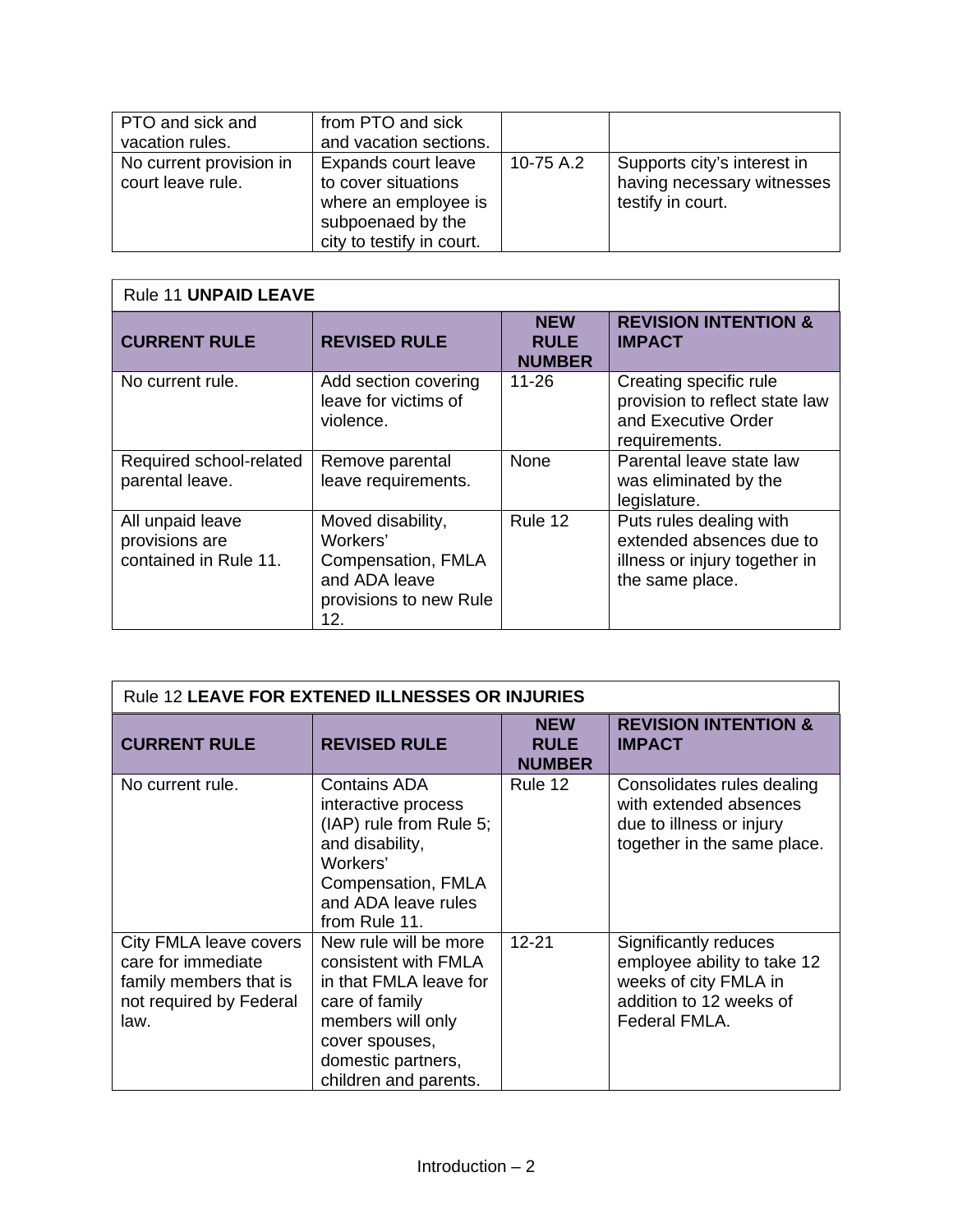| PTO and sick and<br>vacation rules.          | from PTO and sick<br>and vacation sections.                                                                          |           |                                                                                |
|----------------------------------------------|----------------------------------------------------------------------------------------------------------------------|-----------|--------------------------------------------------------------------------------|
| No current provision in<br>court leave rule. | Expands court leave<br>to cover situations<br>where an employee is<br>subpoenaed by the<br>city to testify in court. | 10-75 A.2 | Supports city's interest in<br>having necessary witnesses<br>testify in court. |

| Rule 11 UNPAID LEAVE                                        |                                                                                                       |                                            |                                                                                                         |  |  |
|-------------------------------------------------------------|-------------------------------------------------------------------------------------------------------|--------------------------------------------|---------------------------------------------------------------------------------------------------------|--|--|
| <b>CURRENT RULE</b>                                         | <b>REVISED RULE</b>                                                                                   | <b>NEW</b><br><b>RULE</b><br><b>NUMBER</b> | <b>REVISION INTENTION &amp;</b><br><b>IMPACT</b>                                                        |  |  |
| No current rule.                                            | Add section covering<br>leave for victims of<br>violence.                                             | $11 - 26$                                  | Creating specific rule<br>provision to reflect state law<br>and Executive Order<br>requirements.        |  |  |
| Required school-related<br>parental leave.                  | Remove parental<br>leave requirements.                                                                | None                                       | Parental leave state law<br>was eliminated by the<br>legislature.                                       |  |  |
| All unpaid leave<br>provisions are<br>contained in Rule 11. | Moved disability,<br>Workers'<br>Compensation, FMLA<br>and ADA leave<br>provisions to new Rule<br>12. | Rule 12                                    | Puts rules dealing with<br>extended absences due to<br>illness or injury together in<br>the same place. |  |  |

| Rule 12 LEAVE FOR EXTENED ILLNESSES OR INJURIES                                                           |                                                                                                                                                                                 |                                            |                                                                                                                           |  |
|-----------------------------------------------------------------------------------------------------------|---------------------------------------------------------------------------------------------------------------------------------------------------------------------------------|--------------------------------------------|---------------------------------------------------------------------------------------------------------------------------|--|
| <b>CURRENT RULE</b>                                                                                       | <b>REVISED RULE</b>                                                                                                                                                             | <b>NEW</b><br><b>RULE</b><br><b>NUMBER</b> | <b>REVISION INTENTION &amp;</b><br><b>IMPACT</b>                                                                          |  |
| No current rule.                                                                                          | <b>Contains ADA</b><br>interactive process<br>(IAP) rule from Rule 5;<br>and disability,<br>Workers'<br>Compensation, FMLA<br>and ADA leave rules<br>from Rule 11.              | Rule 12                                    | Consolidates rules dealing<br>with extended absences<br>due to illness or injury<br>together in the same place.           |  |
| City FMLA leave covers<br>care for immediate<br>family members that is<br>not required by Federal<br>law. | New rule will be more<br>consistent with FMLA<br>in that FMLA leave for<br>care of family<br>members will only<br>cover spouses,<br>domestic partners,<br>children and parents. | $12 - 21$                                  | Significantly reduces<br>employee ability to take 12<br>weeks of city FMLA in<br>addition to 12 weeks of<br>Federal FMLA. |  |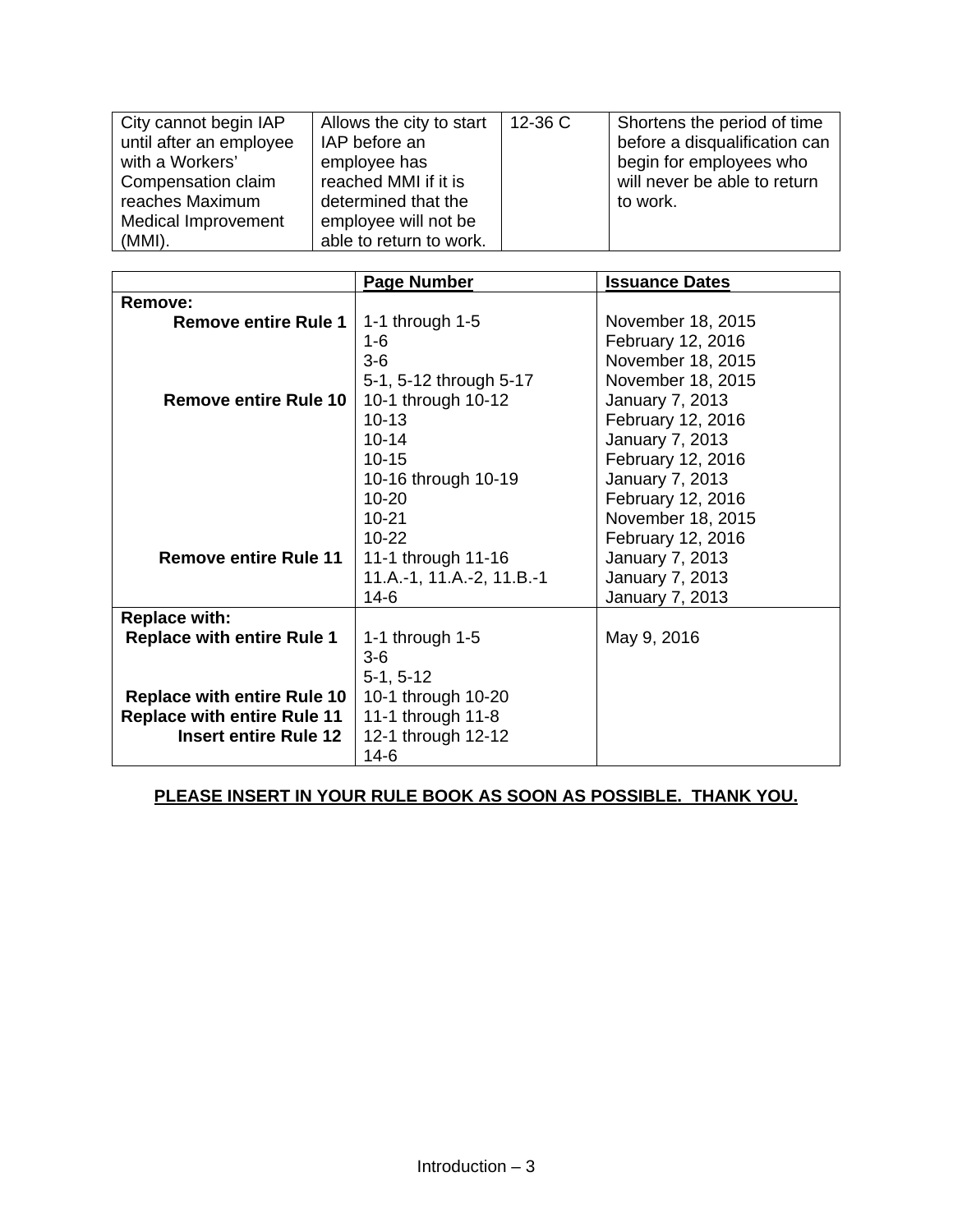| City cannot begin IAP      | Allows the city to start | $12-36$ C | Shortens the period of time   |
|----------------------------|--------------------------|-----------|-------------------------------|
| until after an employee    | IAP before an            |           | before a disqualification can |
| with a Workers'            | employee has             |           | begin for employees who       |
| Compensation claim         | reached MMI if it is     |           | will never be able to return  |
| reaches Maximum            | determined that the      |           | to work.                      |
| <b>Medical Improvement</b> | employee will not be     |           |                               |
| $(MMI)$ .                  | able to return to work.  |           |                               |

|                                    | <b>Page Number</b>        | <b>Issuance Dates</b>  |
|------------------------------------|---------------------------|------------------------|
| Remove:                            |                           |                        |
| <b>Remove entire Rule 1</b>        | 1-1 through $1-5$         | November 18, 2015      |
|                                    | 1-6                       | February 12, 2016      |
|                                    | $3-6$                     | November 18, 2015      |
|                                    | 5-1, 5-12 through 5-17    | November 18, 2015      |
| <b>Remove entire Rule 10</b>       | 10-1 through 10-12        | January 7, 2013        |
|                                    | $10 - 13$                 | February 12, 2016      |
|                                    | $10 - 14$                 | January 7, 2013        |
|                                    | $10 - 15$                 | February 12, 2016      |
|                                    | 10-16 through 10-19       | January 7, 2013        |
|                                    | $10 - 20$                 | February 12, 2016      |
|                                    | $10 - 21$                 | November 18, 2015      |
|                                    | $10 - 22$                 | February 12, 2016      |
| <b>Remove entire Rule 11</b>       | 11-1 through 11-16        | <b>January 7, 2013</b> |
|                                    | 11.A.-1, 11.A.-2, 11.B.-1 | January 7, 2013        |
|                                    | $14-6$                    | <b>January 7, 2013</b> |
| <b>Replace with:</b>               |                           |                        |
| <b>Replace with entire Rule 1</b>  | 1-1 through $1-5$         | May 9, 2016            |
|                                    | $3-6$                     |                        |
|                                    | $5-1, 5-12$               |                        |
| <b>Replace with entire Rule 10</b> | 10-1 through 10-20        |                        |
| <b>Replace with entire Rule 11</b> | 11-1 through 11-8         |                        |
| <b>Insert entire Rule 12</b>       | 12-1 through 12-12        |                        |
|                                    | $14-6$                    |                        |

# **PLEASE INSERT IN YOUR RULE BOOK AS SOON AS POSSIBLE. THANK YOU.**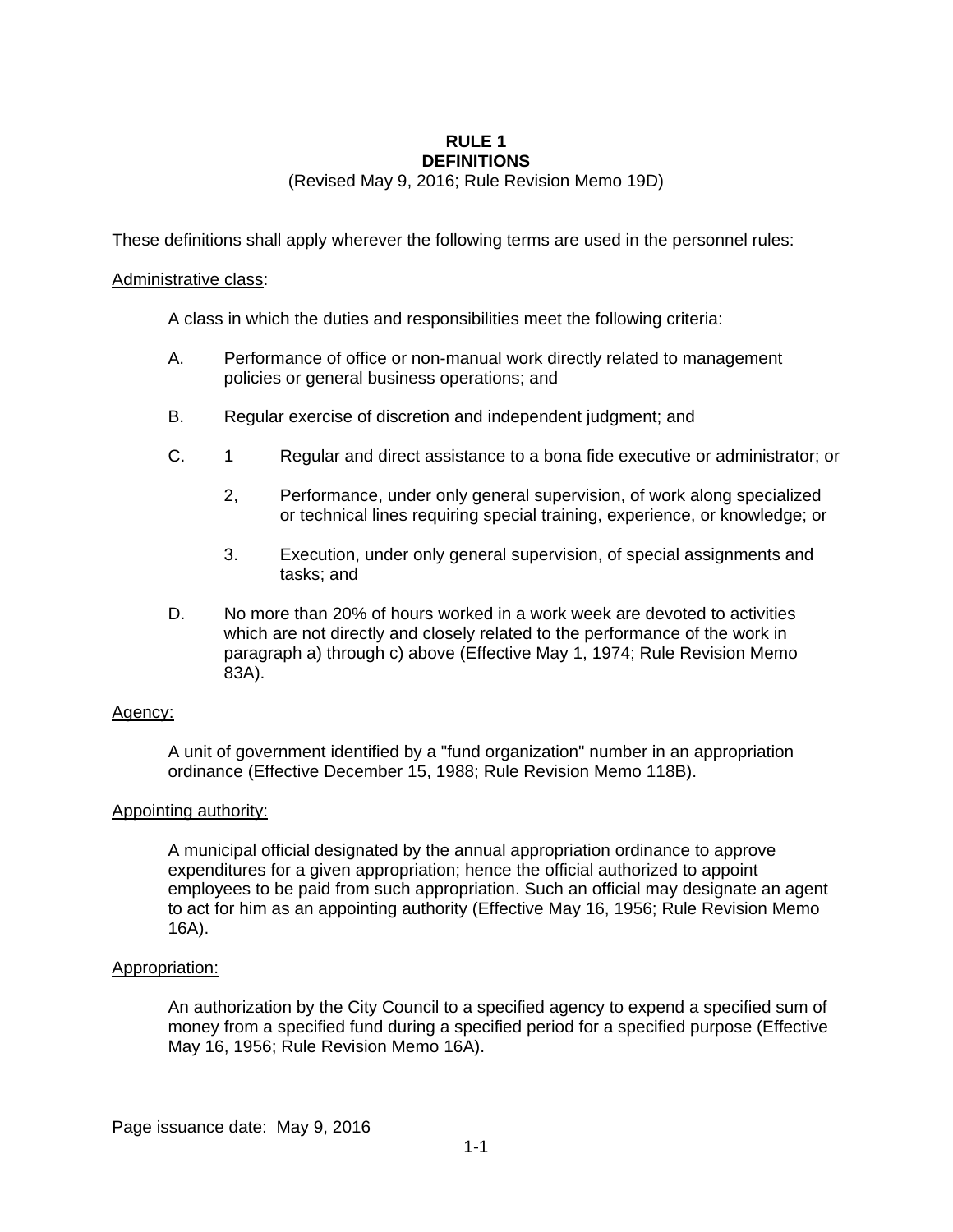#### **RULE 1 DEFINITIONS**

(Revised May 9, 2016; Rule Revision Memo 19D)

These definitions shall apply wherever the following terms are used in the personnel rules:

#### Administrative class:

A class in which the duties and responsibilities meet the following criteria:

- A. Performance of office or non-manual work directly related to management policies or general business operations; and
- B. Regular exercise of discretion and independent judgment; and
- C. 1 Regular and direct assistance to a bona fide executive or administrator; or
	- 2, Performance, under only general supervision, of work along specialized or technical lines requiring special training, experience, or knowledge; or
	- 3. Execution, under only general supervision, of special assignments and tasks; and
- D. No more than 20% of hours worked in a work week are devoted to activities which are not directly and closely related to the performance of the work in paragraph a) through c) above (Effective May 1, 1974; Rule Revision Memo 83A).

#### Agency:

A unit of government identified by a "fund organization" number in an appropriation ordinance (Effective December 15, 1988; Rule Revision Memo 118B).

#### Appointing authority:

A municipal official designated by the annual appropriation ordinance to approve expenditures for a given appropriation; hence the official authorized to appoint employees to be paid from such appropriation. Such an official may designate an agent to act for him as an appointing authority (Effective May 16, 1956; Rule Revision Memo 16A).

#### Appropriation:

An authorization by the City Council to a specified agency to expend a specified sum of money from a specified fund during a specified period for a specified purpose (Effective May 16, 1956; Rule Revision Memo 16A).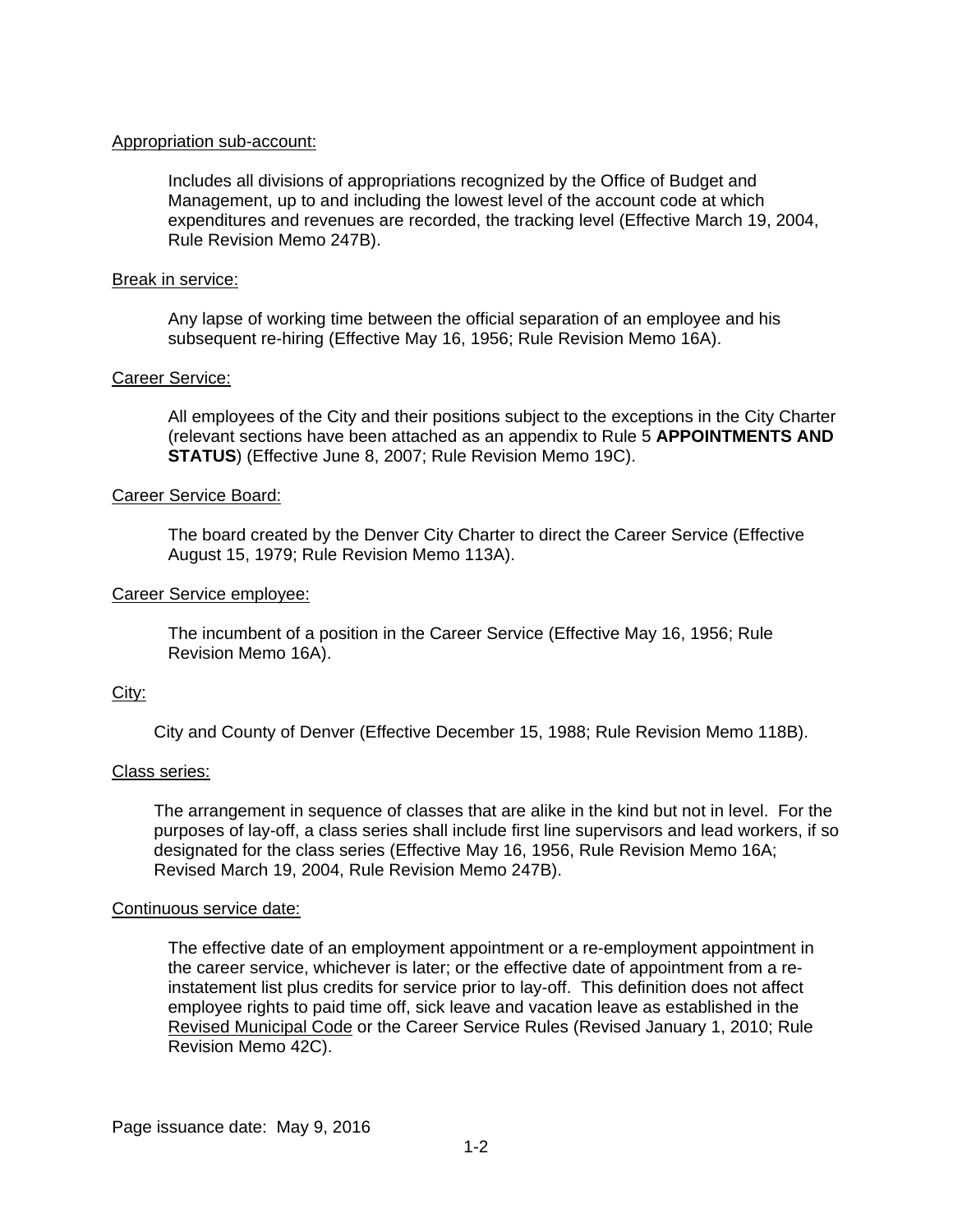#### Appropriation sub-account:

Includes all divisions of appropriations recognized by the Office of Budget and Management, up to and including the lowest level of the account code at which expenditures and revenues are recorded, the tracking level (Effective March 19, 2004, Rule Revision Memo 247B).

#### Break in service:

Any lapse of working time between the official separation of an employee and his subsequent re-hiring (Effective May 16, 1956; Rule Revision Memo 16A).

## Career Service:

All employees of the City and their positions subject to the exceptions in the City Charter (relevant sections have been attached as an appendix to Rule 5 **APPOINTMENTS AND STATUS**) (Effective June 8, 2007; Rule Revision Memo 19C).

#### Career Service Board:

The board created by the Denver City Charter to direct the Career Service (Effective August 15, 1979; Rule Revision Memo 113A).

#### Career Service employee:

The incumbent of a position in the Career Service (Effective May 16, 1956; Rule Revision Memo 16A).

## City:

City and County of Denver (Effective December 15, 1988; Rule Revision Memo 118B).

#### Class series:

The arrangement in sequence of classes that are alike in the kind but not in level. For the purposes of lay-off, a class series shall include first line supervisors and lead workers, if so designated for the class series (Effective May 16, 1956, Rule Revision Memo 16A; Revised March 19, 2004, Rule Revision Memo 247B).

#### Continuous service date:

The effective date of an employment appointment or a re-employment appointment in the career service, whichever is later; or the effective date of appointment from a reinstatement list plus credits for service prior to lay-off. This definition does not affect employee rights to paid time off, sick leave and vacation leave as established in the Revised Municipal Code or the Career Service Rules (Revised January 1, 2010; Rule Revision Memo 42C).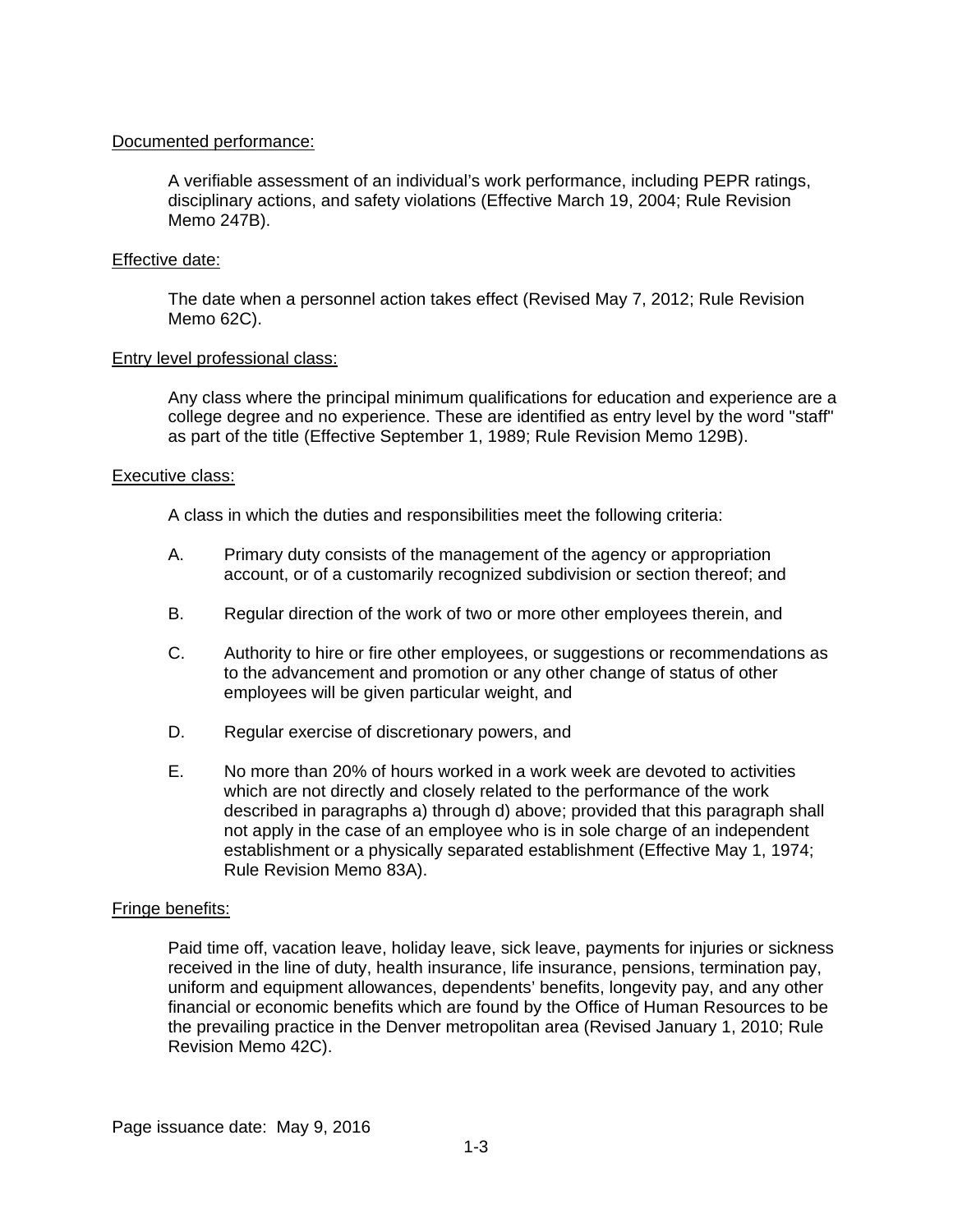#### Documented performance:

A verifiable assessment of an individual's work performance, including PEPR ratings, disciplinary actions, and safety violations (Effective March 19, 2004; Rule Revision Memo 247B).

#### Effective date:

The date when a personnel action takes effect (Revised May 7, 2012; Rule Revision Memo 62C).

#### Entry level professional class:

Any class where the principal minimum qualifications for education and experience are a college degree and no experience. These are identified as entry level by the word "staff" as part of the title (Effective September 1, 1989; Rule Revision Memo 129B).

#### Executive class:

A class in which the duties and responsibilities meet the following criteria:

- A. Primary duty consists of the management of the agency or appropriation account, or of a customarily recognized subdivision or section thereof; and
- B. Regular direction of the work of two or more other employees therein, and
- C. Authority to hire or fire other employees, or suggestions or recommendations as to the advancement and promotion or any other change of status of other employees will be given particular weight, and
- D. Regular exercise of discretionary powers, and
- E. No more than 20% of hours worked in a work week are devoted to activities which are not directly and closely related to the performance of the work described in paragraphs a) through d) above; provided that this paragraph shall not apply in the case of an employee who is in sole charge of an independent establishment or a physically separated establishment (Effective May 1, 1974; Rule Revision Memo 83A).

## Fringe benefits:

Paid time off, vacation leave, holiday leave, sick leave, payments for injuries or sickness received in the line of duty, health insurance, life insurance, pensions, termination pay, uniform and equipment allowances, dependents' benefits, longevity pay, and any other financial or economic benefits which are found by the Office of Human Resources to be the prevailing practice in the Denver metropolitan area (Revised January 1, 2010; Rule Revision Memo 42C).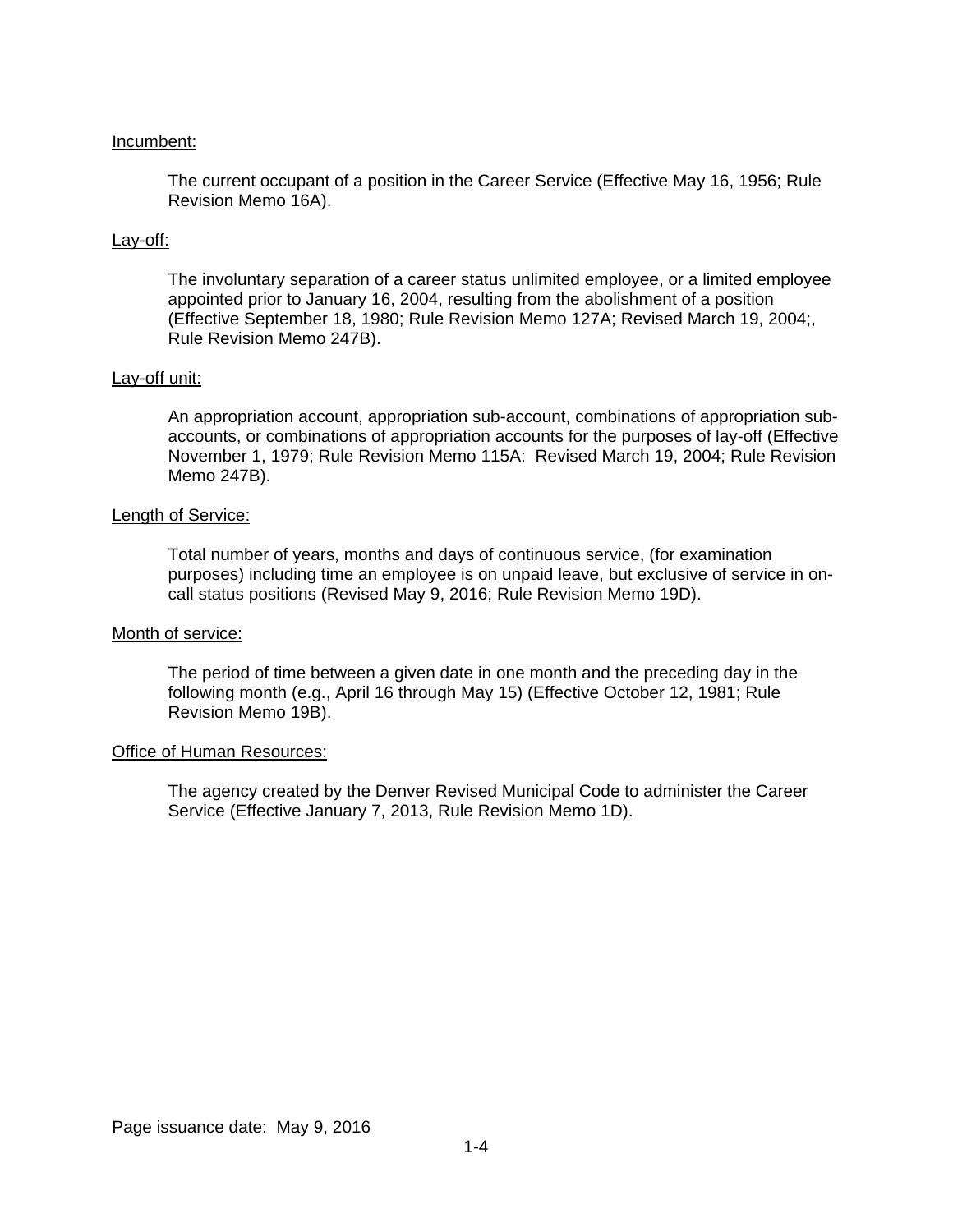#### Incumbent:

The current occupant of a position in the Career Service (Effective May 16, 1956; Rule Revision Memo 16A).

#### Lay-off:

The involuntary separation of a career status unlimited employee, or a limited employee appointed prior to January 16, 2004, resulting from the abolishment of a position (Effective September 18, 1980; Rule Revision Memo 127A; Revised March 19, 2004;, Rule Revision Memo 247B).

#### Lay-off unit:

An appropriation account, appropriation sub-account, combinations of appropriation subaccounts, or combinations of appropriation accounts for the purposes of lay-off (Effective November 1, 1979; Rule Revision Memo 115A: Revised March 19, 2004; Rule Revision Memo 247B).

#### Length of Service:

Total number of years, months and days of continuous service, (for examination purposes) including time an employee is on unpaid leave, but exclusive of service in oncall status positions (Revised May 9, 2016; Rule Revision Memo 19D).

#### Month of service:

The period of time between a given date in one month and the preceding day in the following month (e.g., April 16 through May 15) (Effective October 12, 1981; Rule Revision Memo 19B).

#### Office of Human Resources:

The agency created by the Denver Revised Municipal Code to administer the Career Service (Effective January 7, 2013, Rule Revision Memo 1D).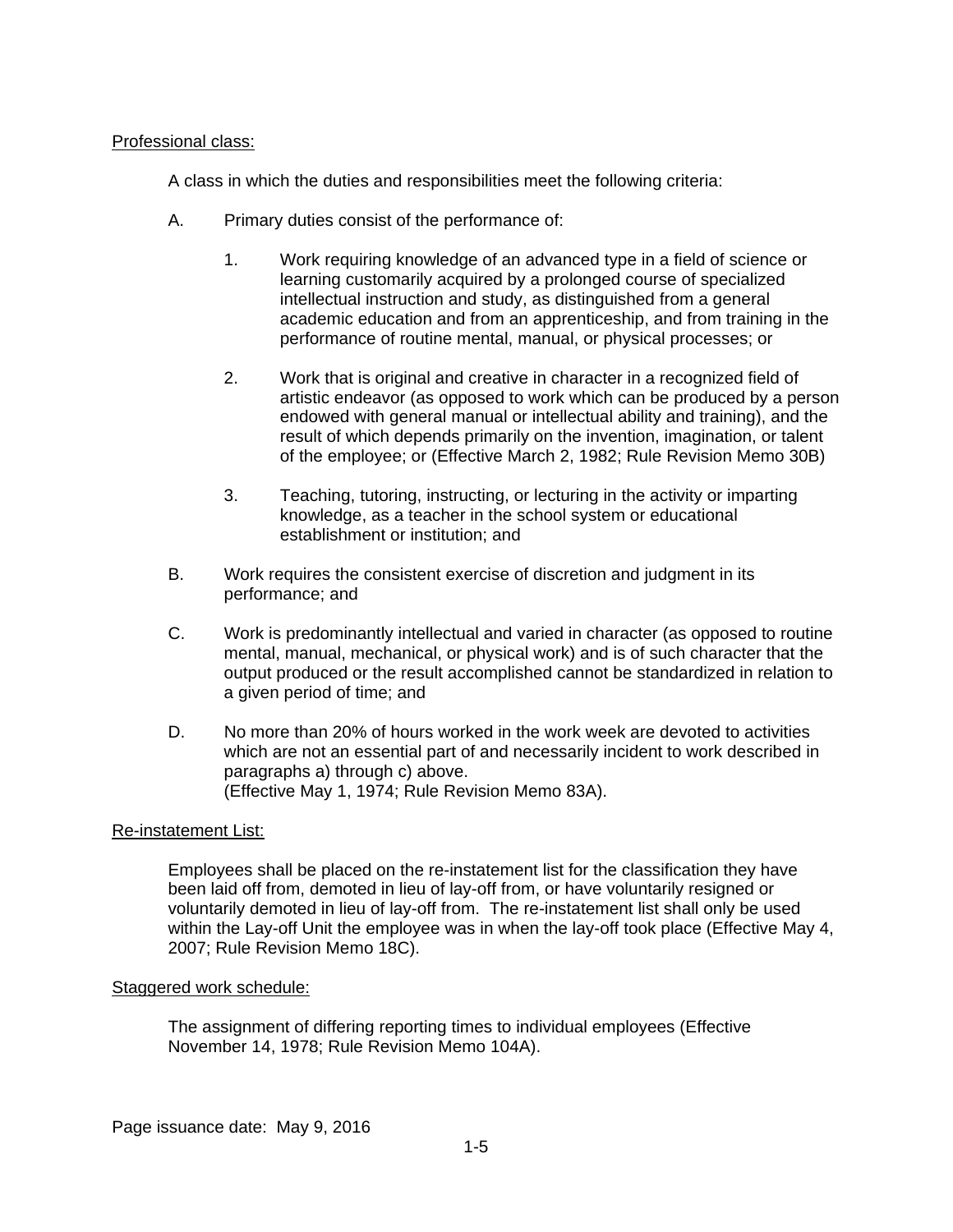## Professional class:

A class in which the duties and responsibilities meet the following criteria:

- A. Primary duties consist of the performance of:
	- 1. Work requiring knowledge of an advanced type in a field of science or learning customarily acquired by a prolonged course of specialized intellectual instruction and study, as distinguished from a general academic education and from an apprenticeship, and from training in the performance of routine mental, manual, or physical processes; or
	- 2. Work that is original and creative in character in a recognized field of artistic endeavor (as opposed to work which can be produced by a person endowed with general manual or intellectual ability and training), and the result of which depends primarily on the invention, imagination, or talent of the employee; or (Effective March 2, 1982; Rule Revision Memo 30B)
	- 3. Teaching, tutoring, instructing, or lecturing in the activity or imparting knowledge, as a teacher in the school system or educational establishment or institution; and
- B. Work requires the consistent exercise of discretion and judgment in its performance; and
- C. Work is predominantly intellectual and varied in character (as opposed to routine mental, manual, mechanical, or physical work) and is of such character that the output produced or the result accomplished cannot be standardized in relation to a given period of time; and
- D. No more than 20% of hours worked in the work week are devoted to activities which are not an essential part of and necessarily incident to work described in paragraphs a) through c) above. (Effective May 1, 1974; Rule Revision Memo 83A).

#### Re-instatement List:

Employees shall be placed on the re-instatement list for the classification they have been laid off from, demoted in lieu of lay-off from, or have voluntarily resigned or voluntarily demoted in lieu of lay-off from. The re-instatement list shall only be used within the Lay-off Unit the employee was in when the lay-off took place (Effective May 4, 2007; Rule Revision Memo 18C).

#### Staggered work schedule:

The assignment of differing reporting times to individual employees (Effective November 14, 1978; Rule Revision Memo 104A).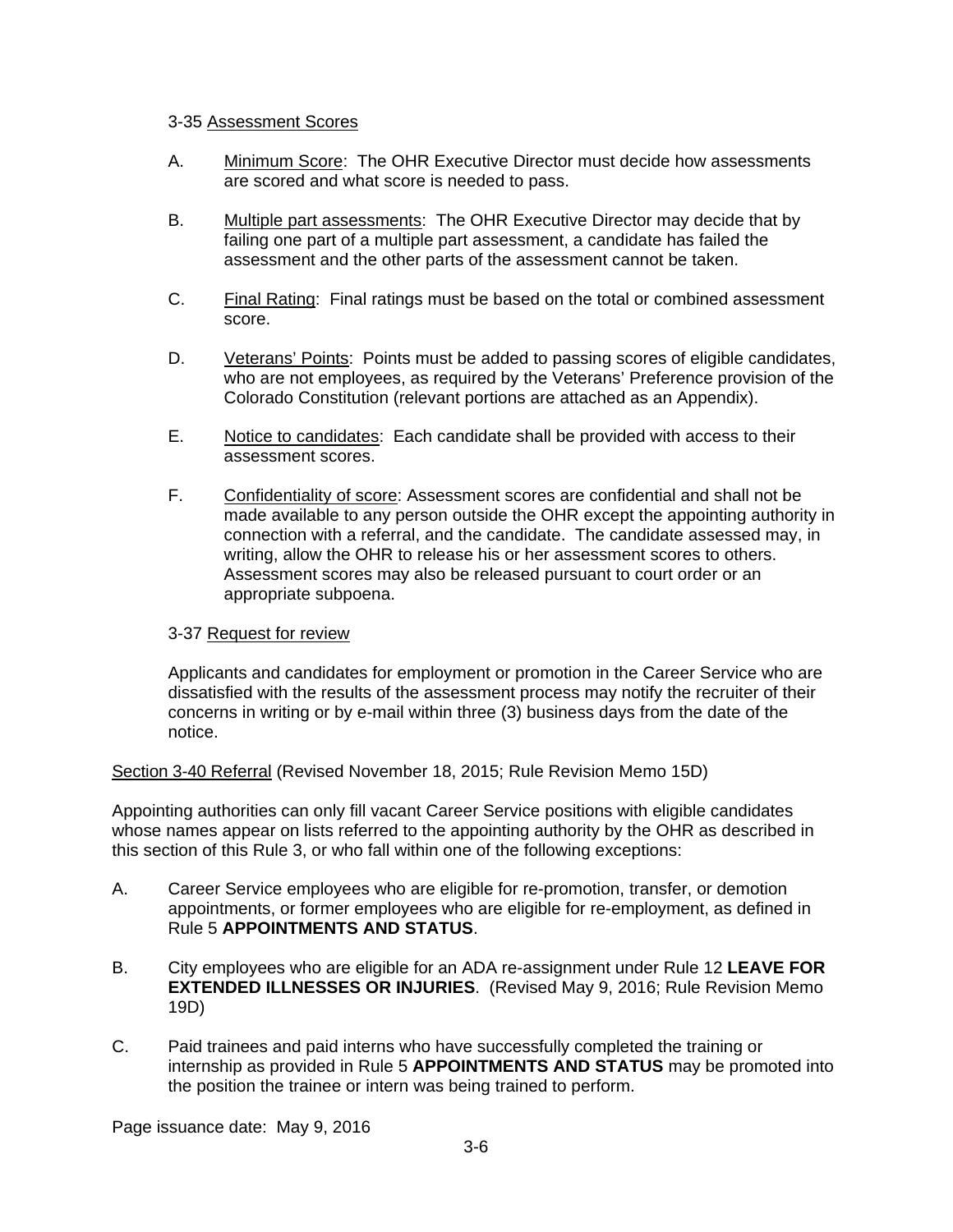#### 3-35 Assessment Scores

- A. Minimum Score: The OHR Executive Director must decide how assessments are scored and what score is needed to pass.
- B. Multiple part assessments: The OHR Executive Director may decide that by failing one part of a multiple part assessment, a candidate has failed the assessment and the other parts of the assessment cannot be taken.
- C. Final Rating: Final ratings must be based on the total or combined assessment score.
- D. Veterans' Points: Points must be added to passing scores of eligible candidates, who are not employees, as required by the Veterans' Preference provision of the Colorado Constitution (relevant portions are attached as an Appendix).
- E. Notice to candidates: Each candidate shall be provided with access to their assessment scores.
- F. Confidentiality of score: Assessment scores are confidential and shall not be made available to any person outside the OHR except the appointing authority in connection with a referral, and the candidate. The candidate assessed may, in writing, allow the OHR to release his or her assessment scores to others. Assessment scores may also be released pursuant to court order or an appropriate subpoena.

## 3-37 Request for review

Applicants and candidates for employment or promotion in the Career Service who are dissatisfied with the results of the assessment process may notify the recruiter of their concerns in writing or by e-mail within three (3) business days from the date of the notice.

Section 3-40 Referral (Revised November 18, 2015; Rule Revision Memo 15D)

Appointing authorities can only fill vacant Career Service positions with eligible candidates whose names appear on lists referred to the appointing authority by the OHR as described in this section of this Rule 3, or who fall within one of the following exceptions:

- A. Career Service employees who are eligible for re-promotion, transfer, or demotion appointments, or former employees who are eligible for re-employment, as defined in Rule 5 **APPOINTMENTS AND STATUS**.
- B. City employees who are eligible for an ADA re-assignment under Rule 12 **LEAVE FOR EXTENDED ILLNESSES OR INJURIES**. (Revised May 9, 2016; Rule Revision Memo 19D)
- C. Paid trainees and paid interns who have successfully completed the training or internship as provided in Rule 5 **APPOINTMENTS AND STATUS** may be promoted into the position the trainee or intern was being trained to perform.

Page issuance date: May 9, 2016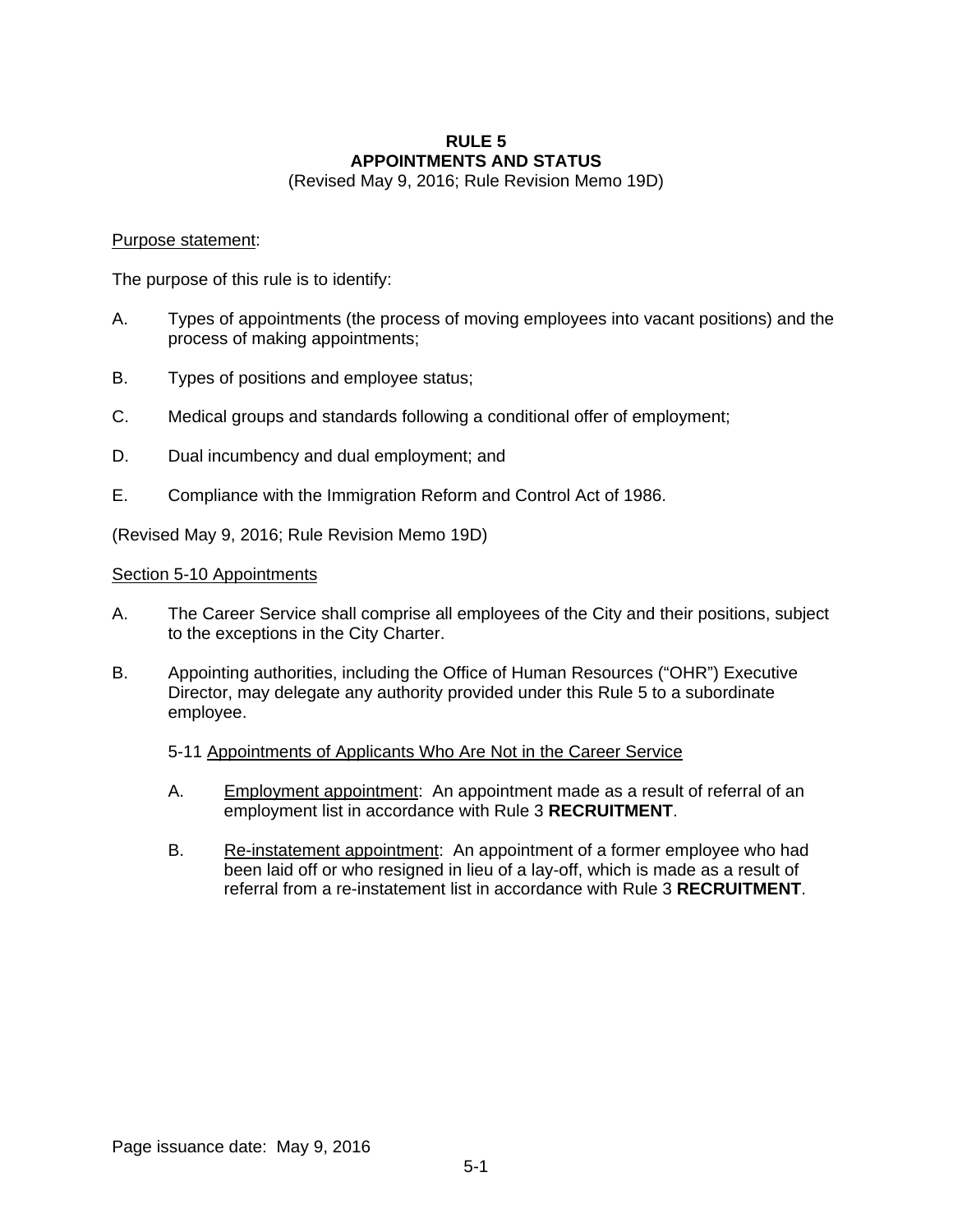#### **RULE 5 APPOINTMENTS AND STATUS**

(Revised May 9, 2016; Rule Revision Memo 19D)

#### Purpose statement:

The purpose of this rule is to identify:

- A. Types of appointments (the process of moving employees into vacant positions) and the process of making appointments;
- B. Types of positions and employee status;
- C. Medical groups and standards following a conditional offer of employment;
- D. Dual incumbency and dual employment; and
- E. Compliance with the Immigration Reform and Control Act of 1986.

(Revised May 9, 2016; Rule Revision Memo 19D)

#### Section 5-10 Appointments

- A. The Career Service shall comprise all employees of the City and their positions, subject to the exceptions in the City Charter.
- B. Appointing authorities, including the Office of Human Resources ("OHR") Executive Director, may delegate any authority provided under this Rule 5 to a subordinate employee.

## 5-11 Appointments of Applicants Who Are Not in the Career Service

- A. Employment appointment: An appointment made as a result of referral of an employment list in accordance with Rule 3 **RECRUITMENT**.
- B. Re-instatement appointment: An appointment of a former employee who had been laid off or who resigned in lieu of a lay-off, which is made as a result of referral from a re-instatement list in accordance with Rule 3 **RECRUITMENT**.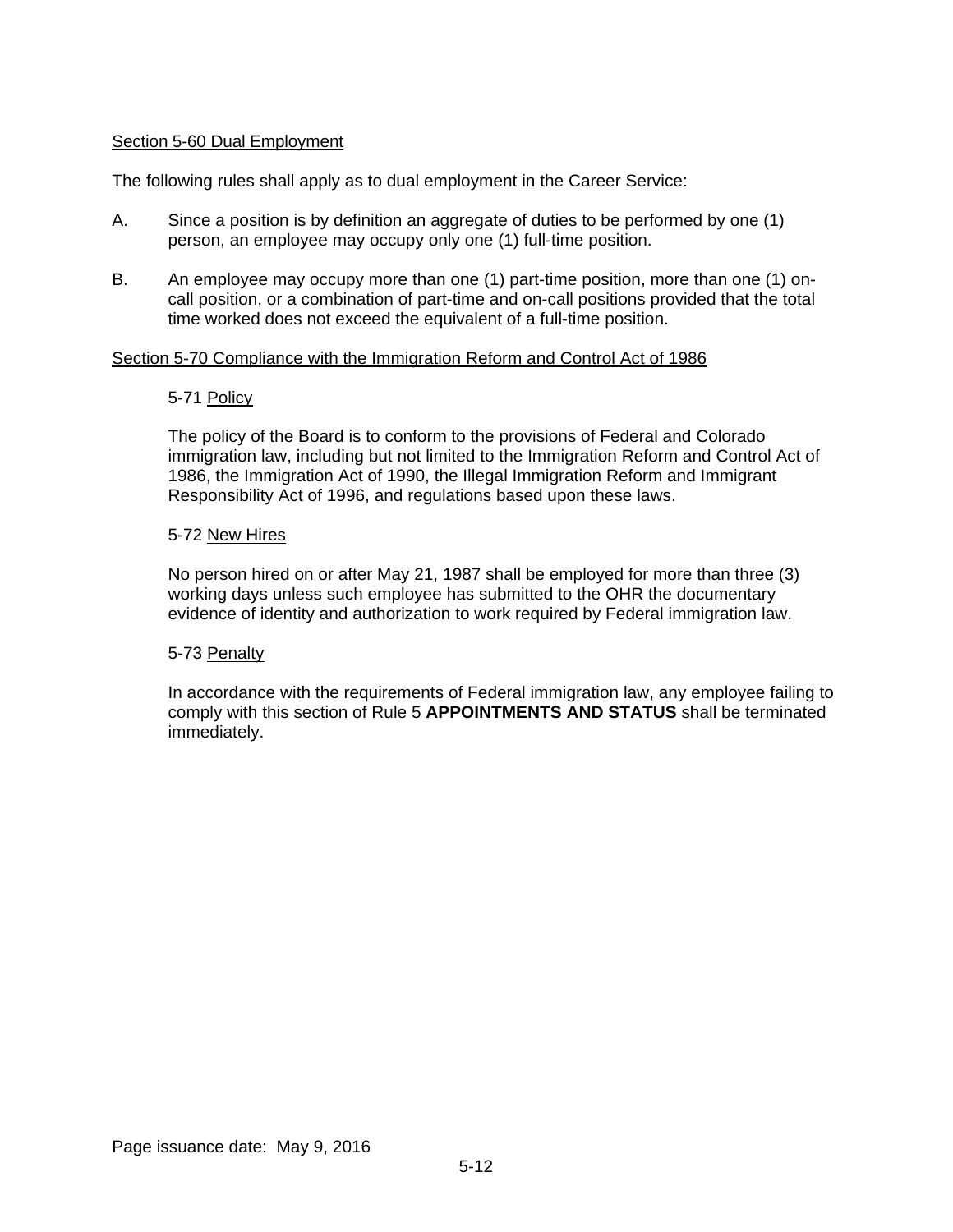#### Section 5-60 Dual Employment

The following rules shall apply as to dual employment in the Career Service:

- A. Since a position is by definition an aggregate of duties to be performed by one (1) person, an employee may occupy only one (1) full-time position.
- B. An employee may occupy more than one (1) part-time position, more than one (1) oncall position, or a combination of part-time and on-call positions provided that the total time worked does not exceed the equivalent of a full-time position.

#### Section 5-70 Compliance with the Immigration Reform and Control Act of 1986

#### 5-71 Policy

The policy of the Board is to conform to the provisions of Federal and Colorado immigration law, including but not limited to the Immigration Reform and Control Act of 1986, the Immigration Act of 1990, the Illegal Immigration Reform and Immigrant Responsibility Act of 1996, and regulations based upon these laws.

#### 5-72 New Hires

No person hired on or after May 21, 1987 shall be employed for more than three (3) working days unless such employee has submitted to the OHR the documentary evidence of identity and authorization to work required by Federal immigration law.

#### 5-73 Penalty

In accordance with the requirements of Federal immigration law, any employee failing to comply with this section of Rule 5 **APPOINTMENTS AND STATUS** shall be terminated immediately.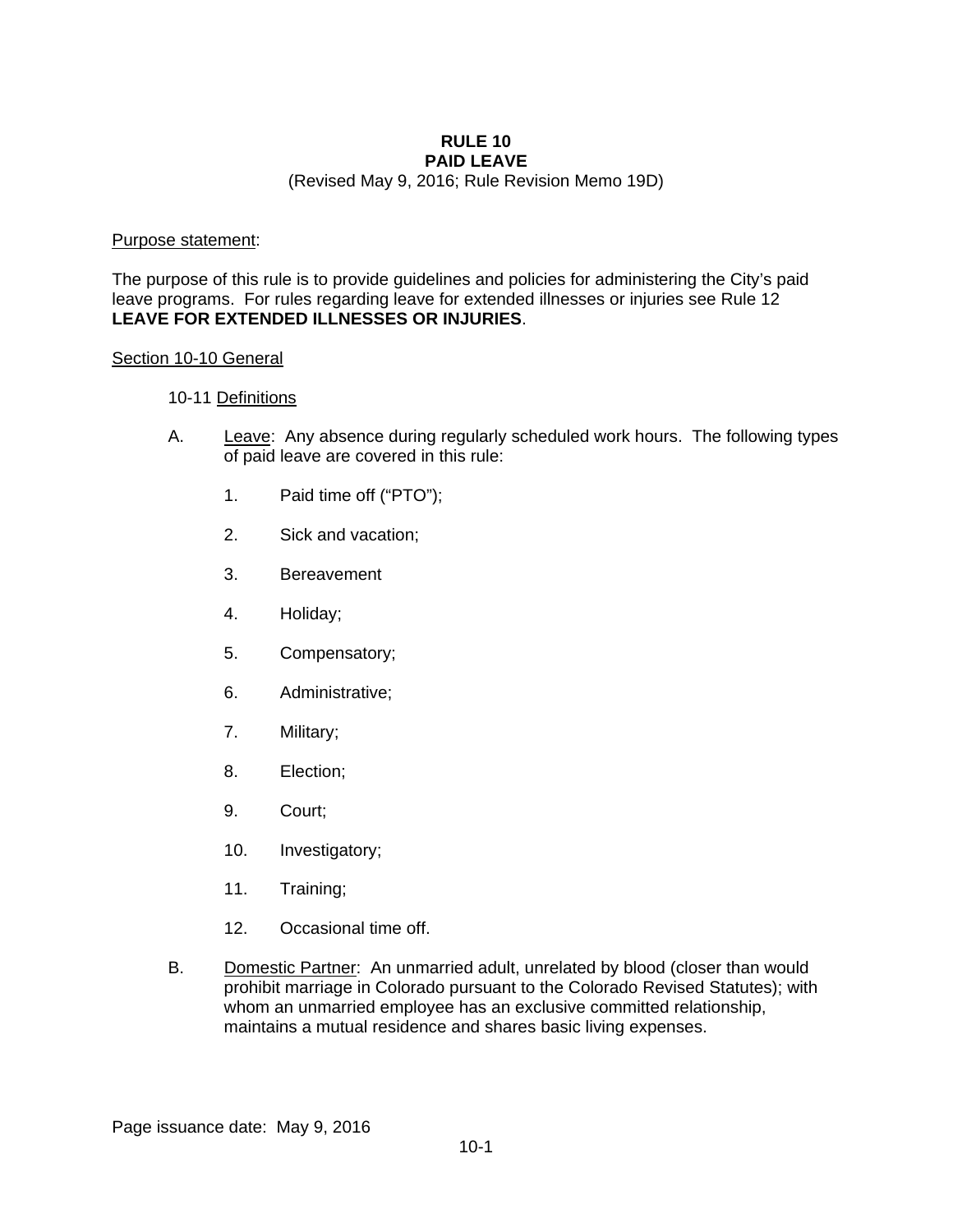#### **RULE 10 PAID LEAVE**

(Revised May 9, 2016; Rule Revision Memo 19D)

#### Purpose statement:

The purpose of this rule is to provide guidelines and policies for administering the City's paid leave programs. For rules regarding leave for extended illnesses or injuries see Rule 12 **LEAVE FOR EXTENDED ILLNESSES OR INJURIES**.

#### Section 10-10 General

#### 10-11 Definitions

- A. Leave: Any absence during regularly scheduled work hours. The following types of paid leave are covered in this rule:
	- 1. Paid time off ("PTO");
	- 2. Sick and vacation;
	- 3. Bereavement
	- 4. Holiday;
	- 5. Compensatory;
	- 6. Administrative;
	- 7. Military;
	- 8. Election;
	- 9. Court;
	- 10. Investigatory;
	- 11. Training;
	- 12. Occasional time off.
- B. Domestic Partner: An unmarried adult, unrelated by blood (closer than would prohibit marriage in Colorado pursuant to the Colorado Revised Statutes); with whom an unmarried employee has an exclusive committed relationship, maintains a mutual residence and shares basic living expenses.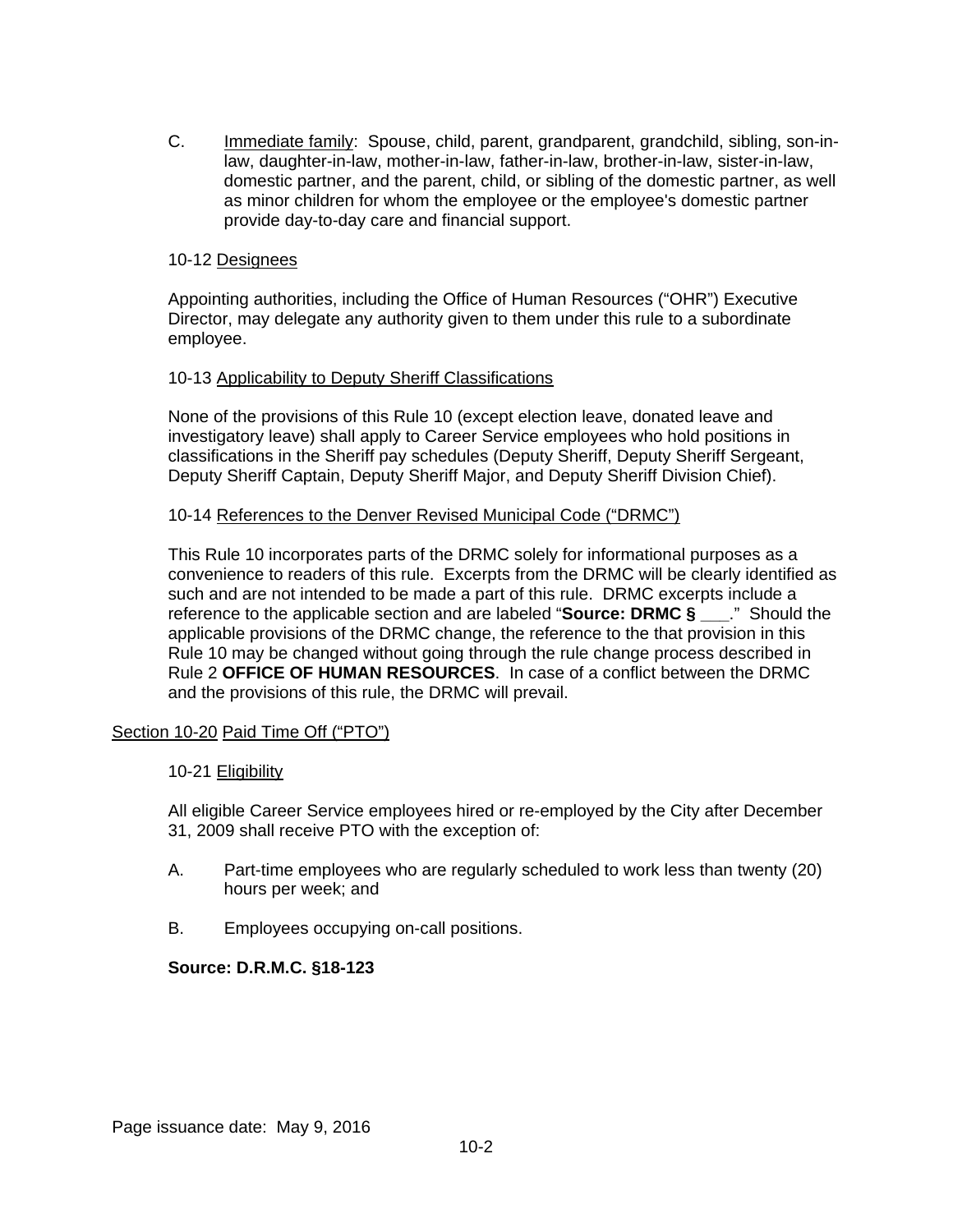C. Immediate family: Spouse, child, parent, grandparent, grandchild, sibling, son-inlaw, daughter-in-law, mother-in-law, father-in-law, brother-in-law, sister-in-law, domestic partner, and the parent, child, or sibling of the domestic partner, as well as minor children for whom the employee or the employee's domestic partner provide day-to-day care and financial support.

#### 10-12 Designees

Appointing authorities, including the Office of Human Resources ("OHR") Executive Director, may delegate any authority given to them under this rule to a subordinate employee.

#### 10-13 Applicability to Deputy Sheriff Classifications

None of the provisions of this Rule 10 (except election leave, donated leave and investigatory leave) shall apply to Career Service employees who hold positions in classifications in the Sheriff pay schedules (Deputy Sheriff, Deputy Sheriff Sergeant, Deputy Sheriff Captain, Deputy Sheriff Major, and Deputy Sheriff Division Chief).

#### 10-14 References to the Denver Revised Municipal Code ("DRMC")

This Rule 10 incorporates parts of the DRMC solely for informational purposes as a convenience to readers of this rule. Excerpts from the DRMC will be clearly identified as such and are not intended to be made a part of this rule. DRMC excerpts include a reference to the applicable section and are labeled "**Source: DRMC § \_\_\_**." Should the applicable provisions of the DRMC change, the reference to the that provision in this Rule 10 may be changed without going through the rule change process described in Rule 2 **OFFICE OF HUMAN RESOURCES**. In case of a conflict between the DRMC and the provisions of this rule, the DRMC will prevail.

## Section 10-20 Paid Time Off ("PTO")

#### 10-21 Eligibility

All eligible Career Service employees hired or re-employed by the City after December 31, 2009 shall receive PTO with the exception of:

- A. Part-time employees who are regularly scheduled to work less than twenty (20) hours per week; and
- B. Employees occupying on-call positions.

#### **Source: D.R.M.C. §18-123**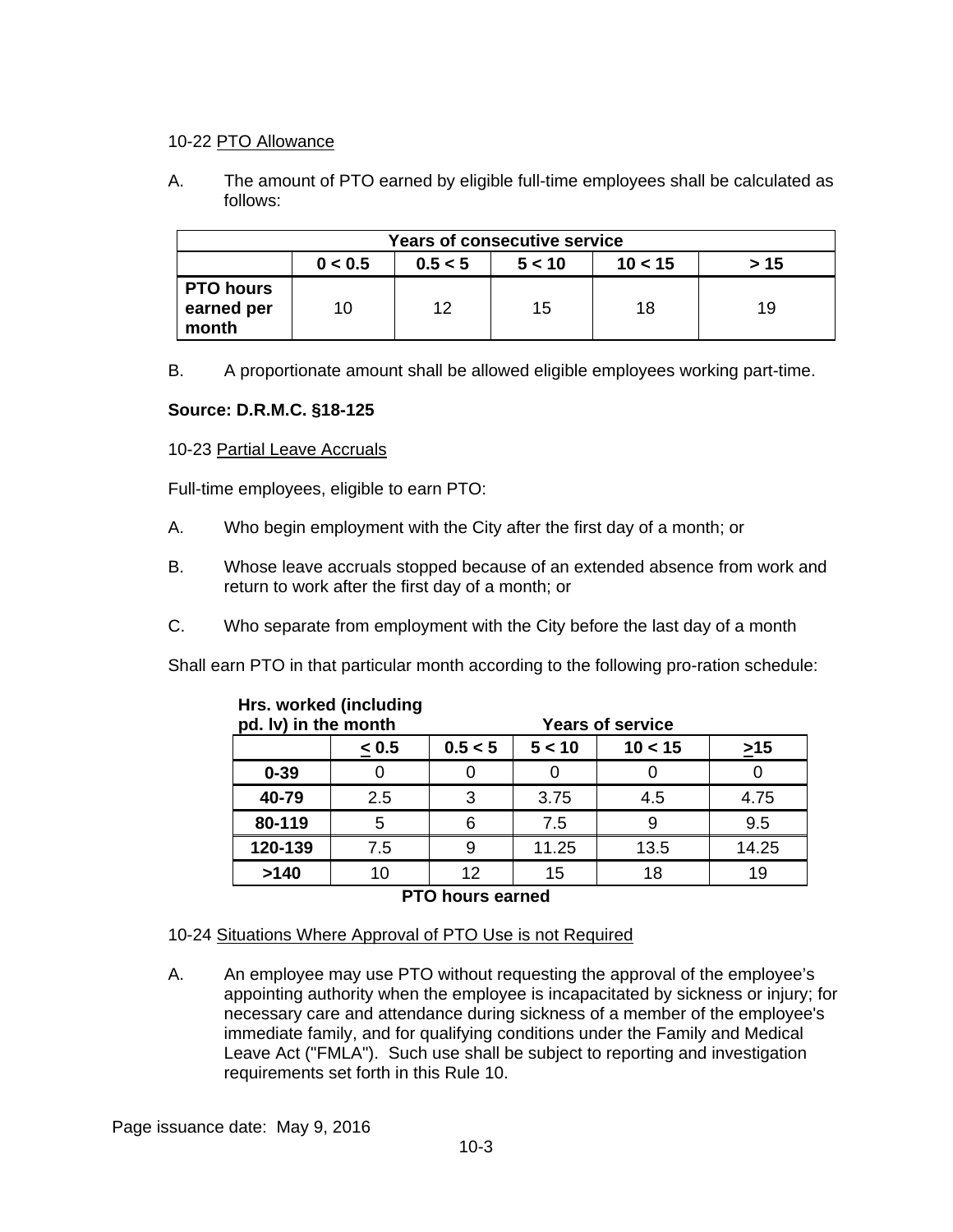#### 10-22 PTO Allowance

A. The amount of PTO earned by eligible full-time employees shall be calculated as follows:

| <b>Years of consecutive service</b>             |    |    |    |    |    |
|-------------------------------------------------|----|----|----|----|----|
| 0 < 0.5<br>10 < 15<br>0.5 < 5<br>> 15<br>5 < 10 |    |    |    |    |    |
| <b>PTO hours</b><br>earned per<br>month         | 10 | 12 | 15 | 18 | 19 |

B. A proportionate amount shall be allowed eligible employees working part-time.

## **Source: D.R.M.C. §18-125**

## 10-23 Partial Leave Accruals

Full-time employees, eligible to earn PTO:

- A. Who begin employment with the City after the first day of a month; or
- B. Whose leave accruals stopped because of an extended absence from work and return to work after the first day of a month; or
- C. Who separate from employment with the City before the last day of a month

Shall earn PTO in that particular month according to the following pro-ration schedule:

| pd. Iv) in the month   |            |         |        | <b>Years of service</b> |           |
|------------------------|------------|---------|--------|-------------------------|-----------|
|                        | $\leq 0.5$ | 0.5 < 5 | 5 < 10 | 10 < 15                 | $\geq$ 15 |
| $0 - 39$               |            |         |        |                         |           |
| 40-79                  | 2.5        | 3       | 3.75   | 4.5                     | 4.75      |
| 80-119                 | 5          | հ       | 7.5    |                         | 9.5       |
| 120-139                | 7.5        | 9       | 11.25  | 13.5                    | 14.25     |
| >140                   | 10         | 12      | 15     | 18                      | 19        |
| <b>DTA LATHA AAHAA</b> |            |         |        |                         |           |

# **Hrs. worked (including**

**PTO hours earned** 

## 10-24 Situations Where Approval of PTO Use is not Required

A. An employee may use PTO without requesting the approval of the employee's appointing authority when the employee is incapacitated by sickness or injury; for necessary care and attendance during sickness of a member of the employee's immediate family, and for qualifying conditions under the Family and Medical Leave Act ("FMLA"). Such use shall be subject to reporting and investigation requirements set forth in this Rule 10.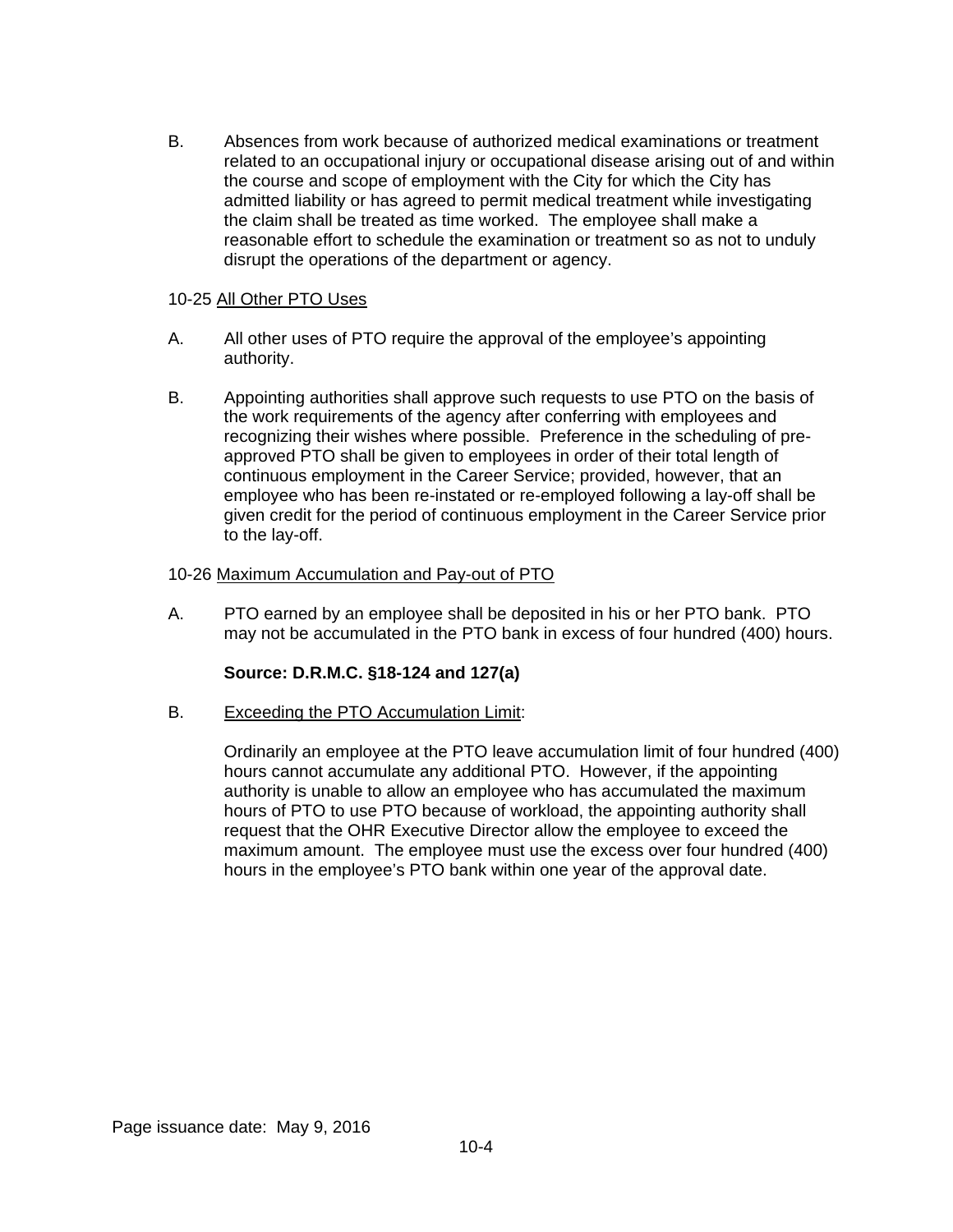B. Absences from work because of authorized medical examinations or treatment related to an occupational injury or occupational disease arising out of and within the course and scope of employment with the City for which the City has admitted liability or has agreed to permit medical treatment while investigating the claim shall be treated as time worked. The employee shall make a reasonable effort to schedule the examination or treatment so as not to unduly disrupt the operations of the department or agency.

#### 10-25 All Other PTO Uses

- A. All other uses of PTO require the approval of the employee's appointing authority.
- B. Appointing authorities shall approve such requests to use PTO on the basis of the work requirements of the agency after conferring with employees and recognizing their wishes where possible. Preference in the scheduling of preapproved PTO shall be given to employees in order of their total length of continuous employment in the Career Service; provided, however, that an employee who has been re-instated or re-employed following a lay-off shall be given credit for the period of continuous employment in the Career Service prior to the lay-off.

#### 10-26 Maximum Accumulation and Pay-out of PTO

A. PTO earned by an employee shall be deposited in his or her PTO bank. PTO may not be accumulated in the PTO bank in excess of four hundred (400) hours.

## **Source: D.R.M.C. §18-124 and 127(a)**

B. Exceeding the PTO Accumulation Limit:

Ordinarily an employee at the PTO leave accumulation limit of four hundred (400) hours cannot accumulate any additional PTO. However, if the appointing authority is unable to allow an employee who has accumulated the maximum hours of PTO to use PTO because of workload, the appointing authority shall request that the OHR Executive Director allow the employee to exceed the maximum amount. The employee must use the excess over four hundred (400) hours in the employee's PTO bank within one year of the approval date.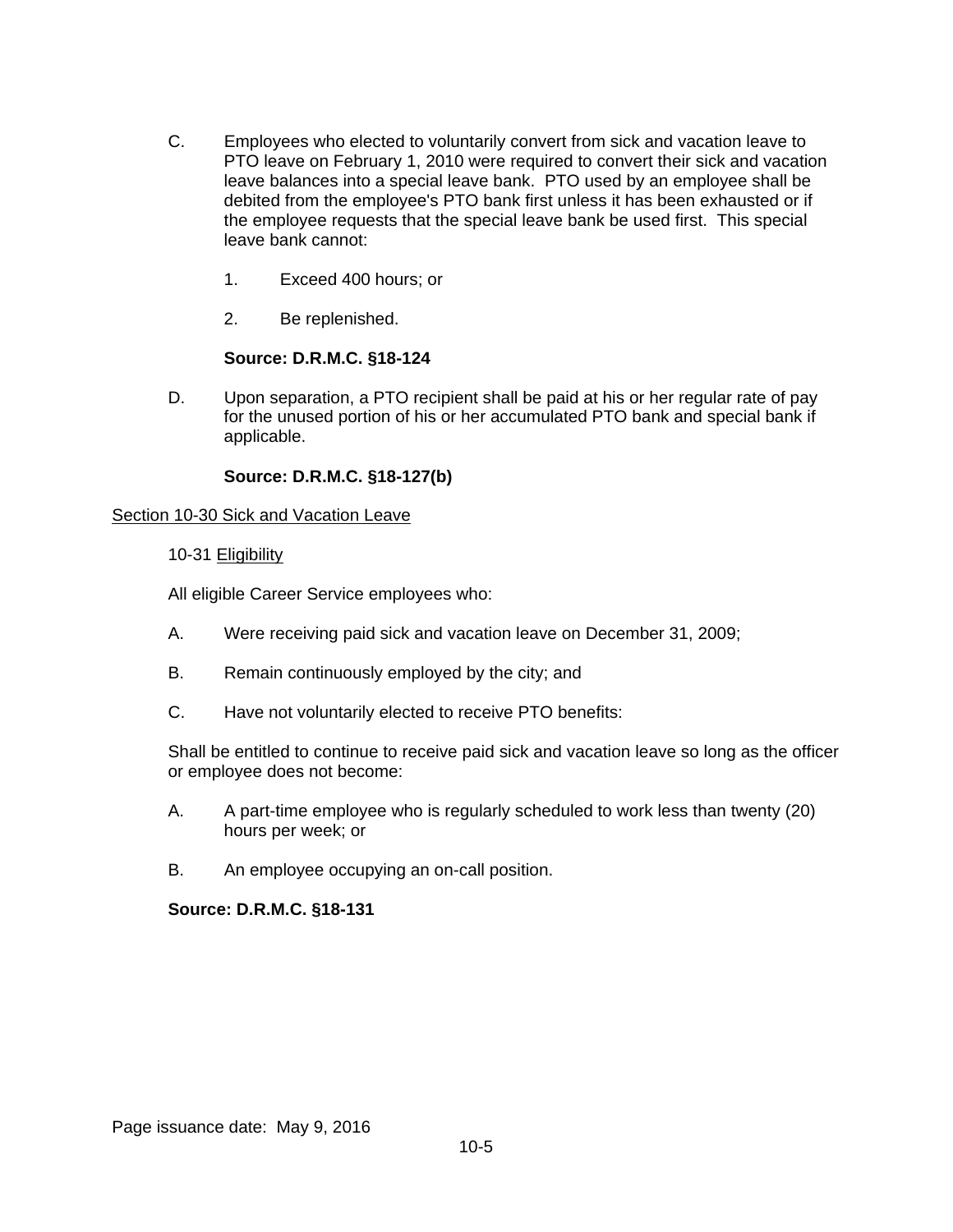- C. Employees who elected to voluntarily convert from sick and vacation leave to PTO leave on February 1, 2010 were required to convert their sick and vacation leave balances into a special leave bank. PTO used by an employee shall be debited from the employee's PTO bank first unless it has been exhausted or if the employee requests that the special leave bank be used first. This special leave bank cannot:
	- 1. Exceed 400 hours; or
	- 2. Be replenished.

## **Source: D.R.M.C. §18-124**

D. Upon separation, a PTO recipient shall be paid at his or her regular rate of pay for the unused portion of his or her accumulated PTO bank and special bank if applicable.

## **Source: D.R.M.C. §18-127(b)**

## Section 10-30 Sick and Vacation Leave

## 10-31 Eligibility

All eligible Career Service employees who:

- A. Were receiving paid sick and vacation leave on December 31, 2009;
- B. Remain continuously employed by the city; and
- C. Have not voluntarily elected to receive PTO benefits:

Shall be entitled to continue to receive paid sick and vacation leave so long as the officer or employee does not become:

- A. A part-time employee who is regularly scheduled to work less than twenty (20) hours per week; or
- B. An employee occupying an on-call position.

## **Source: D.R.M.C. §18-131**

Page issuance date: May 9, 2016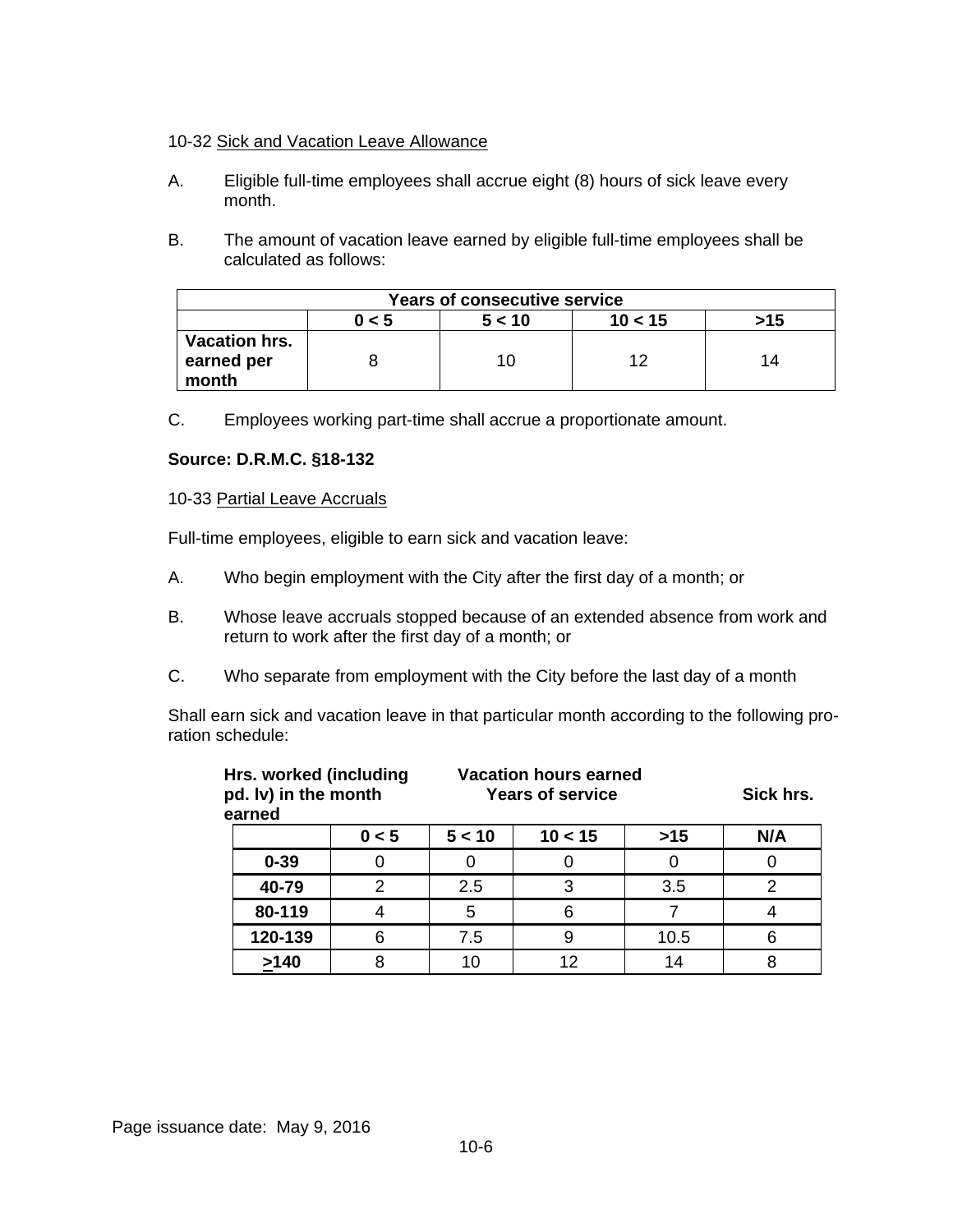#### 10-32 Sick and Vacation Leave Allowance

- A. Eligible full-time employees shall accrue eight (8) hours of sick leave every month.
- B. The amount of vacation leave earned by eligible full-time employees shall be calculated as follows:

| <b>Years of consecutive service</b>  |  |    |    |    |  |
|--------------------------------------|--|----|----|----|--|
| 5 < 10<br>10 < 15<br>0 < 5<br>>15    |  |    |    |    |  |
| Vacation hrs.<br>earned per<br>month |  | 10 | 10 | 14 |  |

C. Employees working part-time shall accrue a proportionate amount.

#### **Source: D.R.M.C. §18-132**

#### 10-33 Partial Leave Accruals

Full-time employees, eligible to earn sick and vacation leave:

- A. Who begin employment with the City after the first day of a month; or
- B. Whose leave accruals stopped because of an extended absence from work and return to work after the first day of a month; or
- C. Who separate from employment with the City before the last day of a month

Shall earn sick and vacation leave in that particular month according to the following proration schedule:

| earned   | Hrs. worked (including<br>pd. Iv) in the month |        | <b>Vacation hours earned</b><br><b>Years of service</b> |       |     |
|----------|------------------------------------------------|--------|---------------------------------------------------------|-------|-----|
|          | 0 < 5                                          | 5 < 10 | 10 < 15                                                 | $>15$ | N/A |
| $0 - 39$ |                                                | O      |                                                         |       |     |
| 40-79    | 2                                              | 2.5    | 3                                                       | 3.5   | 2   |
| 80-119   |                                                | 5      | 6                                                       |       |     |
| 120-139  | 6                                              | 7.5    |                                                         | 10.5  | 6   |
| >140     |                                                | 10     | 12                                                      | 14    |     |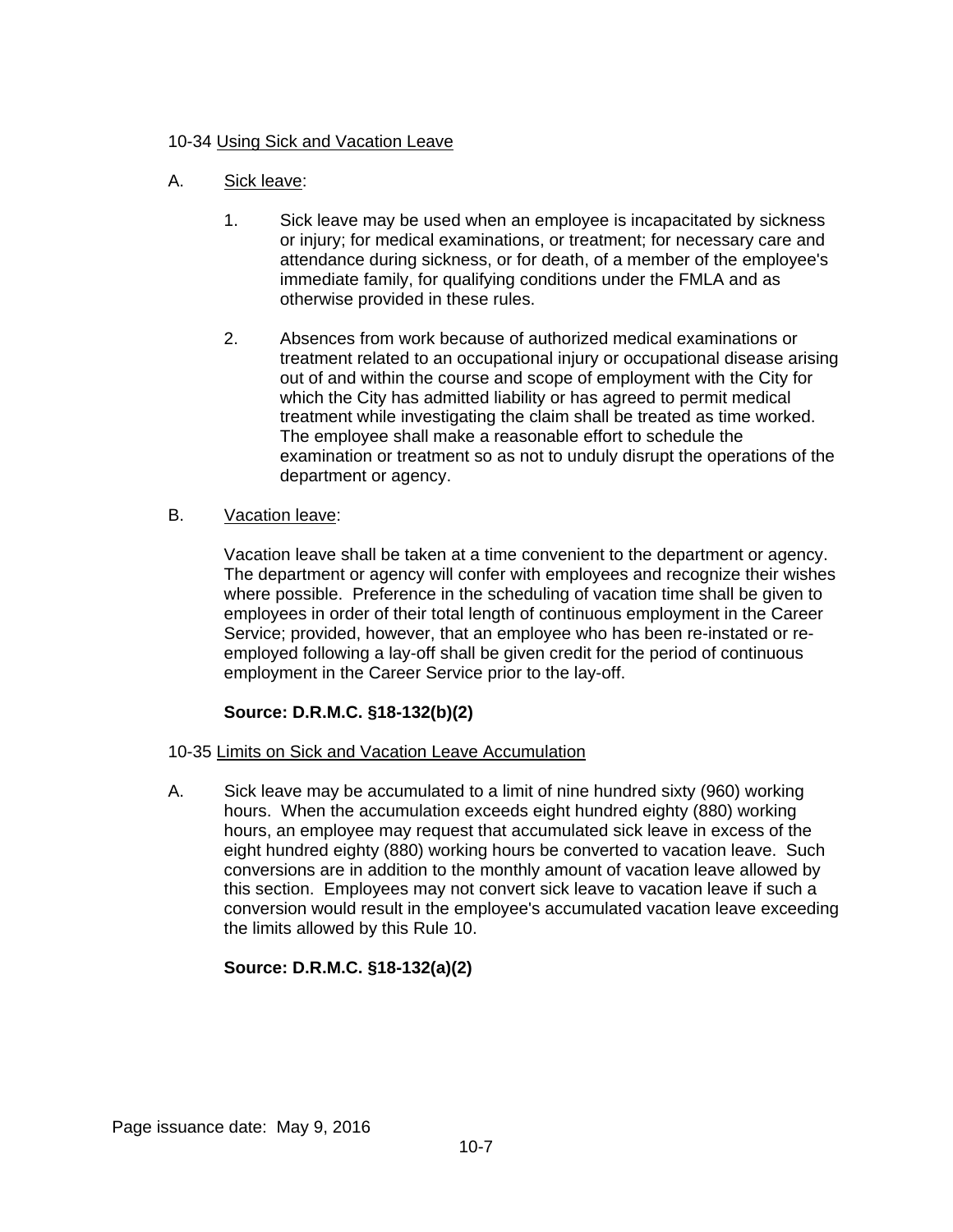## 10-34 Using Sick and Vacation Leave

## A. Sick leave:

- 1. Sick leave may be used when an employee is incapacitated by sickness or injury; for medical examinations, or treatment; for necessary care and attendance during sickness, or for death, of a member of the employee's immediate family, for qualifying conditions under the FMLA and as otherwise provided in these rules.
- 2. Absences from work because of authorized medical examinations or treatment related to an occupational injury or occupational disease arising out of and within the course and scope of employment with the City for which the City has admitted liability or has agreed to permit medical treatment while investigating the claim shall be treated as time worked. The employee shall make a reasonable effort to schedule the examination or treatment so as not to unduly disrupt the operations of the department or agency.

## B. Vacation leave:

Vacation leave shall be taken at a time convenient to the department or agency. The department or agency will confer with employees and recognize their wishes where possible. Preference in the scheduling of vacation time shall be given to employees in order of their total length of continuous employment in the Career Service; provided, however, that an employee who has been re-instated or reemployed following a lay-off shall be given credit for the period of continuous employment in the Career Service prior to the lay-off.

# **Source: D.R.M.C. §18-132(b)(2)**

## 10-35 Limits on Sick and Vacation Leave Accumulation

A. Sick leave may be accumulated to a limit of nine hundred sixty (960) working hours. When the accumulation exceeds eight hundred eighty (880) working hours, an employee may request that accumulated sick leave in excess of the eight hundred eighty (880) working hours be converted to vacation leave. Such conversions are in addition to the monthly amount of vacation leave allowed by this section. Employees may not convert sick leave to vacation leave if such a conversion would result in the employee's accumulated vacation leave exceeding the limits allowed by this Rule 10.

# **Source: D.R.M.C. §18-132(a)(2)**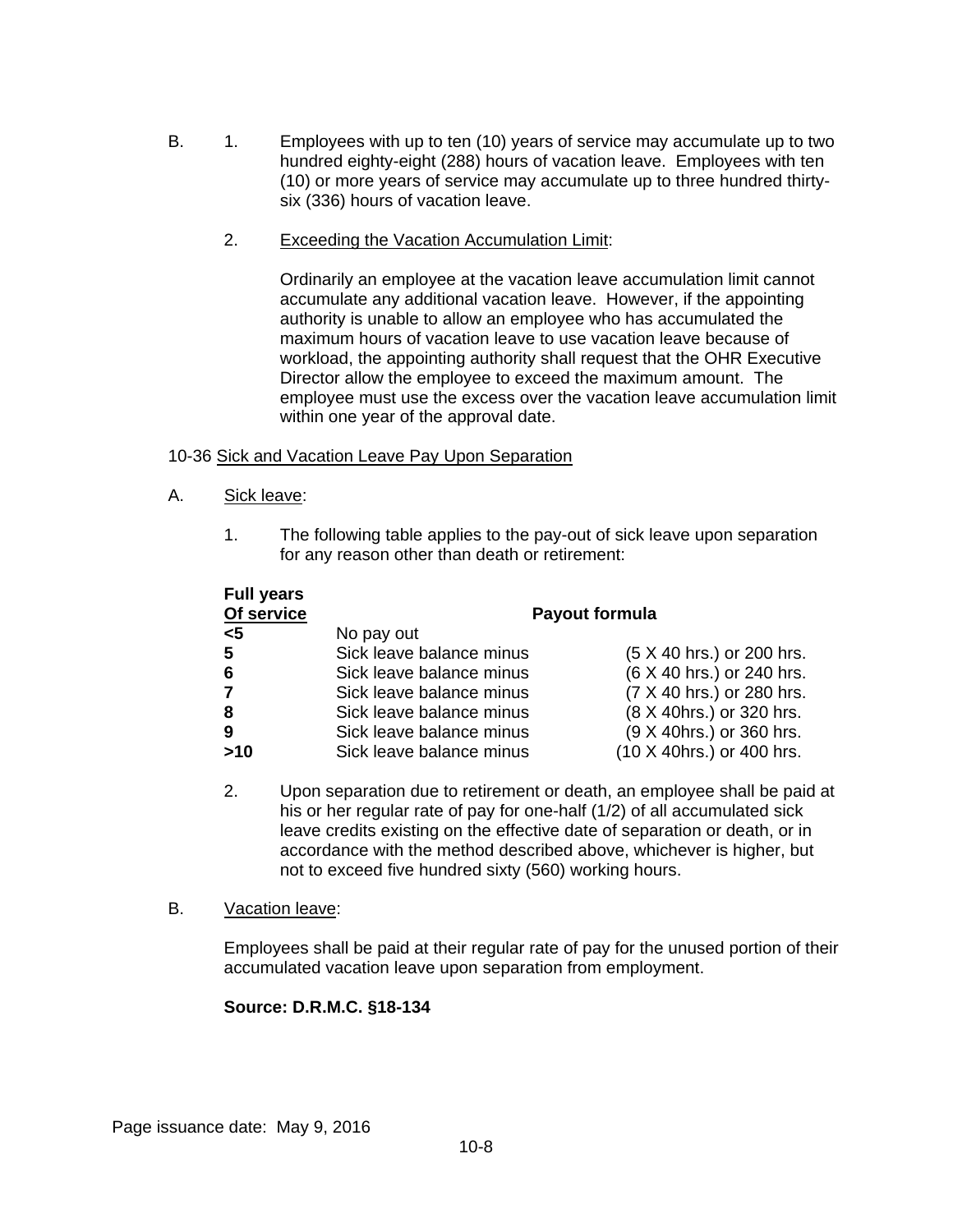- B. 1. Employees with up to ten (10) years of service may accumulate up to two hundred eighty-eight (288) hours of vacation leave. Employees with ten (10) or more years of service may accumulate up to three hundred thirtysix (336) hours of vacation leave.
	- 2. Exceeding the Vacation Accumulation Limit:

Ordinarily an employee at the vacation leave accumulation limit cannot accumulate any additional vacation leave. However, if the appointing authority is unable to allow an employee who has accumulated the maximum hours of vacation leave to use vacation leave because of workload, the appointing authority shall request that the OHR Executive Director allow the employee to exceed the maximum amount. The employee must use the excess over the vacation leave accumulation limit within one year of the approval date.

## 10-36 Sick and Vacation Leave Pay Upon Separation

- A. Sick leave:
	- 1. The following table applies to the pay-out of sick leave upon separation for any reason other than death or retirement:

| <b>Full years</b> |                          |                           |  |  |
|-------------------|--------------------------|---------------------------|--|--|
| Of service        | Payout formula           |                           |  |  |
| $5$               | No pay out               |                           |  |  |
| 5                 | Sick leave balance minus | (5 X 40 hrs.) or 200 hrs. |  |  |
| 6                 | Sick leave balance minus | (6 X 40 hrs.) or 240 hrs. |  |  |
| $\overline{7}$    | Sick leave balance minus | (7 X 40 hrs.) or 280 hrs. |  |  |
| 8                 | Sick leave balance minus | (8 X 40hrs.) or 320 hrs.  |  |  |
| 9                 | Sick leave balance minus | (9 X 40hrs.) or 360 hrs.  |  |  |
| >10               | Sick leave balance minus | (10 X 40hrs.) or 400 hrs. |  |  |

2. Upon separation due to retirement or death, an employee shall be paid at his or her regular rate of pay for one-half (1/2) of all accumulated sick leave credits existing on the effective date of separation or death, or in accordance with the method described above, whichever is higher, but not to exceed five hundred sixty (560) working hours.

#### B. Vacation leave:

Employees shall be paid at their regular rate of pay for the unused portion of their accumulated vacation leave upon separation from employment.

## **Source: D.R.M.C. §18-134**

Page issuance date: May 9, 2016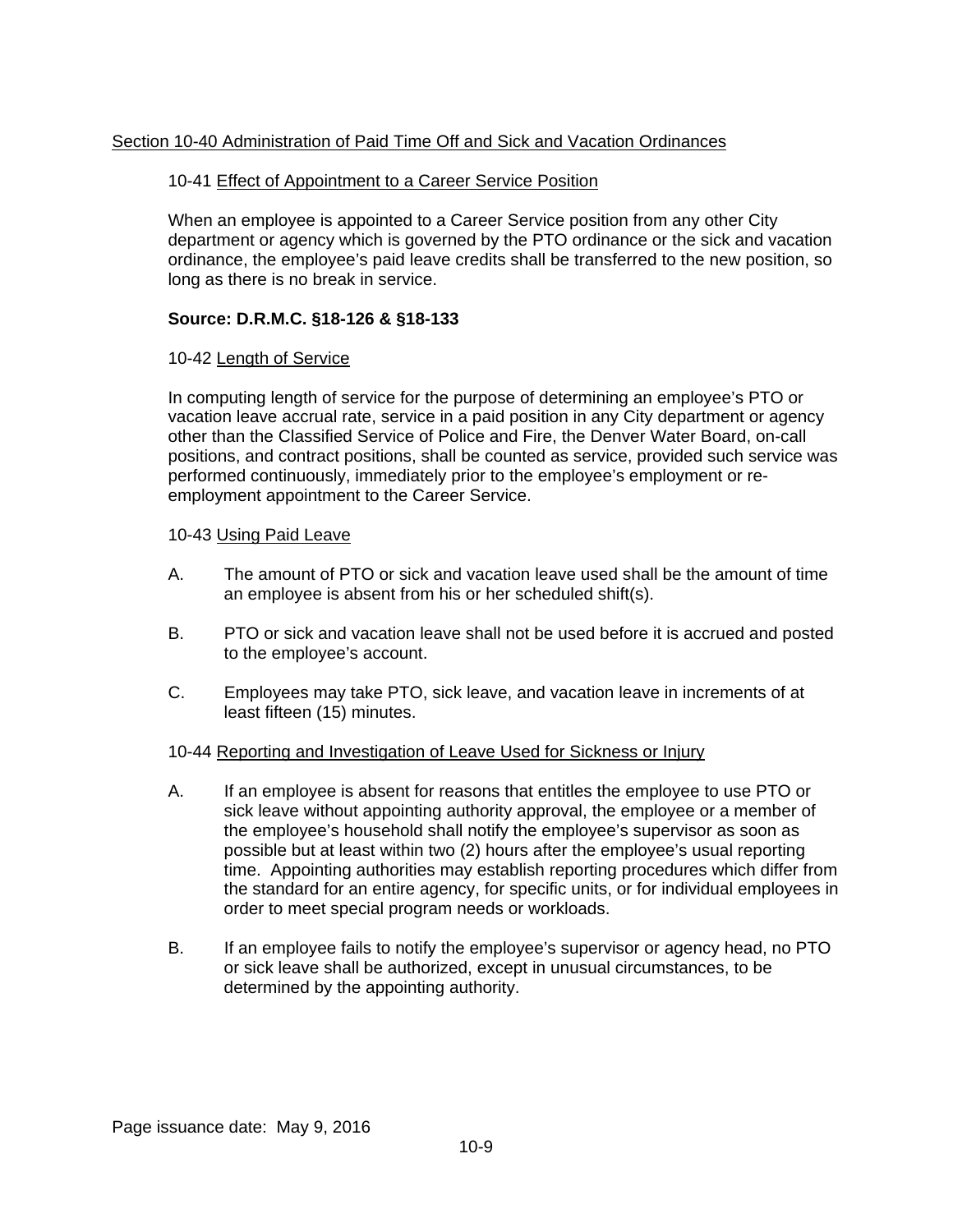## Section 10-40 Administration of Paid Time Off and Sick and Vacation Ordinances

#### 10-41 Effect of Appointment to a Career Service Position

When an employee is appointed to a Career Service position from any other City department or agency which is governed by the PTO ordinance or the sick and vacation ordinance, the employee's paid leave credits shall be transferred to the new position, so long as there is no break in service.

## **Source: D.R.M.C. §18-126 & §18-133**

#### 10-42 Length of Service

In computing length of service for the purpose of determining an employee's PTO or vacation leave accrual rate, service in a paid position in any City department or agency other than the Classified Service of Police and Fire, the Denver Water Board, on-call positions, and contract positions, shall be counted as service, provided such service was performed continuously, immediately prior to the employee's employment or reemployment appointment to the Career Service.

#### 10-43 Using Paid Leave

- A. The amount of PTO or sick and vacation leave used shall be the amount of time an employee is absent from his or her scheduled shift(s).
- B. PTO or sick and vacation leave shall not be used before it is accrued and posted to the employee's account.
- C. Employees may take PTO, sick leave, and vacation leave in increments of at least fifteen (15) minutes.

## 10-44 Reporting and Investigation of Leave Used for Sickness or Injury

- A. If an employee is absent for reasons that entitles the employee to use PTO or sick leave without appointing authority approval, the employee or a member of the employee's household shall notify the employee's supervisor as soon as possible but at least within two (2) hours after the employee's usual reporting time. Appointing authorities may establish reporting procedures which differ from the standard for an entire agency, for specific units, or for individual employees in order to meet special program needs or workloads.
- B. If an employee fails to notify the employee's supervisor or agency head, no PTO or sick leave shall be authorized, except in unusual circumstances, to be determined by the appointing authority.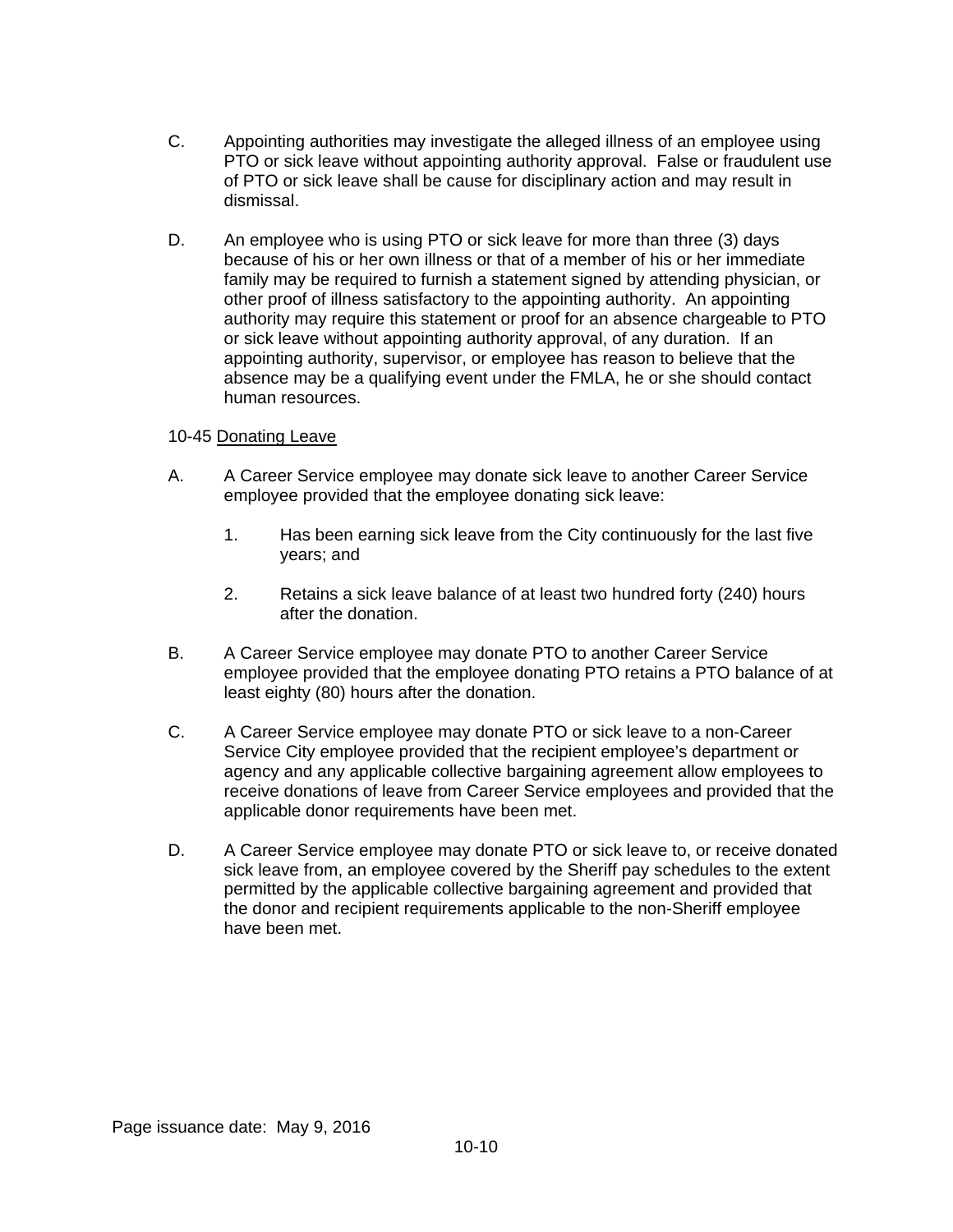- C. Appointing authorities may investigate the alleged illness of an employee using PTO or sick leave without appointing authority approval. False or fraudulent use of PTO or sick leave shall be cause for disciplinary action and may result in dismissal.
- D. An employee who is using PTO or sick leave for more than three (3) days because of his or her own illness or that of a member of his or her immediate family may be required to furnish a statement signed by attending physician, or other proof of illness satisfactory to the appointing authority. An appointing authority may require this statement or proof for an absence chargeable to PTO or sick leave without appointing authority approval, of any duration. If an appointing authority, supervisor, or employee has reason to believe that the absence may be a qualifying event under the FMLA, he or she should contact human resources.

#### 10-45 Donating Leave

- A. A Career Service employee may donate sick leave to another Career Service employee provided that the employee donating sick leave:
	- 1. Has been earning sick leave from the City continuously for the last five years; and
	- 2. Retains a sick leave balance of at least two hundred forty (240) hours after the donation.
- B. A Career Service employee may donate PTO to another Career Service employee provided that the employee donating PTO retains a PTO balance of at least eighty (80) hours after the donation.
- C. A Career Service employee may donate PTO or sick leave to a non-Career Service City employee provided that the recipient employee's department or agency and any applicable collective bargaining agreement allow employees to receive donations of leave from Career Service employees and provided that the applicable donor requirements have been met.
- D. A Career Service employee may donate PTO or sick leave to, or receive donated sick leave from, an employee covered by the Sheriff pay schedules to the extent permitted by the applicable collective bargaining agreement and provided that the donor and recipient requirements applicable to the non-Sheriff employee have been met.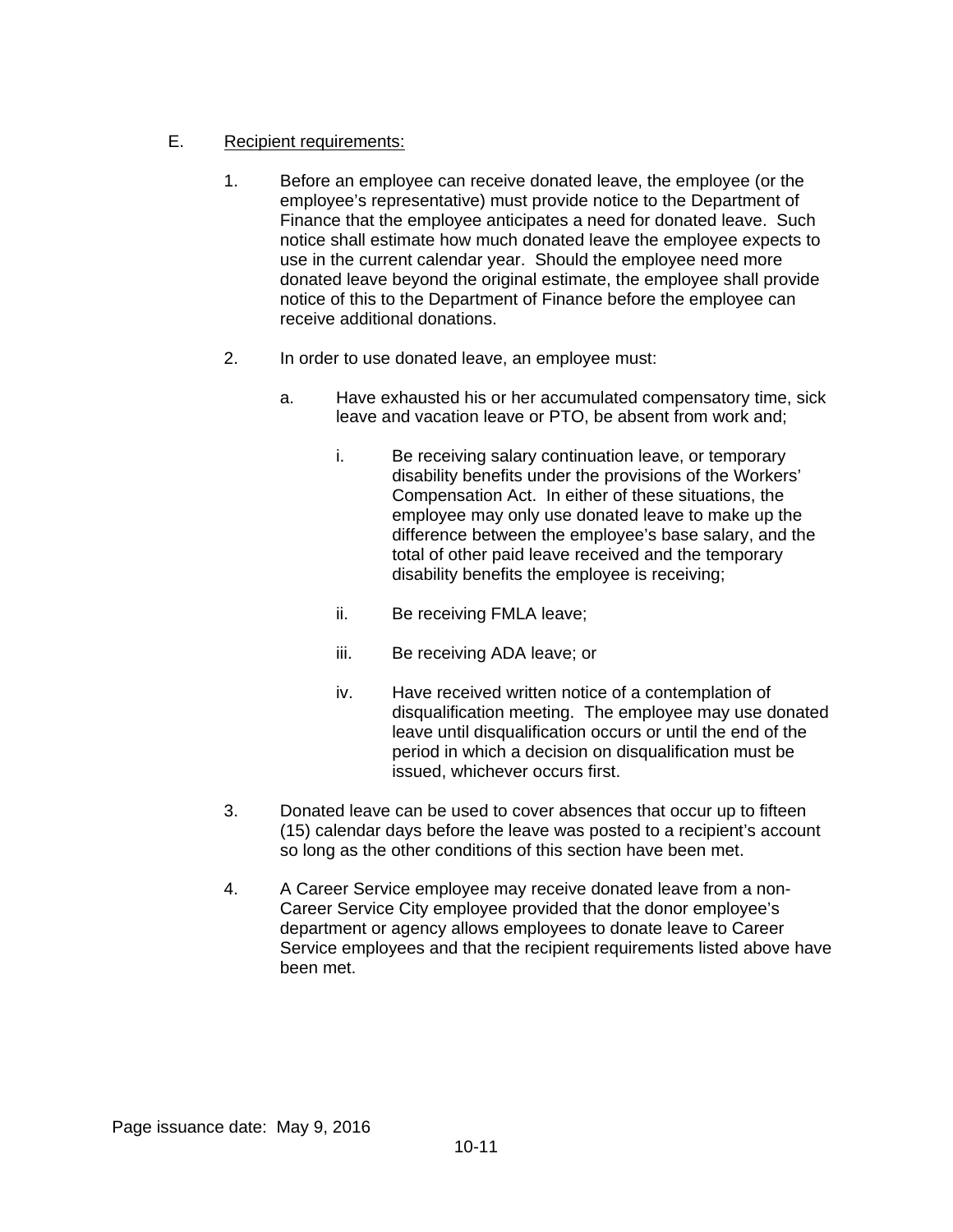# E. Recipient requirements:

- 1. Before an employee can receive donated leave, the employee (or the employee's representative) must provide notice to the Department of Finance that the employee anticipates a need for donated leave. Such notice shall estimate how much donated leave the employee expects to use in the current calendar year. Should the employee need more donated leave beyond the original estimate, the employee shall provide notice of this to the Department of Finance before the employee can receive additional donations.
- 2. In order to use donated leave, an employee must:
	- a. Have exhausted his or her accumulated compensatory time, sick leave and vacation leave or PTO, be absent from work and;
		- i. Be receiving salary continuation leave, or temporary disability benefits under the provisions of the Workers' Compensation Act. In either of these situations, the employee may only use donated leave to make up the difference between the employee's base salary, and the total of other paid leave received and the temporary disability benefits the employee is receiving;
		- ii. Be receiving FMLA leave;
		- iii. Be receiving ADA leave; or
		- iv. Have received written notice of a contemplation of disqualification meeting. The employee may use donated leave until disqualification occurs or until the end of the period in which a decision on disqualification must be issued, whichever occurs first.
- 3. Donated leave can be used to cover absences that occur up to fifteen (15) calendar days before the leave was posted to a recipient's account so long as the other conditions of this section have been met.
- 4. A Career Service employee may receive donated leave from a non-Career Service City employee provided that the donor employee's department or agency allows employees to donate leave to Career Service employees and that the recipient requirements listed above have been met.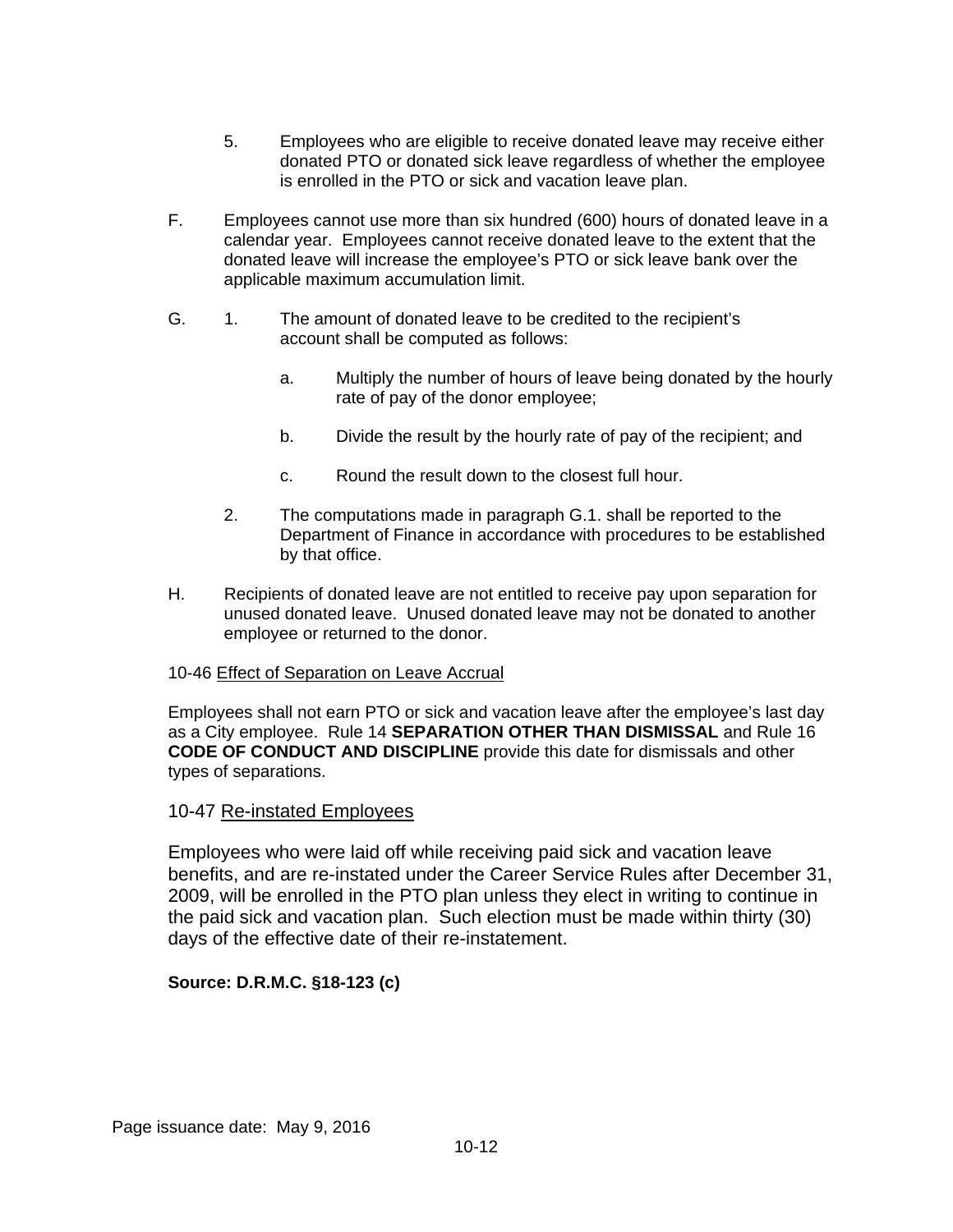- 5. Employees who are eligible to receive donated leave may receive either donated PTO or donated sick leave regardless of whether the employee is enrolled in the PTO or sick and vacation leave plan.
- F. Employees cannot use more than six hundred (600) hours of donated leave in a calendar year. Employees cannot receive donated leave to the extent that the donated leave will increase the employee's PTO or sick leave bank over the applicable maximum accumulation limit.
- G. 1. The amount of donated leave to be credited to the recipient's account shall be computed as follows:
	- a. Multiply the number of hours of leave being donated by the hourly rate of pay of the donor employee;
	- b. Divide the result by the hourly rate of pay of the recipient; and
	- c. Round the result down to the closest full hour.
	- 2. The computations made in paragraph G.1. shall be reported to the Department of Finance in accordance with procedures to be established by that office.
- H. Recipients of donated leave are not entitled to receive pay upon separation for unused donated leave. Unused donated leave may not be donated to another employee or returned to the donor.

## 10-46 Effect of Separation on Leave Accrual

Employees shall not earn PTO or sick and vacation leave after the employee's last day as a City employee. Rule 14 **SEPARATION OTHER THAN DISMISSAL** and Rule 16 **CODE OF CONDUCT AND DISCIPLINE** provide this date for dismissals and other types of separations.

## 10-47 Re-instated Employees

Employees who were laid off while receiving paid sick and vacation leave benefits, and are re-instated under the Career Service Rules after December 31, 2009, will be enrolled in the PTO plan unless they elect in writing to continue in the paid sick and vacation plan. Such election must be made within thirty (30) days of the effective date of their re-instatement.

## **Source: D.R.M.C. §18-123 (c)**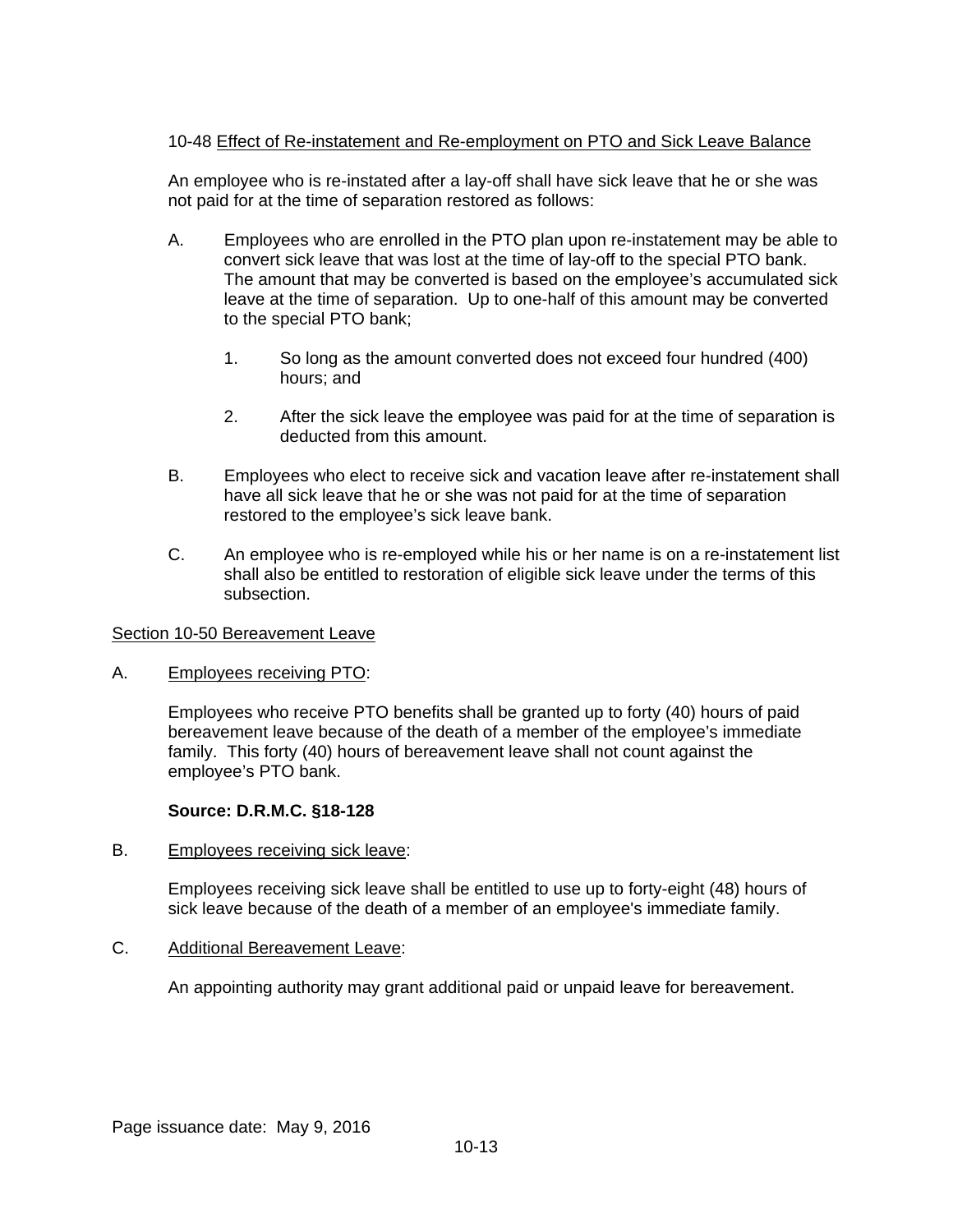## 10-48 Effect of Re-instatement and Re-employment on PTO and Sick Leave Balance

An employee who is re-instated after a lay-off shall have sick leave that he or she was not paid for at the time of separation restored as follows:

- A. Employees who are enrolled in the PTO plan upon re-instatement may be able to convert sick leave that was lost at the time of lay-off to the special PTO bank. The amount that may be converted is based on the employee's accumulated sick leave at the time of separation. Up to one-half of this amount may be converted to the special PTO bank;
	- 1. So long as the amount converted does not exceed four hundred (400) hours; and
	- 2. After the sick leave the employee was paid for at the time of separation is deducted from this amount.
- B. Employees who elect to receive sick and vacation leave after re-instatement shall have all sick leave that he or she was not paid for at the time of separation restored to the employee's sick leave bank.
- C. An employee who is re-employed while his or her name is on a re-instatement list shall also be entitled to restoration of eligible sick leave under the terms of this subsection.

#### Section 10-50 Bereavement Leave

A. Employees receiving PTO:

Employees who receive PTO benefits shall be granted up to forty (40) hours of paid bereavement leave because of the death of a member of the employee's immediate family. This forty (40) hours of bereavement leave shall not count against the employee's PTO bank.

## **Source: D.R.M.C. §18-128**

B. Employees receiving sick leave:

Employees receiving sick leave shall be entitled to use up to forty-eight (48) hours of sick leave because of the death of a member of an employee's immediate family.

C. Additional Bereavement Leave:

An appointing authority may grant additional paid or unpaid leave for bereavement.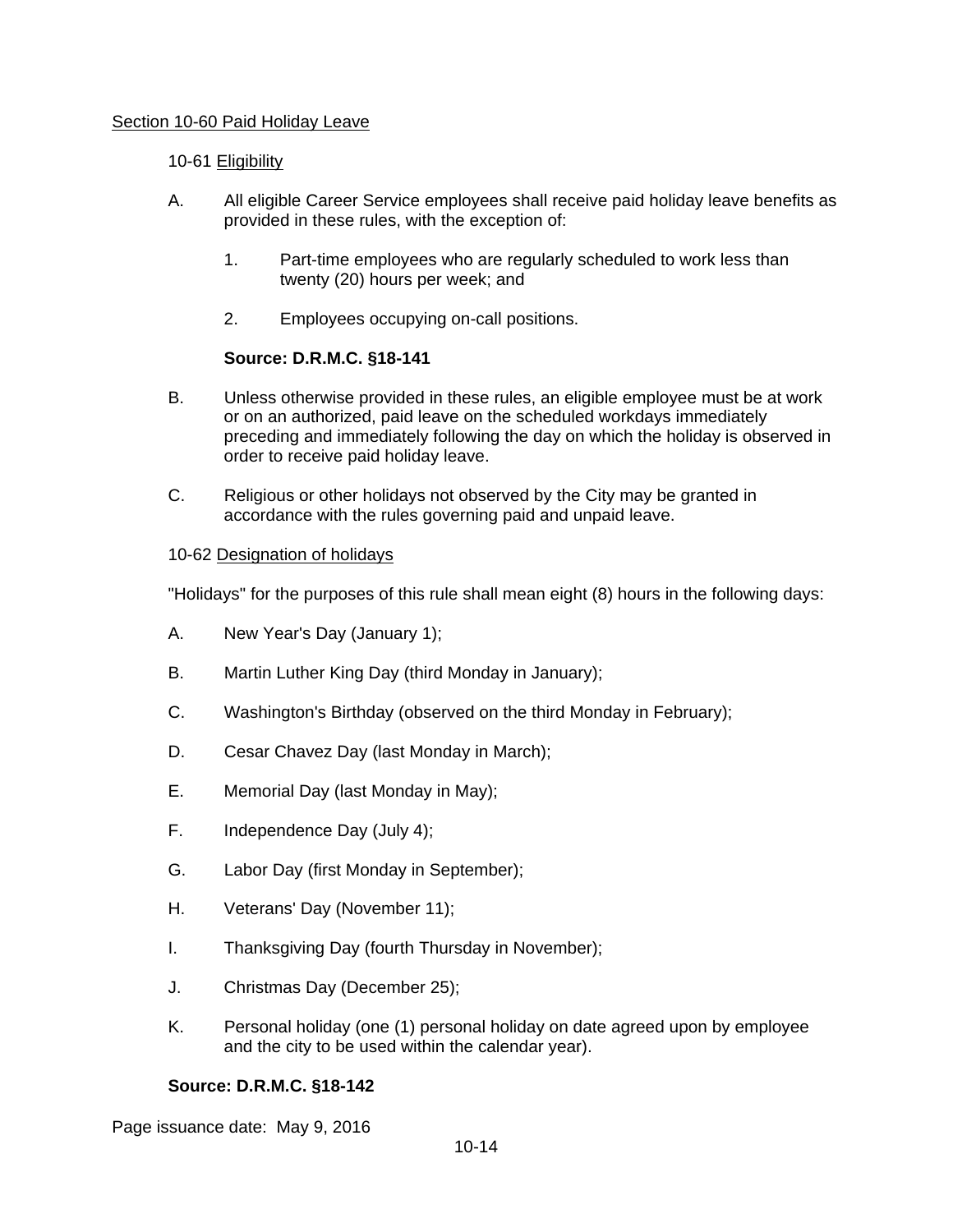#### Section 10-60 Paid Holiday Leave

#### 10-61 Eligibility

- A. All eligible Career Service employees shall receive paid holiday leave benefits as provided in these rules, with the exception of:
	- 1. Part-time employees who are regularly scheduled to work less than twenty (20) hours per week; and
	- 2. Employees occupying on-call positions.

## **Source: D.R.M.C. §18-141**

- B. Unless otherwise provided in these rules, an eligible employee must be at work or on an authorized, paid leave on the scheduled workdays immediately preceding and immediately following the day on which the holiday is observed in order to receive paid holiday leave.
- C. Religious or other holidays not observed by the City may be granted in accordance with the rules governing paid and unpaid leave.

#### 10-62 Designation of holidays

"Holidays" for the purposes of this rule shall mean eight (8) hours in the following days:

- A. New Year's Day (January 1);
- B. Martin Luther King Day (third Monday in January);
- C. Washington's Birthday (observed on the third Monday in February);
- D. Cesar Chavez Day (last Monday in March);
- E. Memorial Day (last Monday in May);
- F. Independence Day (July 4);
- G. Labor Day (first Monday in September);
- H. Veterans' Day (November 11);
- I. Thanksgiving Day (fourth Thursday in November);
- J. Christmas Day (December 25);
- K. Personal holiday (one (1) personal holiday on date agreed upon by employee and the city to be used within the calendar year).

## **Source: D.R.M.C. §18-142**

Page issuance date: May 9, 2016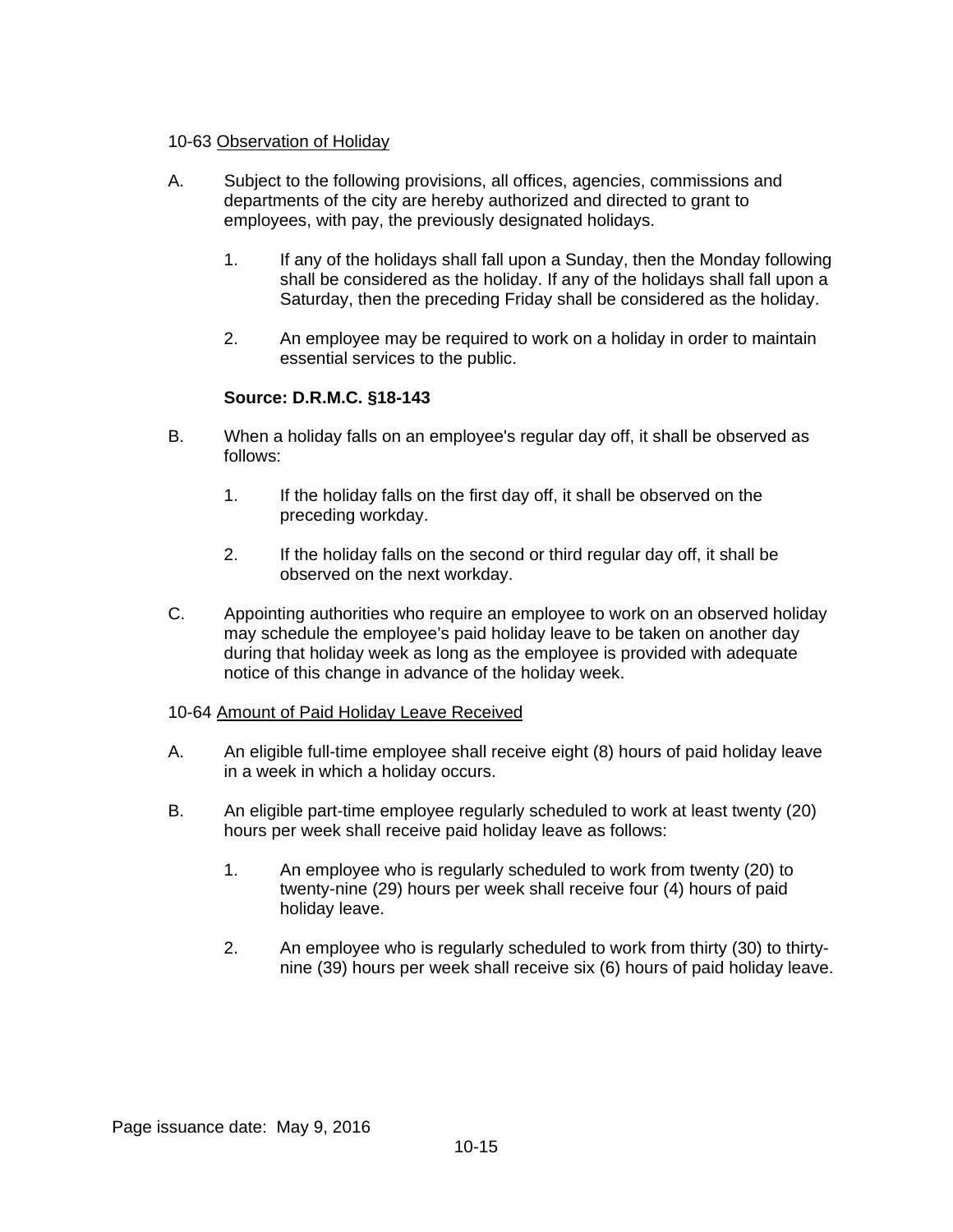#### 10-63 Observation of Holiday

- A. Subject to the following provisions, all offices, agencies, commissions and departments of the city are hereby authorized and directed to grant to employees, with pay, the previously designated holidays.
	- 1. If any of the holidays shall fall upon a Sunday, then the Monday following shall be considered as the holiday. If any of the holidays shall fall upon a Saturday, then the preceding Friday shall be considered as the holiday.
	- 2. An employee may be required to work on a holiday in order to maintain essential services to the public.

## **Source: D.R.M.C. §18-143**

- B. When a holiday falls on an employee's regular day off, it shall be observed as follows:
	- 1. If the holiday falls on the first day off, it shall be observed on the preceding workday.
	- 2. If the holiday falls on the second or third regular day off, it shall be observed on the next workday.
- C. Appointing authorities who require an employee to work on an observed holiday may schedule the employee's paid holiday leave to be taken on another day during that holiday week as long as the employee is provided with adequate notice of this change in advance of the holiday week.

#### 10-64 Amount of Paid Holiday Leave Received

- A. An eligible full-time employee shall receive eight (8) hours of paid holiday leave in a week in which a holiday occurs.
- B. An eligible part-time employee regularly scheduled to work at least twenty (20) hours per week shall receive paid holiday leave as follows:
	- 1. An employee who is regularly scheduled to work from twenty (20) to twenty-nine (29) hours per week shall receive four (4) hours of paid holiday leave.
	- 2. An employee who is regularly scheduled to work from thirty (30) to thirtynine (39) hours per week shall receive six (6) hours of paid holiday leave.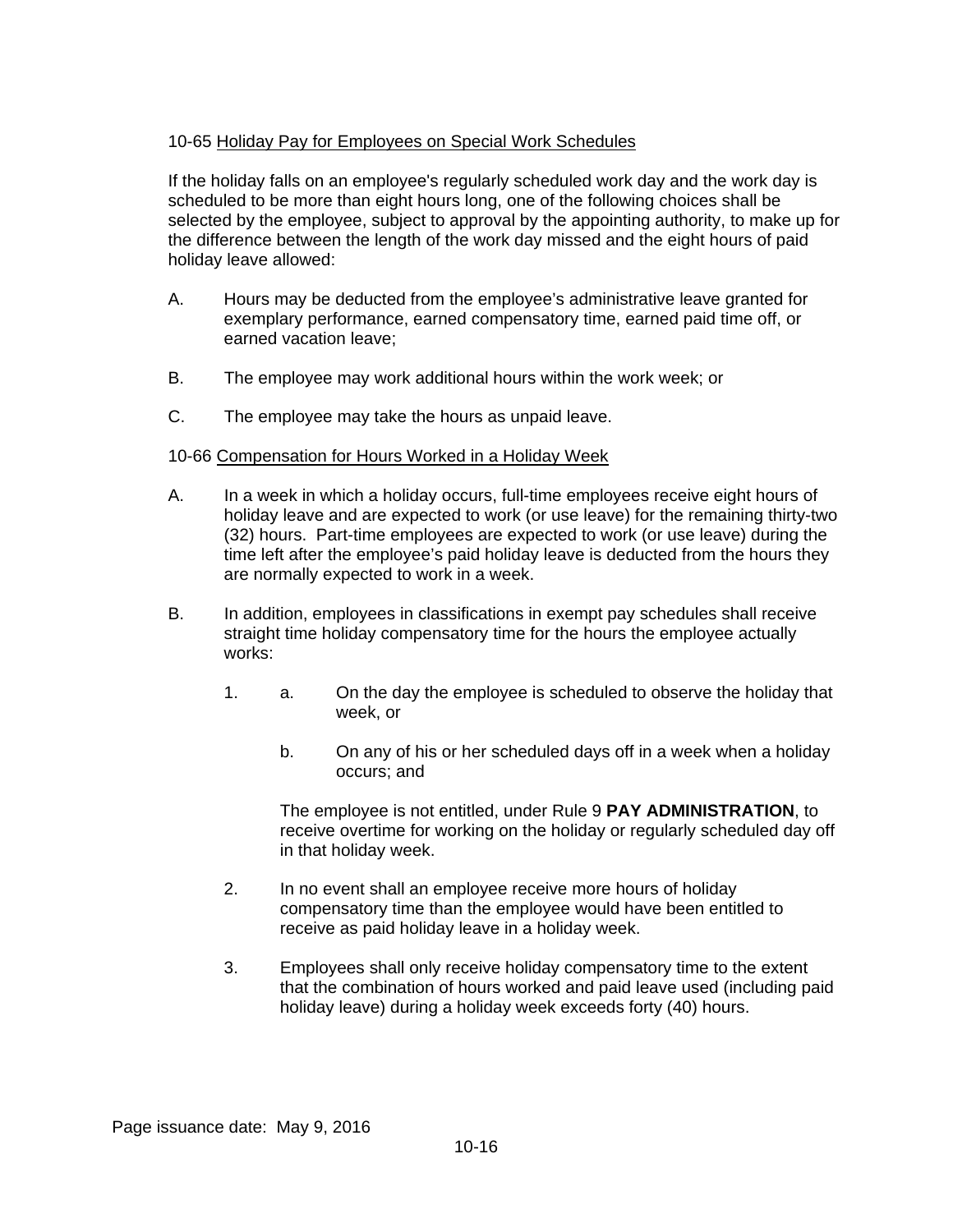## 10-65 Holiday Pay for Employees on Special Work Schedules

If the holiday falls on an employee's regularly scheduled work day and the work day is scheduled to be more than eight hours long, one of the following choices shall be selected by the employee, subject to approval by the appointing authority, to make up for the difference between the length of the work day missed and the eight hours of paid holiday leave allowed:

- A. Hours may be deducted from the employee's administrative leave granted for exemplary performance, earned compensatory time, earned paid time off, or earned vacation leave;
- B. The employee may work additional hours within the work week; or
- C. The employee may take the hours as unpaid leave.

## 10-66 Compensation for Hours Worked in a Holiday Week

- A. In a week in which a holiday occurs, full-time employees receive eight hours of holiday leave and are expected to work (or use leave) for the remaining thirty-two (32) hours. Part-time employees are expected to work (or use leave) during the time left after the employee's paid holiday leave is deducted from the hours they are normally expected to work in a week.
- B. In addition, employees in classifications in exempt pay schedules shall receive straight time holiday compensatory time for the hours the employee actually works:
	- 1. a. On the day the employee is scheduled to observe the holiday that week, or
		- b. On any of his or her scheduled days off in a week when a holiday occurs; and

The employee is not entitled, under Rule 9 **PAY ADMINISTRATION**, to receive overtime for working on the holiday or regularly scheduled day off in that holiday week.

- 2. In no event shall an employee receive more hours of holiday compensatory time than the employee would have been entitled to receive as paid holiday leave in a holiday week.
- 3. Employees shall only receive holiday compensatory time to the extent that the combination of hours worked and paid leave used (including paid holiday leave) during a holiday week exceeds forty (40) hours.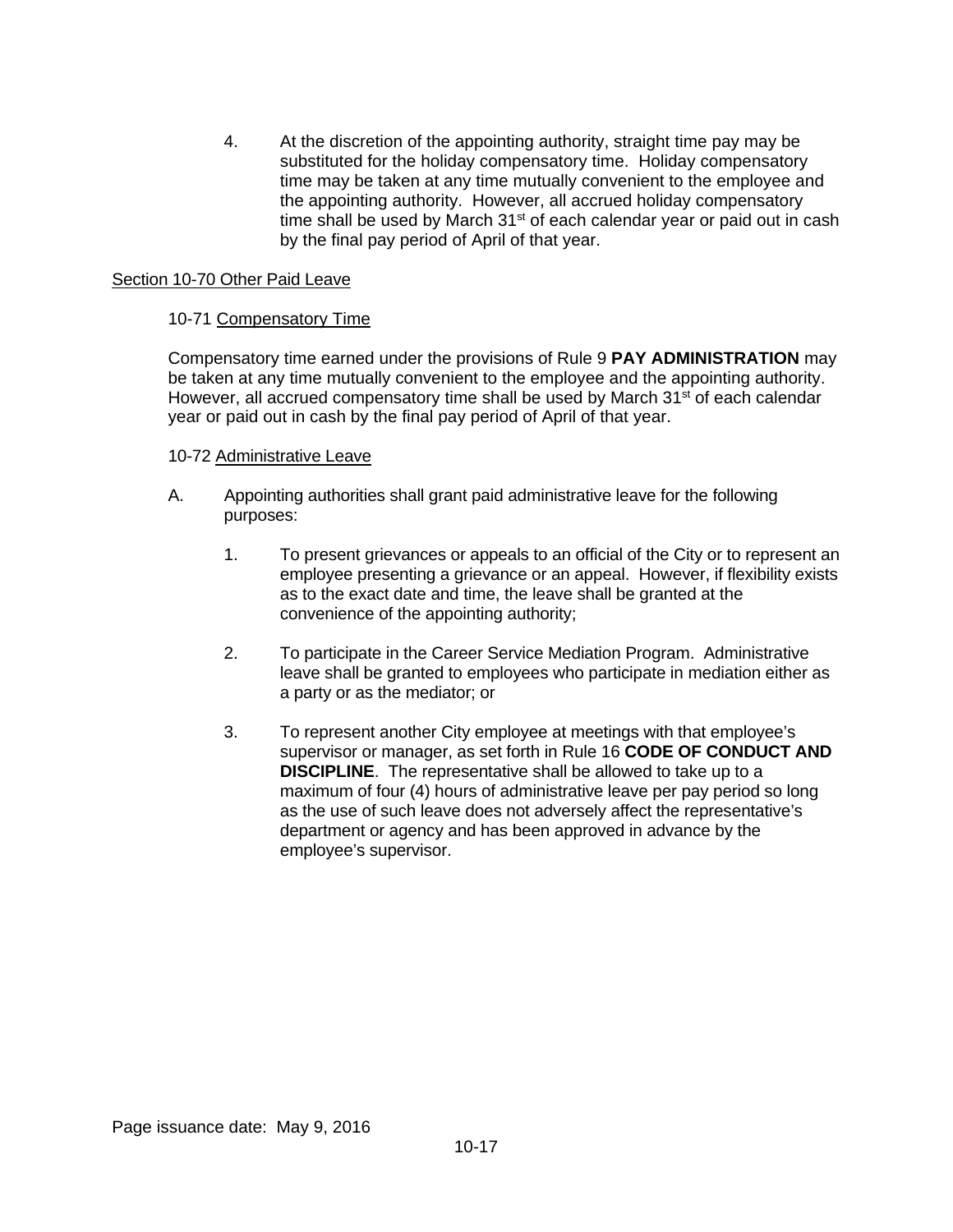4. At the discretion of the appointing authority, straight time pay may be substituted for the holiday compensatory time. Holiday compensatory time may be taken at any time mutually convenient to the employee and the appointing authority. However, all accrued holiday compensatory time shall be used by March  $31<sup>st</sup>$  of each calendar year or paid out in cash by the final pay period of April of that year.

#### Section 10-70 Other Paid Leave

#### 10-71 Compensatory Time

Compensatory time earned under the provisions of Rule 9 **PAY ADMINISTRATION** may be taken at any time mutually convenient to the employee and the appointing authority. However, all accrued compensatory time shall be used by March  $31<sup>st</sup>$  of each calendar year or paid out in cash by the final pay period of April of that year.

#### 10-72 Administrative Leave

- A. Appointing authorities shall grant paid administrative leave for the following purposes:
	- 1. To present grievances or appeals to an official of the City or to represent an employee presenting a grievance or an appeal. However, if flexibility exists as to the exact date and time, the leave shall be granted at the convenience of the appointing authority;
	- 2. To participate in the Career Service Mediation Program. Administrative leave shall be granted to employees who participate in mediation either as a party or as the mediator; or
	- 3. To represent another City employee at meetings with that employee's supervisor or manager, as set forth in Rule 16 **CODE OF CONDUCT AND DISCIPLINE**. The representative shall be allowed to take up to a maximum of four (4) hours of administrative leave per pay period so long as the use of such leave does not adversely affect the representative's department or agency and has been approved in advance by the employee's supervisor.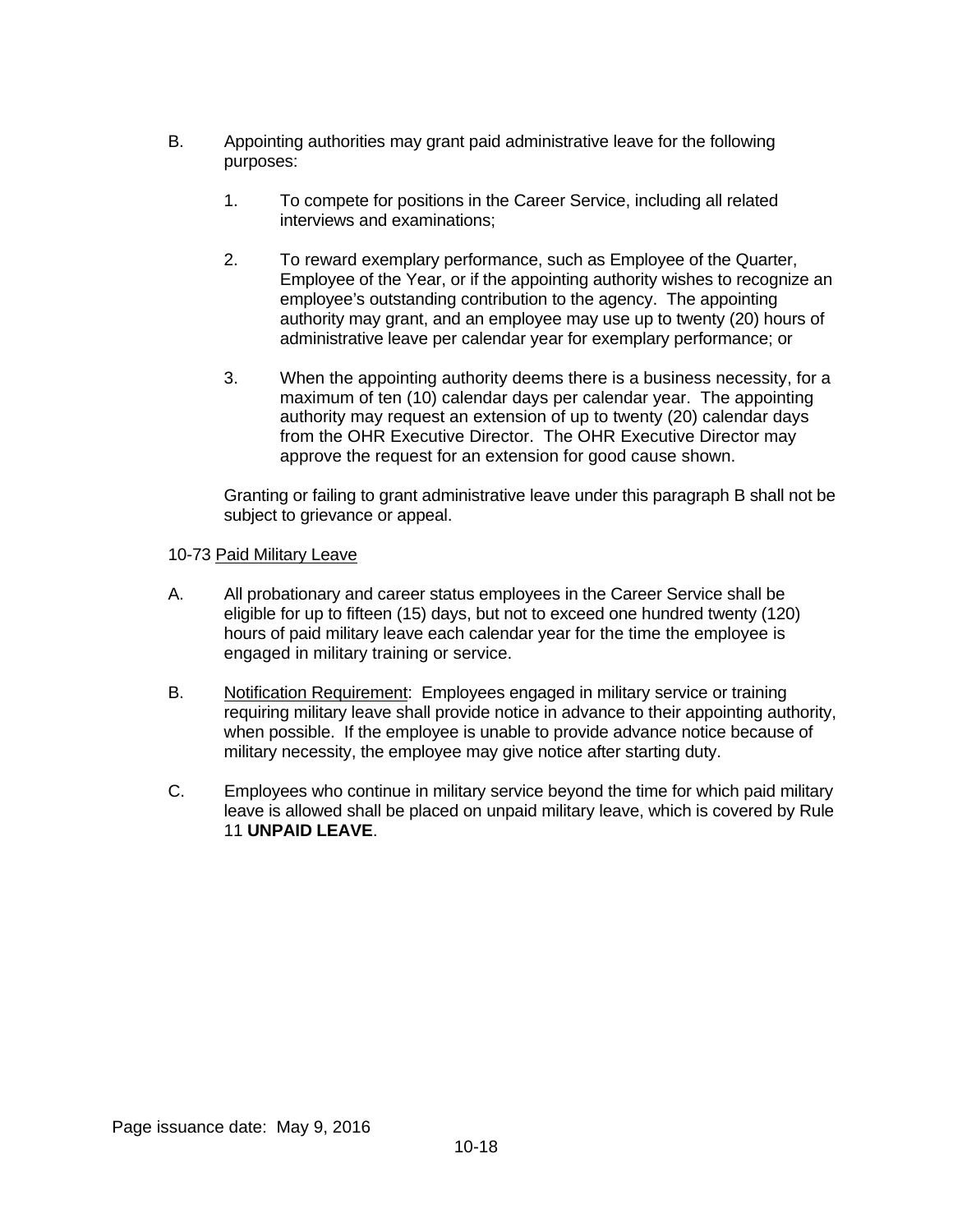- B. Appointing authorities may grant paid administrative leave for the following purposes:
	- 1. To compete for positions in the Career Service, including all related interviews and examinations;
	- 2. To reward exemplary performance, such as Employee of the Quarter, Employee of the Year, or if the appointing authority wishes to recognize an employee's outstanding contribution to the agency. The appointing authority may grant, and an employee may use up to twenty (20) hours of administrative leave per calendar year for exemplary performance; or
	- 3. When the appointing authority deems there is a business necessity, for a maximum of ten (10) calendar days per calendar year. The appointing authority may request an extension of up to twenty (20) calendar days from the OHR Executive Director. The OHR Executive Director may approve the request for an extension for good cause shown.

Granting or failing to grant administrative leave under this paragraph B shall not be subject to grievance or appeal.

#### 10-73 Paid Military Leave

- A. All probationary and career status employees in the Career Service shall be eligible for up to fifteen (15) days, but not to exceed one hundred twenty (120) hours of paid military leave each calendar year for the time the employee is engaged in military training or service.
- B. Notification Requirement: Employees engaged in military service or training requiring military leave shall provide notice in advance to their appointing authority, when possible. If the employee is unable to provide advance notice because of military necessity, the employee may give notice after starting duty.
- C. Employees who continue in military service beyond the time for which paid military leave is allowed shall be placed on unpaid military leave, which is covered by Rule 11 **UNPAID LEAVE**.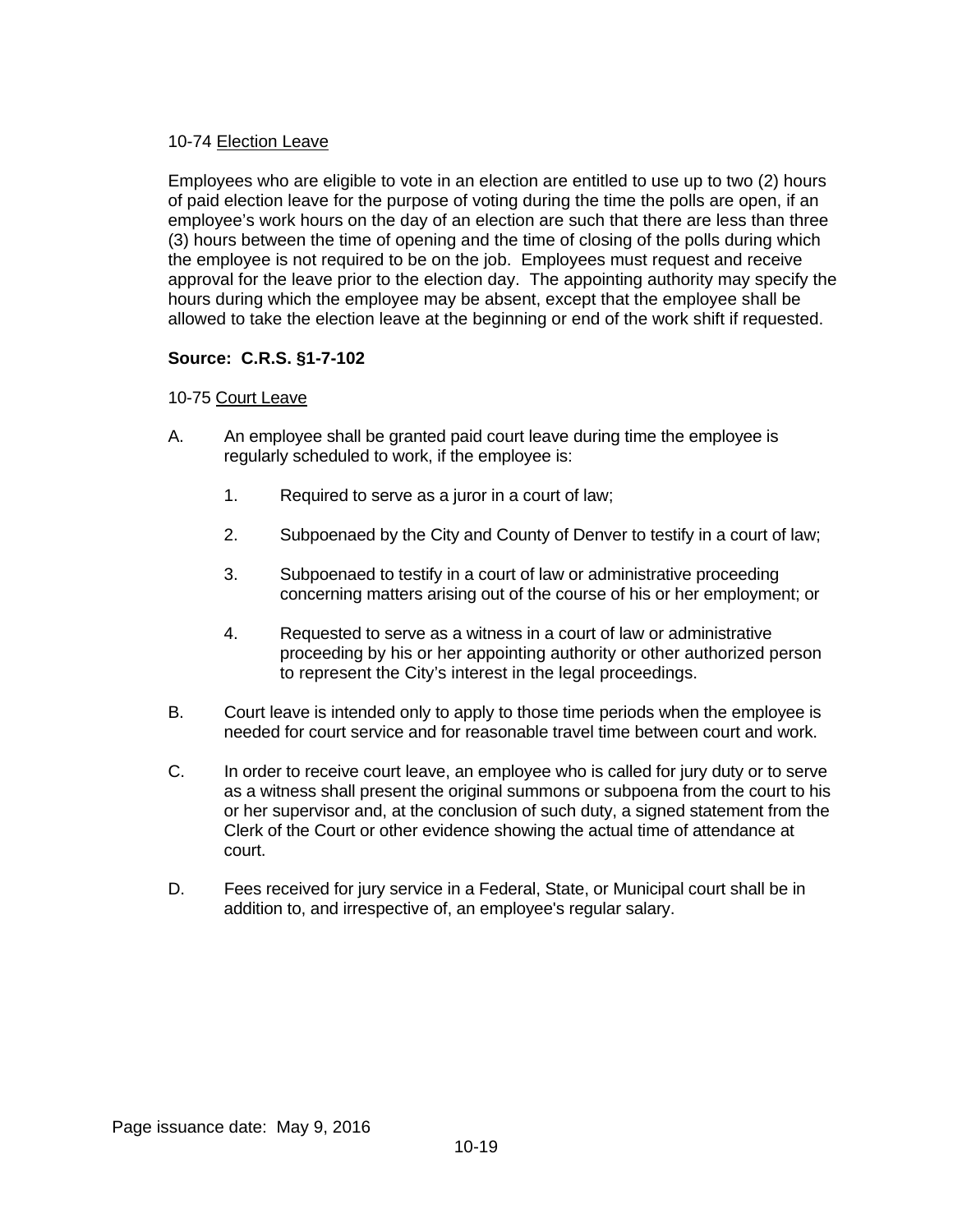## 10-74 Election Leave

Employees who are eligible to vote in an election are entitled to use up to two (2) hours of paid election leave for the purpose of voting during the time the polls are open, if an employee's work hours on the day of an election are such that there are less than three (3) hours between the time of opening and the time of closing of the polls during which the employee is not required to be on the job. Employees must request and receive approval for the leave prior to the election day. The appointing authority may specify the hours during which the employee may be absent, except that the employee shall be allowed to take the election leave at the beginning or end of the work shift if requested.

# **Source: C.R.S. §1-7-102**

## 10-75 Court Leave

- A. An employee shall be granted paid court leave during time the employee is regularly scheduled to work, if the employee is:
	- 1. Required to serve as a juror in a court of law;
	- 2. Subpoenaed by the City and County of Denver to testify in a court of law;
	- 3. Subpoenaed to testify in a court of law or administrative proceeding concerning matters arising out of the course of his or her employment; or
	- 4. Requested to serve as a witness in a court of law or administrative proceeding by his or her appointing authority or other authorized person to represent the City's interest in the legal proceedings.
- B. Court leave is intended only to apply to those time periods when the employee is needed for court service and for reasonable travel time between court and work.
- C. In order to receive court leave, an employee who is called for jury duty or to serve as a witness shall present the original summons or subpoena from the court to his or her supervisor and, at the conclusion of such duty, a signed statement from the Clerk of the Court or other evidence showing the actual time of attendance at court.
- D. Fees received for jury service in a Federal, State, or Municipal court shall be in addition to, and irrespective of, an employee's regular salary.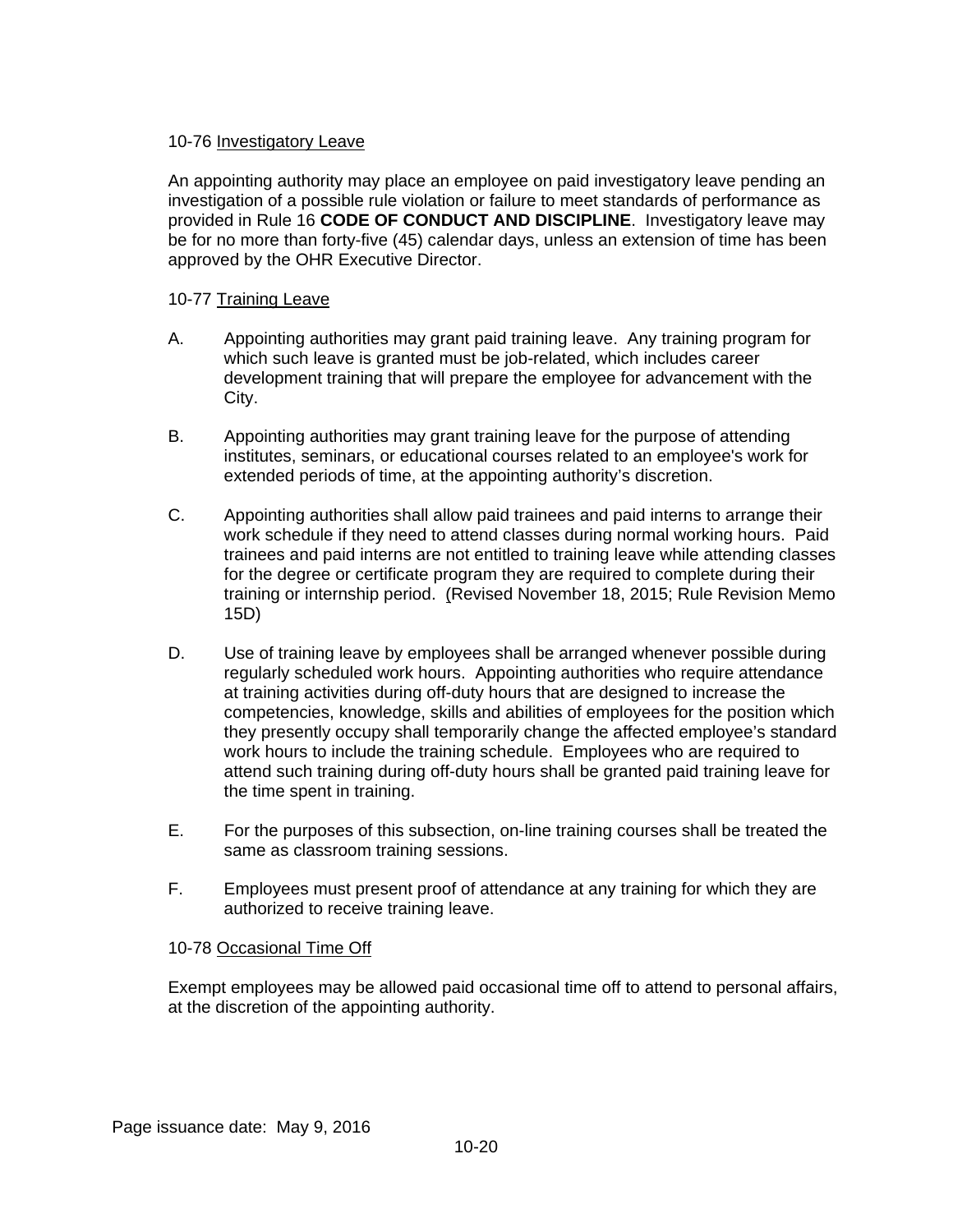## 10-76 Investigatory Leave

An appointing authority may place an employee on paid investigatory leave pending an investigation of a possible rule violation or failure to meet standards of performance as provided in Rule 16 **CODE OF CONDUCT AND DISCIPLINE**. Investigatory leave may be for no more than forty-five (45) calendar days, unless an extension of time has been approved by the OHR Executive Director.

## 10-77 Training Leave

- A. Appointing authorities may grant paid training leave. Any training program for which such leave is granted must be job-related, which includes career development training that will prepare the employee for advancement with the City.
- B. Appointing authorities may grant training leave for the purpose of attending institutes, seminars, or educational courses related to an employee's work for extended periods of time, at the appointing authority's discretion.
- C. Appointing authorities shall allow paid trainees and paid interns to arrange their work schedule if they need to attend classes during normal working hours. Paid trainees and paid interns are not entitled to training leave while attending classes for the degree or certificate program they are required to complete during their training or internship period. (Revised November 18, 2015; Rule Revision Memo 15D)
- D. Use of training leave by employees shall be arranged whenever possible during regularly scheduled work hours. Appointing authorities who require attendance at training activities during off-duty hours that are designed to increase the competencies, knowledge, skills and abilities of employees for the position which they presently occupy shall temporarily change the affected employee's standard work hours to include the training schedule. Employees who are required to attend such training during off-duty hours shall be granted paid training leave for the time spent in training.
- E. For the purposes of this subsection, on-line training courses shall be treated the same as classroom training sessions.
- F. Employees must present proof of attendance at any training for which they are authorized to receive training leave.

## 10-78 Occasional Time Off

Exempt employees may be allowed paid occasional time off to attend to personal affairs, at the discretion of the appointing authority.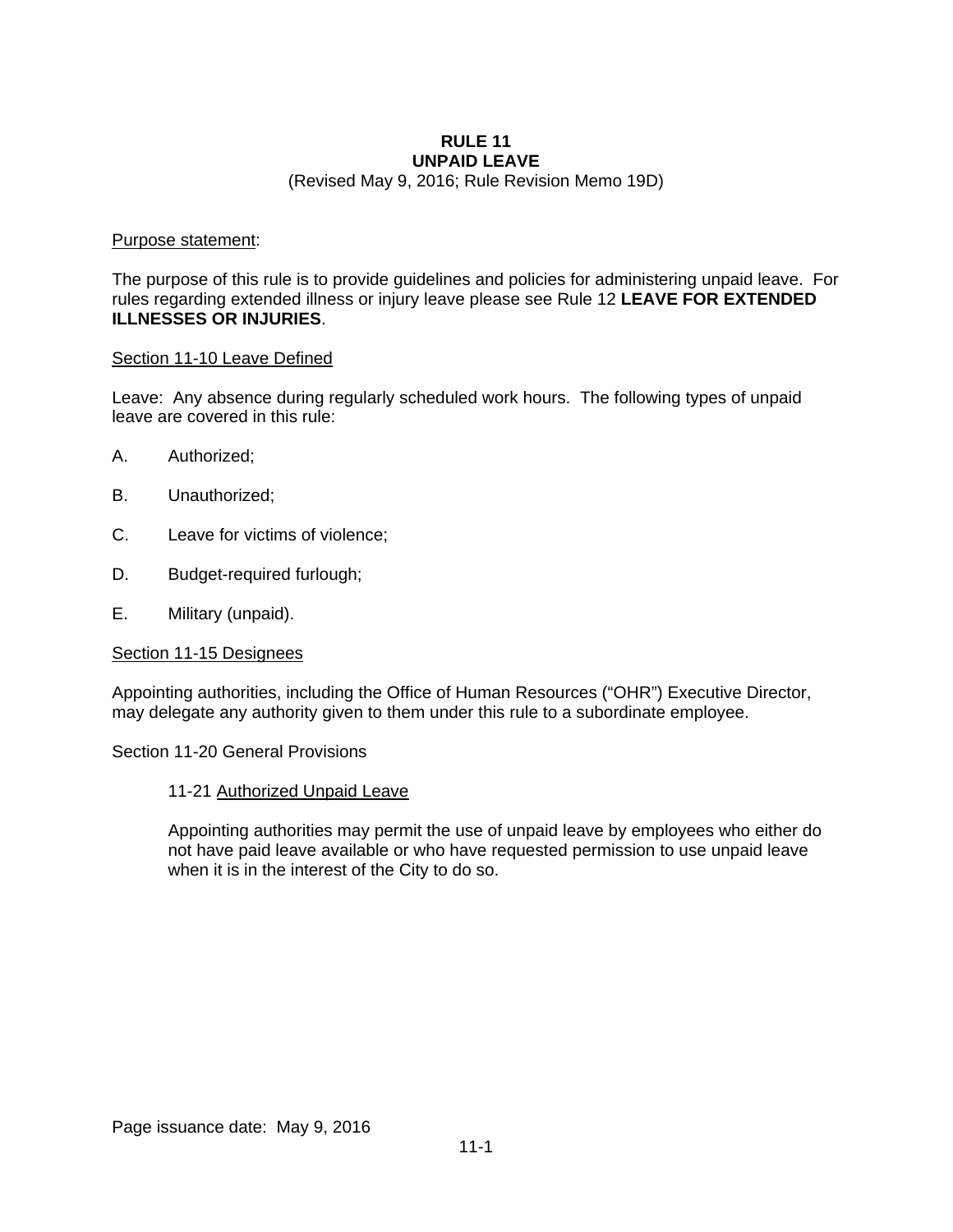#### **RULE 11 UNPAID LEAVE**

(Revised May 9, 2016; Rule Revision Memo 19D)

#### Purpose statement:

The purpose of this rule is to provide guidelines and policies for administering unpaid leave. For rules regarding extended illness or injury leave please see Rule 12 **LEAVE FOR EXTENDED ILLNESSES OR INJURIES**.

#### Section 11-10 Leave Defined

Leave: Any absence during regularly scheduled work hours. The following types of unpaid leave are covered in this rule:

- A. Authorized;
- B. Unauthorized;
- C. Leave for victims of violence;
- D. Budget-required furlough;
- E. Military (unpaid).

#### Section 11-15 Designees

Appointing authorities, including the Office of Human Resources ("OHR") Executive Director, may delegate any authority given to them under this rule to a subordinate employee.

Section 11-20 General Provisions

#### 11-21 Authorized Unpaid Leave

Appointing authorities may permit the use of unpaid leave by employees who either do not have paid leave available or who have requested permission to use unpaid leave when it is in the interest of the City to do so.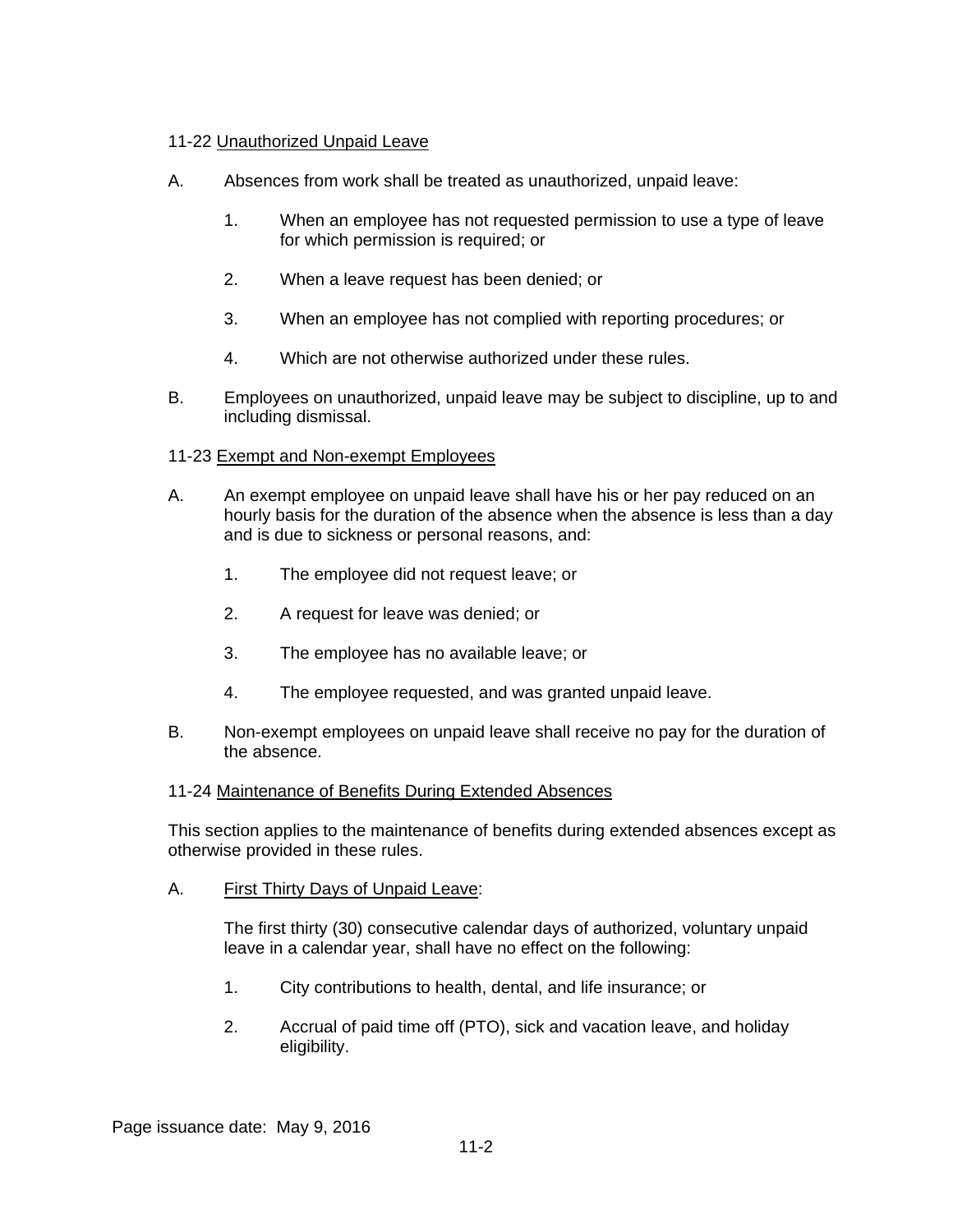## 11-22 Unauthorized Unpaid Leave

- A. Absences from work shall be treated as unauthorized, unpaid leave:
	- 1. When an employee has not requested permission to use a type of leave for which permission is required; or
	- 2. When a leave request has been denied; or
	- 3. When an employee has not complied with reporting procedures; or
	- 4. Which are not otherwise authorized under these rules.
- B. Employees on unauthorized, unpaid leave may be subject to discipline, up to and including dismissal.

## 11-23 Exempt and Non-exempt Employees

- A. An exempt employee on unpaid leave shall have his or her pay reduced on an hourly basis for the duration of the absence when the absence is less than a day and is due to sickness or personal reasons, and:
	- 1. The employee did not request leave; or
	- 2. A request for leave was denied; or
	- 3. The employee has no available leave; or
	- 4. The employee requested, and was granted unpaid leave.
- B. Non-exempt employees on unpaid leave shall receive no pay for the duration of the absence.

## 11-24 Maintenance of Benefits During Extended Absences

This section applies to the maintenance of benefits during extended absences except as otherwise provided in these rules.

A. First Thirty Days of Unpaid Leave:

The first thirty (30) consecutive calendar days of authorized, voluntary unpaid leave in a calendar year, shall have no effect on the following:

- 1. City contributions to health, dental, and life insurance; or
- 2. Accrual of paid time off (PTO), sick and vacation leave, and holiday eligibility.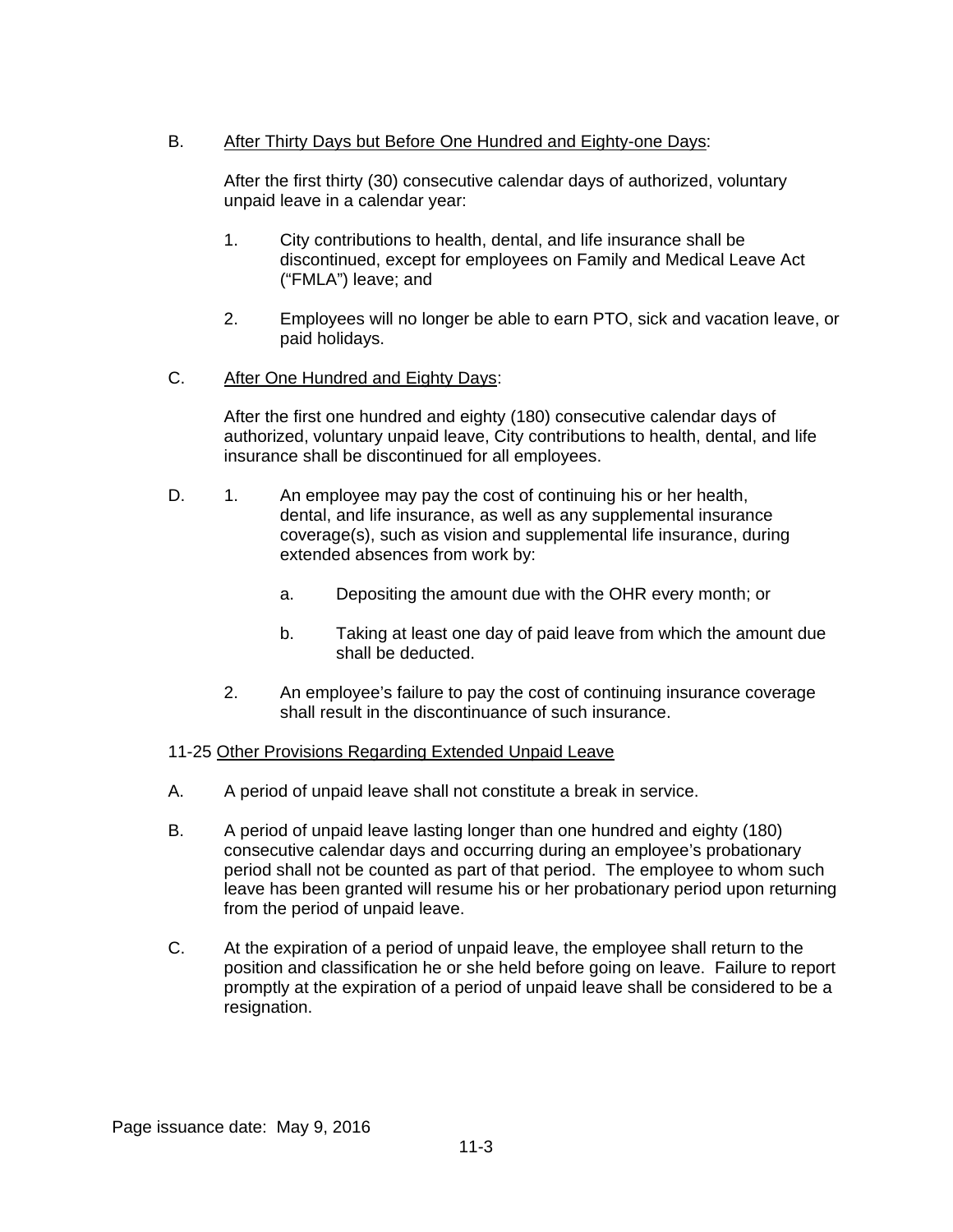## B. After Thirty Days but Before One Hundred and Eighty-one Days:

After the first thirty (30) consecutive calendar days of authorized, voluntary unpaid leave in a calendar year:

- 1. City contributions to health, dental, and life insurance shall be discontinued, except for employees on Family and Medical Leave Act ("FMLA") leave; and
- 2. Employees will no longer be able to earn PTO, sick and vacation leave, or paid holidays.
- C. After One Hundred and Eighty Days:

After the first one hundred and eighty (180) consecutive calendar days of authorized, voluntary unpaid leave, City contributions to health, dental, and life insurance shall be discontinued for all employees.

- D. 1. An employee may pay the cost of continuing his or her health, dental, and life insurance, as well as any supplemental insurance coverage(s), such as vision and supplemental life insurance, during extended absences from work by:
	- a. Depositing the amount due with the OHR every month; or
	- b. Taking at least one day of paid leave from which the amount due shall be deducted.
	- 2. An employee's failure to pay the cost of continuing insurance coverage shall result in the discontinuance of such insurance.

## 11-25 Other Provisions Regarding Extended Unpaid Leave

- A. A period of unpaid leave shall not constitute a break in service.
- B. A period of unpaid leave lasting longer than one hundred and eighty (180) consecutive calendar days and occurring during an employee's probationary period shall not be counted as part of that period. The employee to whom such leave has been granted will resume his or her probationary period upon returning from the period of unpaid leave.
- C. At the expiration of a period of unpaid leave, the employee shall return to the position and classification he or she held before going on leave. Failure to report promptly at the expiration of a period of unpaid leave shall be considered to be a resignation.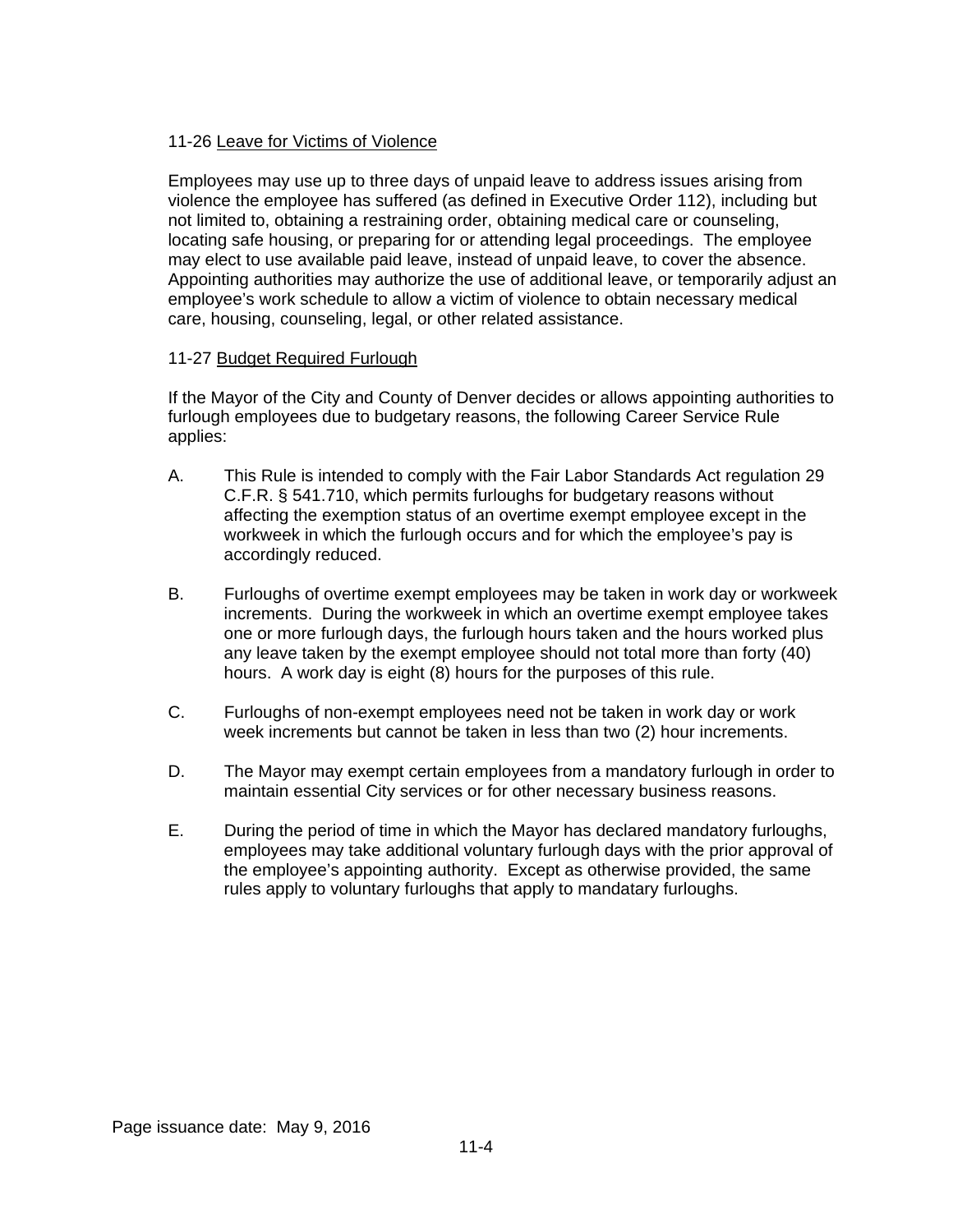## 11-26 Leave for Victims of Violence

Employees may use up to three days of unpaid leave to address issues arising from violence the employee has suffered (as defined in Executive Order 112), including but not limited to, obtaining a restraining order, obtaining medical care or counseling, locating safe housing, or preparing for or attending legal proceedings. The employee may elect to use available paid leave, instead of unpaid leave, to cover the absence. Appointing authorities may authorize the use of additional leave, or temporarily adjust an employee's work schedule to allow a victim of violence to obtain necessary medical care, housing, counseling, legal, or other related assistance.

## 11-27 Budget Required Furlough

If the Mayor of the City and County of Denver decides or allows appointing authorities to furlough employees due to budgetary reasons, the following Career Service Rule applies:

- A. This Rule is intended to comply with the Fair Labor Standards Act regulation 29 C.F.R. § 541.710, which permits furloughs for budgetary reasons without affecting the exemption status of an overtime exempt employee except in the workweek in which the furlough occurs and for which the employee's pay is accordingly reduced.
- B. Furloughs of overtime exempt employees may be taken in work day or workweek increments. During the workweek in which an overtime exempt employee takes one or more furlough days, the furlough hours taken and the hours worked plus any leave taken by the exempt employee should not total more than forty (40) hours. A work day is eight (8) hours for the purposes of this rule.
- C. Furloughs of non-exempt employees need not be taken in work day or work week increments but cannot be taken in less than two (2) hour increments.
- D. The Mayor may exempt certain employees from a mandatory furlough in order to maintain essential City services or for other necessary business reasons.
- E. During the period of time in which the Mayor has declared mandatory furloughs, employees may take additional voluntary furlough days with the prior approval of the employee's appointing authority. Except as otherwise provided, the same rules apply to voluntary furloughs that apply to mandatary furloughs.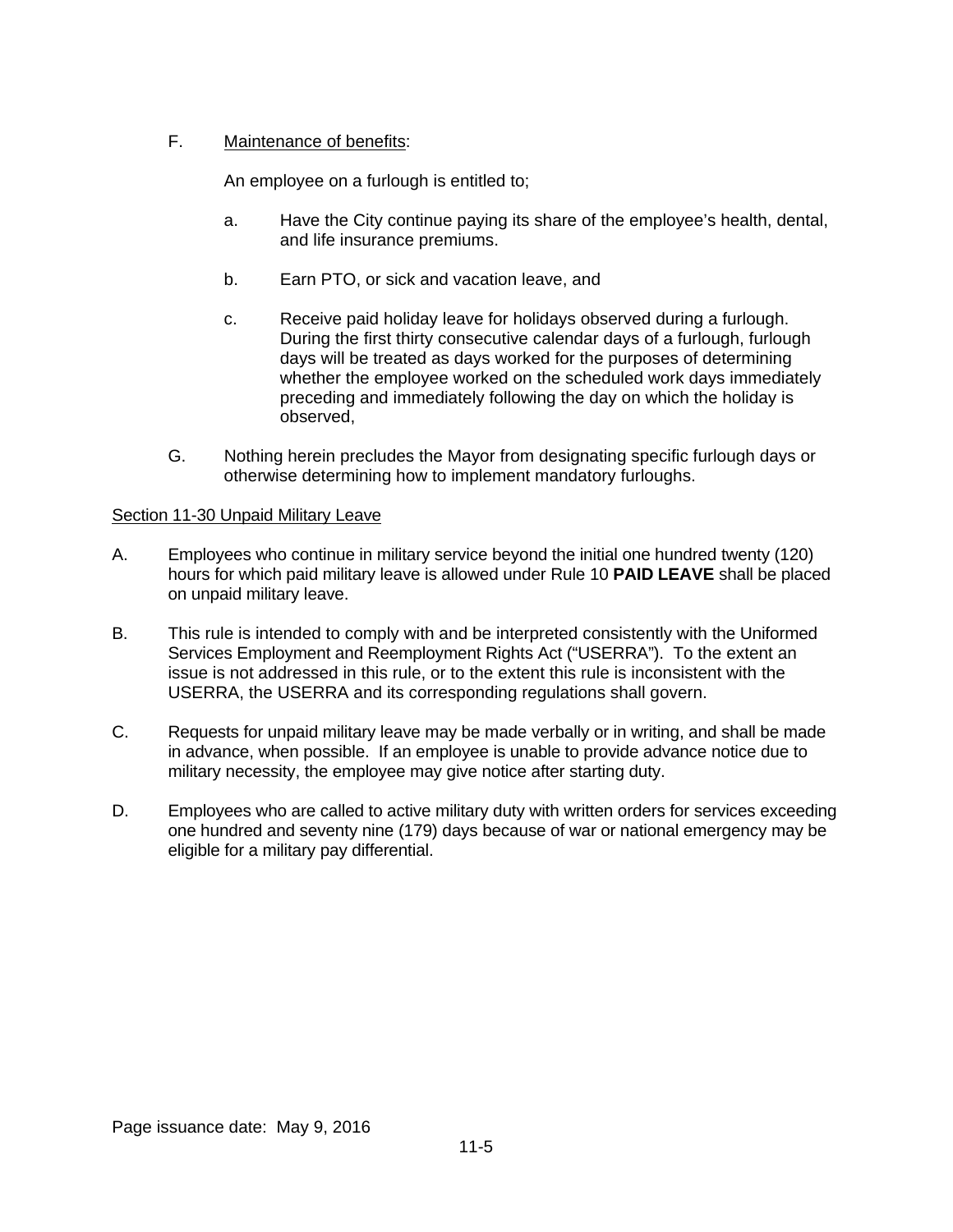## F. Maintenance of benefits:

An employee on a furlough is entitled to;

- a. Have the City continue paying its share of the employee's health, dental, and life insurance premiums.
- b. Earn PTO, or sick and vacation leave, and
- c. Receive paid holiday leave for holidays observed during a furlough. During the first thirty consecutive calendar days of a furlough, furlough days will be treated as days worked for the purposes of determining whether the employee worked on the scheduled work days immediately preceding and immediately following the day on which the holiday is observed,
- G. Nothing herein precludes the Mayor from designating specific furlough days or otherwise determining how to implement mandatory furloughs.

## Section 11-30 Unpaid Military Leave

- A. Employees who continue in military service beyond the initial one hundred twenty (120) hours for which paid military leave is allowed under Rule 10 **PAID LEAVE** shall be placed on unpaid military leave.
- B. This rule is intended to comply with and be interpreted consistently with the Uniformed Services Employment and Reemployment Rights Act ("USERRA"). To the extent an issue is not addressed in this rule, or to the extent this rule is inconsistent with the USERRA, the USERRA and its corresponding regulations shall govern.
- C. Requests for unpaid military leave may be made verbally or in writing, and shall be made in advance, when possible. If an employee is unable to provide advance notice due to military necessity, the employee may give notice after starting duty.
- D. Employees who are called to active military duty with written orders for services exceeding one hundred and seventy nine (179) days because of war or national emergency may be eligible for a military pay differential.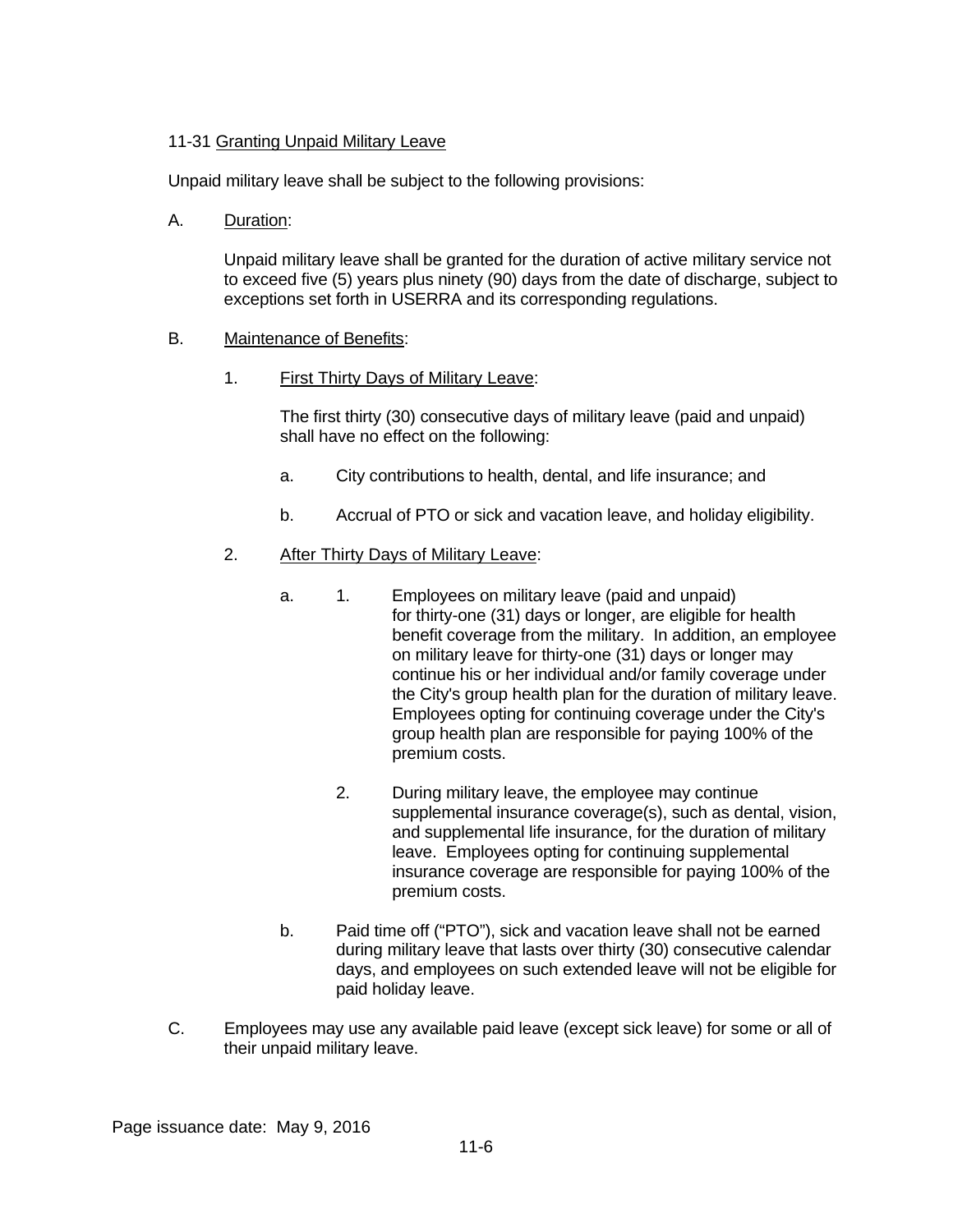## 11-31 Granting Unpaid Military Leave

Unpaid military leave shall be subject to the following provisions:

## A. Duration:

Unpaid military leave shall be granted for the duration of active military service not to exceed five (5) years plus ninety (90) days from the date of discharge, subject to exceptions set forth in USERRA and its corresponding regulations.

## B. Maintenance of Benefits:

1. First Thirty Days of Military Leave:

The first thirty (30) consecutive days of military leave (paid and unpaid) shall have no effect on the following:

- a. City contributions to health, dental, and life insurance; and
- b. Accrual of PTO or sick and vacation leave, and holiday eligibility.

## 2. After Thirty Days of Military Leave:

- a. 1. Employees on military leave (paid and unpaid) for thirty-one (31) days or longer, are eligible for health benefit coverage from the military. In addition, an employee on military leave for thirty-one (31) days or longer may continue his or her individual and/or family coverage under the City's group health plan for the duration of military leave. Employees opting for continuing coverage under the City's group health plan are responsible for paying 100% of the premium costs.
	- 2. During military leave, the employee may continue supplemental insurance coverage(s), such as dental, vision, and supplemental life insurance, for the duration of military leave. Employees opting for continuing supplemental insurance coverage are responsible for paying 100% of the premium costs.
- b. Paid time off ("PTO"), sick and vacation leave shall not be earned during military leave that lasts over thirty (30) consecutive calendar days, and employees on such extended leave will not be eligible for paid holiday leave.
- C. Employees may use any available paid leave (except sick leave) for some or all of their unpaid military leave.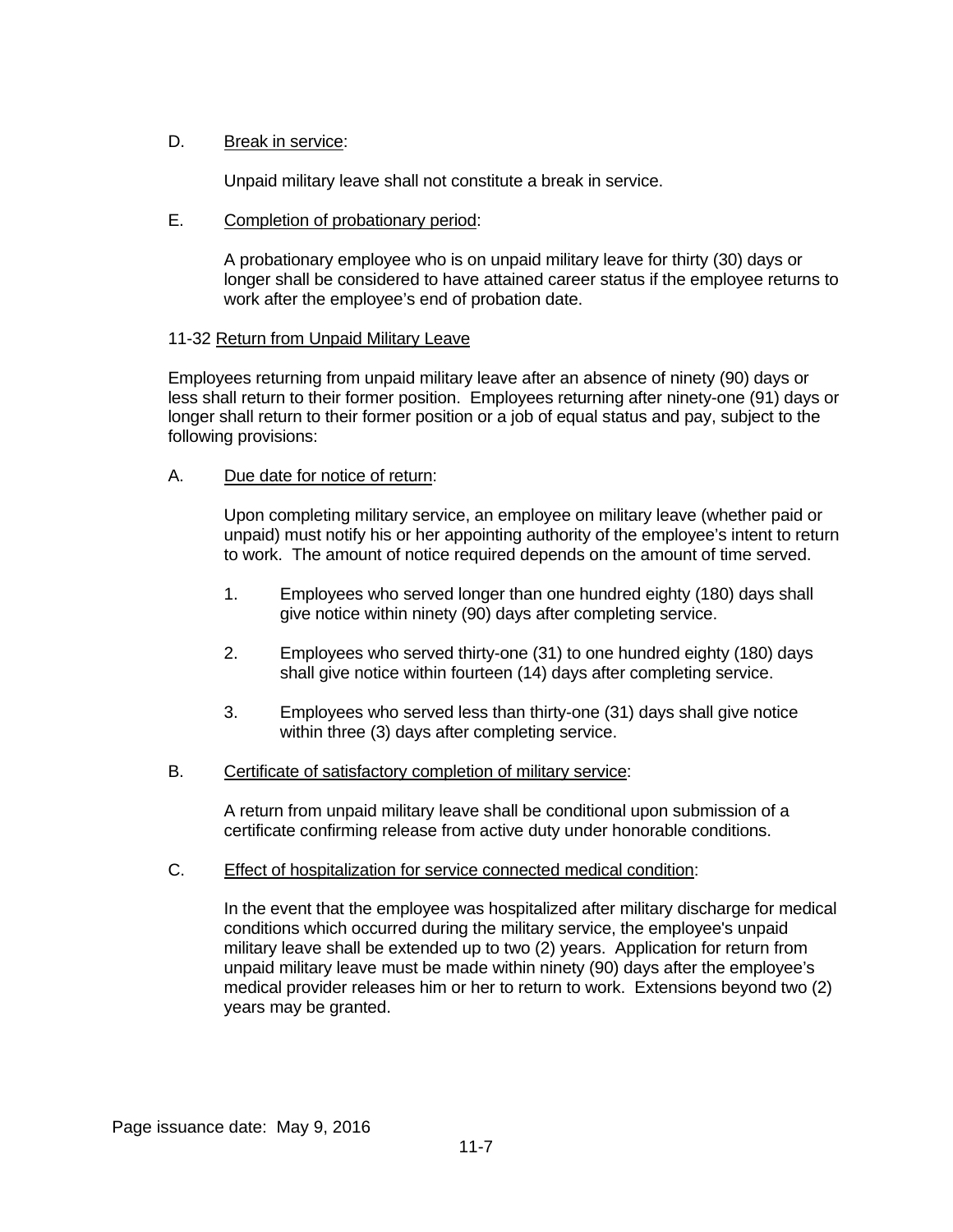## D. Break in service:

Unpaid military leave shall not constitute a break in service.

#### E. Completion of probationary period:

A probationary employee who is on unpaid military leave for thirty (30) days or longer shall be considered to have attained career status if the employee returns to work after the employee's end of probation date.

#### 11-32 Return from Unpaid Military Leave

Employees returning from unpaid military leave after an absence of ninety (90) days or less shall return to their former position. Employees returning after ninety-one (91) days or longer shall return to their former position or a job of equal status and pay, subject to the following provisions:

#### A. Due date for notice of return:

Upon completing military service, an employee on military leave (whether paid or unpaid) must notify his or her appointing authority of the employee's intent to return to work. The amount of notice required depends on the amount of time served.

- 1. Employees who served longer than one hundred eighty (180) days shall give notice within ninety (90) days after completing service.
- 2. Employees who served thirty-one (31) to one hundred eighty (180) days shall give notice within fourteen (14) days after completing service.
- 3. Employees who served less than thirty-one (31) days shall give notice within three (3) days after completing service.
- B. Certificate of satisfactory completion of military service:

A return from unpaid military leave shall be conditional upon submission of a certificate confirming release from active duty under honorable conditions.

C. Effect of hospitalization for service connected medical condition:

In the event that the employee was hospitalized after military discharge for medical conditions which occurred during the military service, the employee's unpaid military leave shall be extended up to two (2) years. Application for return from unpaid military leave must be made within ninety (90) days after the employee's medical provider releases him or her to return to work. Extensions beyond two (2) years may be granted.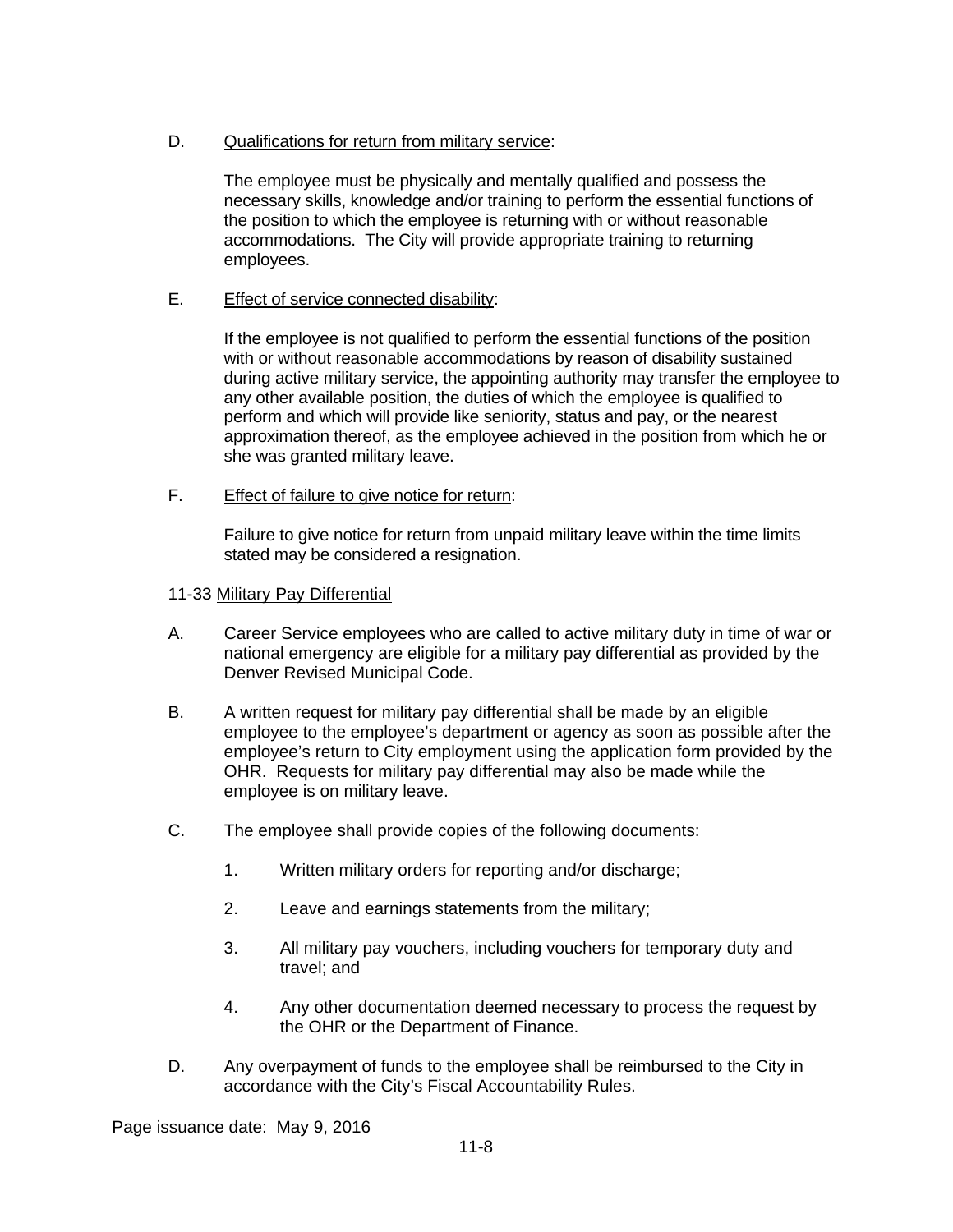## D. Qualifications for return from military service:

The employee must be physically and mentally qualified and possess the necessary skills, knowledge and/or training to perform the essential functions of the position to which the employee is returning with or without reasonable accommodations. The City will provide appropriate training to returning employees.

## E. Effect of service connected disability:

If the employee is not qualified to perform the essential functions of the position with or without reasonable accommodations by reason of disability sustained during active military service, the appointing authority may transfer the employee to any other available position, the duties of which the employee is qualified to perform and which will provide like seniority, status and pay, or the nearest approximation thereof, as the employee achieved in the position from which he or she was granted military leave.

## F. Effect of failure to give notice for return:

Failure to give notice for return from unpaid military leave within the time limits stated may be considered a resignation.

#### 11-33 Military Pay Differential

- A. Career Service employees who are called to active military duty in time of war or national emergency are eligible for a military pay differential as provided by the Denver Revised Municipal Code.
- B. A written request for military pay differential shall be made by an eligible employee to the employee's department or agency as soon as possible after the employee's return to City employment using the application form provided by the OHR. Requests for military pay differential may also be made while the employee is on military leave.
- C. The employee shall provide copies of the following documents:
	- 1. Written military orders for reporting and/or discharge;
	- 2. Leave and earnings statements from the military;
	- 3. All military pay vouchers, including vouchers for temporary duty and travel; and
	- 4. Any other documentation deemed necessary to process the request by the OHR or the Department of Finance.
- D. Any overpayment of funds to the employee shall be reimbursed to the City in accordance with the City's Fiscal Accountability Rules.

Page issuance date: May 9, 2016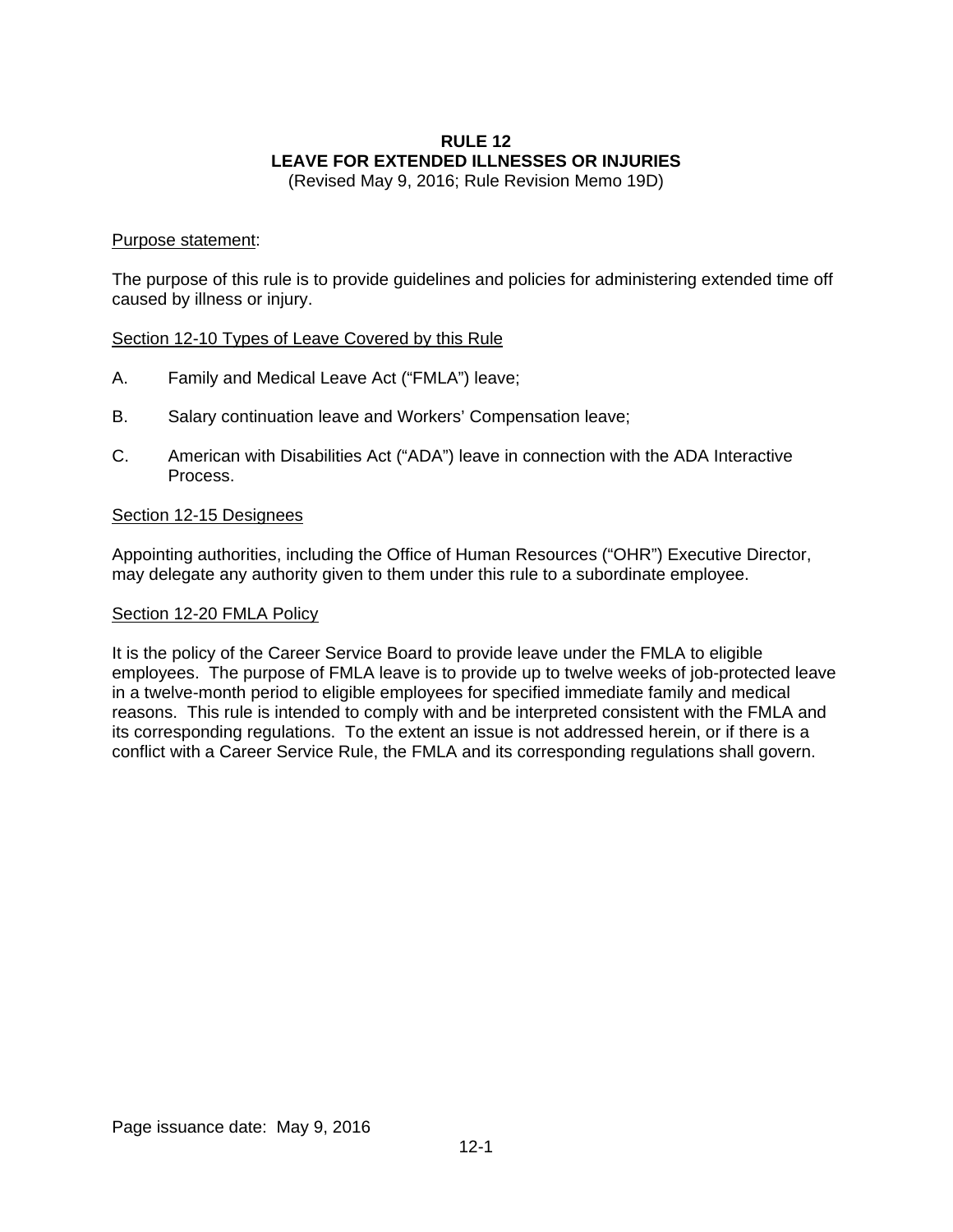## **RULE 12 LEAVE FOR EXTENDED ILLNESSES OR INJURIES**

(Revised May 9, 2016; Rule Revision Memo 19D)

#### Purpose statement:

The purpose of this rule is to provide guidelines and policies for administering extended time off caused by illness or injury.

#### Section 12-10 Types of Leave Covered by this Rule

- A. Family and Medical Leave Act ("FMLA") leave;
- B. Salary continuation leave and Workers' Compensation leave;
- C. American with Disabilities Act ("ADA") leave in connection with the ADA Interactive Process.

#### Section 12-15 Designees

Appointing authorities, including the Office of Human Resources ("OHR") Executive Director, may delegate any authority given to them under this rule to a subordinate employee.

#### Section 12-20 FMLA Policy

It is the policy of the Career Service Board to provide leave under the FMLA to eligible employees. The purpose of FMLA leave is to provide up to twelve weeks of job-protected leave in a twelve-month period to eligible employees for specified immediate family and medical reasons. This rule is intended to comply with and be interpreted consistent with the FMLA and its corresponding regulations. To the extent an issue is not addressed herein, or if there is a conflict with a Career Service Rule, the FMLA and its corresponding regulations shall govern.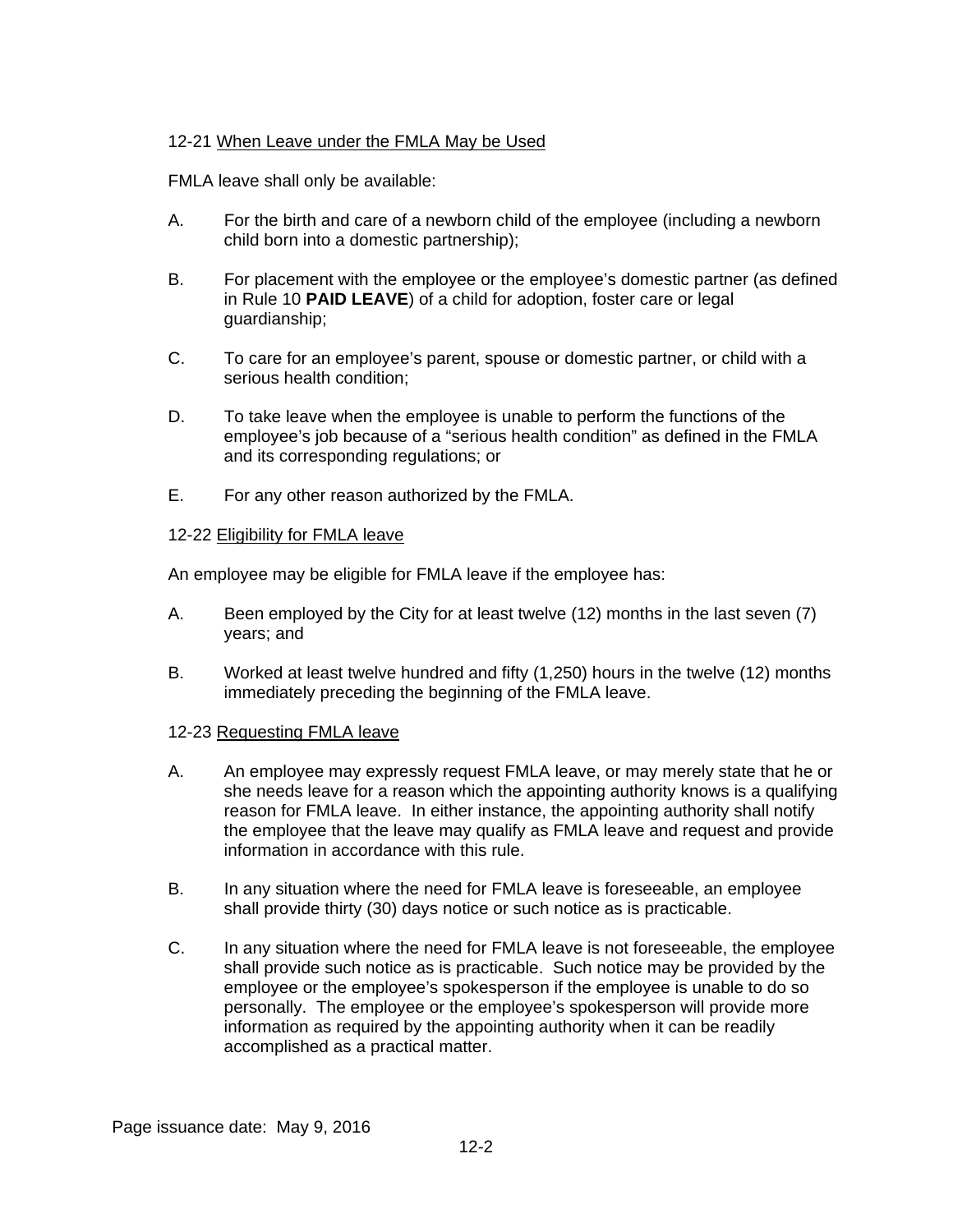## 12-21 When Leave under the FMLA May be Used

FMLA leave shall only be available:

- A. For the birth and care of a newborn child of the employee (including a newborn child born into a domestic partnership);
- B. For placement with the employee or the employee's domestic partner (as defined in Rule 10 **PAID LEAVE**) of a child for adoption, foster care or legal guardianship;
- C. To care for an employee's parent, spouse or domestic partner, or child with a serious health condition;
- D. To take leave when the employee is unable to perform the functions of the employee's job because of a "serious health condition" as defined in the FMLA and its corresponding regulations; or
- E. For any other reason authorized by the FMLA.

#### 12-22 Eligibility for FMLA leave

An employee may be eligible for FMLA leave if the employee has:

- A. Been employed by the City for at least twelve (12) months in the last seven (7) years; and
- B. Worked at least twelve hundred and fifty (1,250) hours in the twelve (12) months immediately preceding the beginning of the FMLA leave.

## 12-23 Requesting FMLA leave

- A. An employee may expressly request FMLA leave, or may merely state that he or she needs leave for a reason which the appointing authority knows is a qualifying reason for FMLA leave. In either instance, the appointing authority shall notify the employee that the leave may qualify as FMLA leave and request and provide information in accordance with this rule.
- B. In any situation where the need for FMLA leave is foreseeable, an employee shall provide thirty (30) days notice or such notice as is practicable.
- C. In any situation where the need for FMLA leave is not foreseeable, the employee shall provide such notice as is practicable. Such notice may be provided by the employee or the employee's spokesperson if the employee is unable to do so personally. The employee or the employee's spokesperson will provide more information as required by the appointing authority when it can be readily accomplished as a practical matter.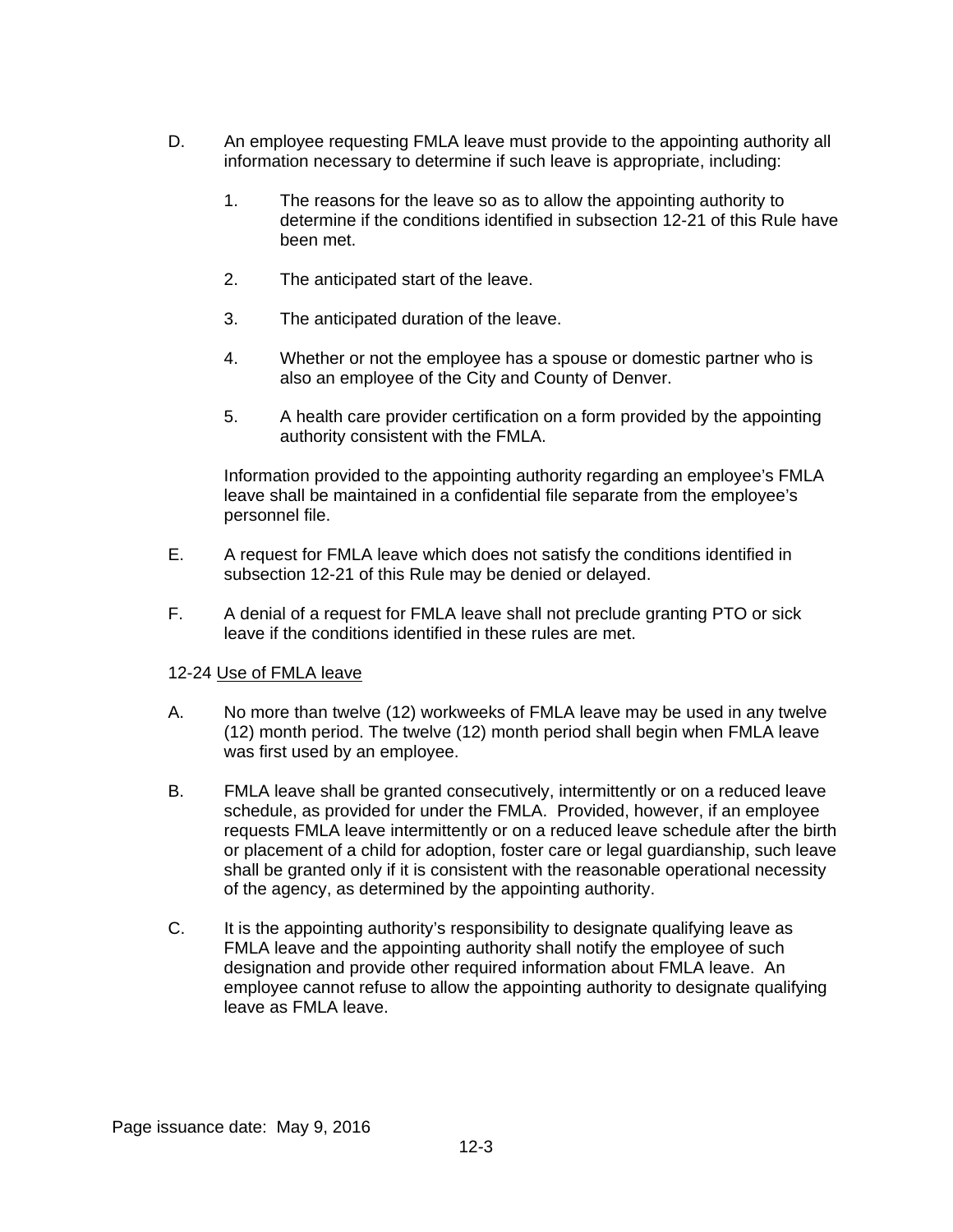- D. An employee requesting FMLA leave must provide to the appointing authority all information necessary to determine if such leave is appropriate, including:
	- 1. The reasons for the leave so as to allow the appointing authority to determine if the conditions identified in subsection 12-21 of this Rule have been met.
	- 2. The anticipated start of the leave.
	- 3. The anticipated duration of the leave.
	- 4. Whether or not the employee has a spouse or domestic partner who is also an employee of the City and County of Denver.
	- 5. A health care provider certification on a form provided by the appointing authority consistent with the FMLA.

Information provided to the appointing authority regarding an employee's FMLA leave shall be maintained in a confidential file separate from the employee's personnel file.

- E. A request for FMLA leave which does not satisfy the conditions identified in subsection 12-21 of this Rule may be denied or delayed.
- F. A denial of a request for FMLA leave shall not preclude granting PTO or sick leave if the conditions identified in these rules are met.

## 12-24 Use of FMLA leave

- A. No more than twelve (12) workweeks of FMLA leave may be used in any twelve (12) month period. The twelve (12) month period shall begin when FMLA leave was first used by an employee.
- B. FMLA leave shall be granted consecutively, intermittently or on a reduced leave schedule, as provided for under the FMLA. Provided, however, if an employee requests FMLA leave intermittently or on a reduced leave schedule after the birth or placement of a child for adoption, foster care or legal guardianship, such leave shall be granted only if it is consistent with the reasonable operational necessity of the agency, as determined by the appointing authority.
- C. It is the appointing authority's responsibility to designate qualifying leave as FMLA leave and the appointing authority shall notify the employee of such designation and provide other required information about FMLA leave. An employee cannot refuse to allow the appointing authority to designate qualifying leave as FMLA leave.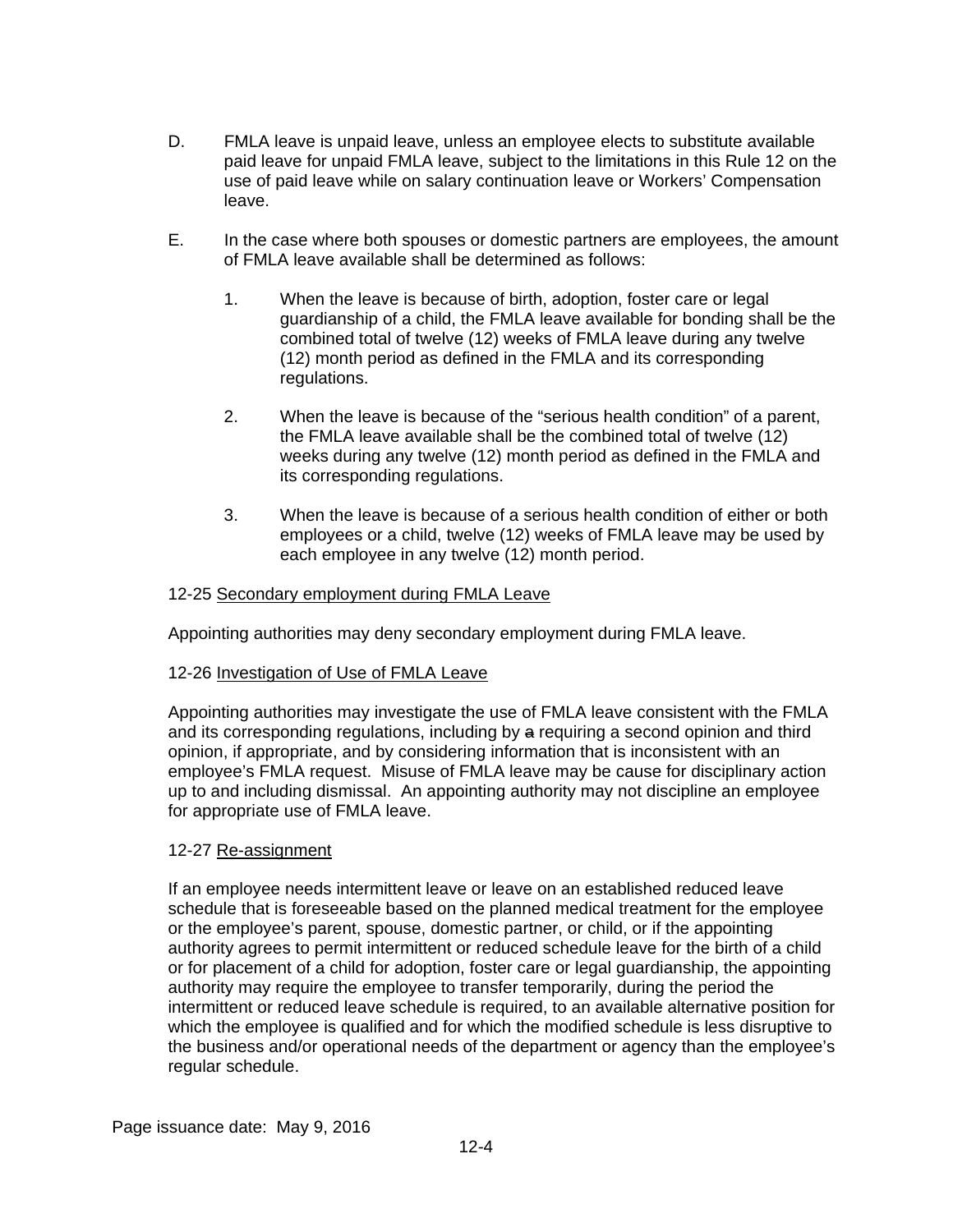- D. FMLA leave is unpaid leave, unless an employee elects to substitute available paid leave for unpaid FMLA leave, subject to the limitations in this Rule 12 on the use of paid leave while on salary continuation leave or Workers' Compensation leave.
- E. In the case where both spouses or domestic partners are employees, the amount of FMLA leave available shall be determined as follows:
	- 1. When the leave is because of birth, adoption, foster care or legal guardianship of a child, the FMLA leave available for bonding shall be the combined total of twelve (12) weeks of FMLA leave during any twelve (12) month period as defined in the FMLA and its corresponding regulations.
	- 2. When the leave is because of the "serious health condition" of a parent, the FMLA leave available shall be the combined total of twelve (12) weeks during any twelve (12) month period as defined in the FMLA and its corresponding regulations.
	- 3. When the leave is because of a serious health condition of either or both employees or a child, twelve (12) weeks of FMLA leave may be used by each employee in any twelve (12) month period.

## 12-25 Secondary employment during FMLA Leave

Appointing authorities may deny secondary employment during FMLA leave.

## 12-26 Investigation of Use of FMLA Leave

Appointing authorities may investigate the use of FMLA leave consistent with the FMLA and its corresponding regulations, including by a requiring a second opinion and third opinion, if appropriate, and by considering information that is inconsistent with an employee's FMLA request. Misuse of FMLA leave may be cause for disciplinary action up to and including dismissal. An appointing authority may not discipline an employee for appropriate use of FMLA leave.

#### 12-27 Re-assignment

If an employee needs intermittent leave or leave on an established reduced leave schedule that is foreseeable based on the planned medical treatment for the employee or the employee's parent, spouse, domestic partner, or child, or if the appointing authority agrees to permit intermittent or reduced schedule leave for the birth of a child or for placement of a child for adoption, foster care or legal guardianship, the appointing authority may require the employee to transfer temporarily, during the period the intermittent or reduced leave schedule is required, to an available alternative position for which the employee is qualified and for which the modified schedule is less disruptive to the business and/or operational needs of the department or agency than the employee's regular schedule.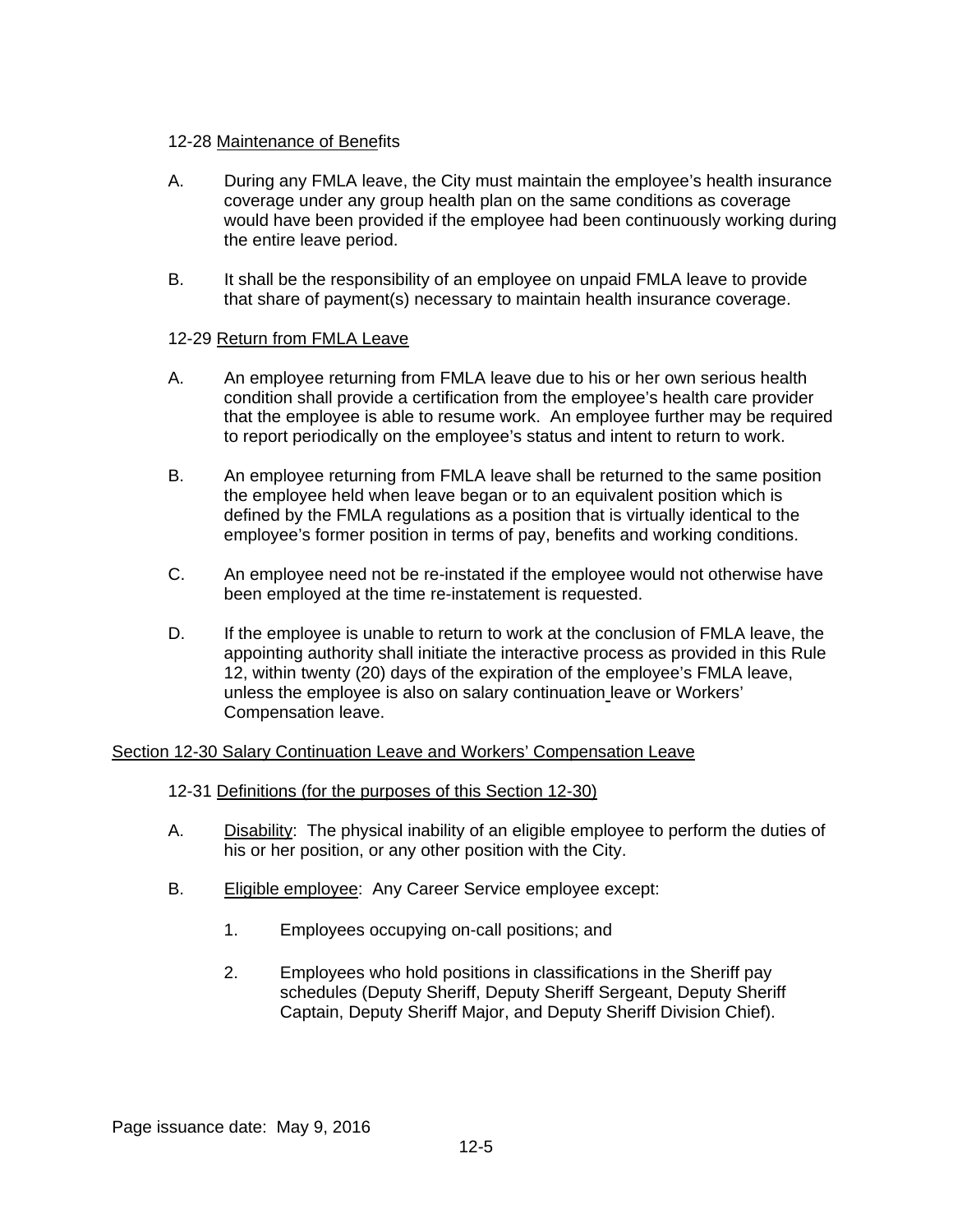#### 12-28 Maintenance of Benefits

- A. During any FMLA leave, the City must maintain the employee's health insurance coverage under any group health plan on the same conditions as coverage would have been provided if the employee had been continuously working during the entire leave period.
- B. It shall be the responsibility of an employee on unpaid FMLA leave to provide that share of payment(s) necessary to maintain health insurance coverage.

## 12-29 Return from FMLA Leave

- A. An employee returning from FMLA leave due to his or her own serious health condition shall provide a certification from the employee's health care provider that the employee is able to resume work. An employee further may be required to report periodically on the employee's status and intent to return to work.
- B. An employee returning from FMLA leave shall be returned to the same position the employee held when leave began or to an equivalent position which is defined by the FMLA regulations as a position that is virtually identical to the employee's former position in terms of pay, benefits and working conditions.
- C. An employee need not be re-instated if the employee would not otherwise have been employed at the time re-instatement is requested.
- D. If the employee is unable to return to work at the conclusion of FMLA leave, the appointing authority shall initiate the interactive process as provided in this Rule 12, within twenty (20) days of the expiration of the employee's FMLA leave, unless the employee is also on salary continuation leave or Workers' Compensation leave.

## Section 12-30 Salary Continuation Leave and Workers' Compensation Leave

## 12-31 Definitions (for the purposes of this Section 12-30)

- A. Disability: The physical inability of an eligible employee to perform the duties of his or her position, or any other position with the City.
- B. Eligible employee: Any Career Service employee except:
	- 1. Employees occupying on-call positions; and
	- 2. Employees who hold positions in classifications in the Sheriff pay schedules (Deputy Sheriff, Deputy Sheriff Sergeant, Deputy Sheriff Captain, Deputy Sheriff Major, and Deputy Sheriff Division Chief).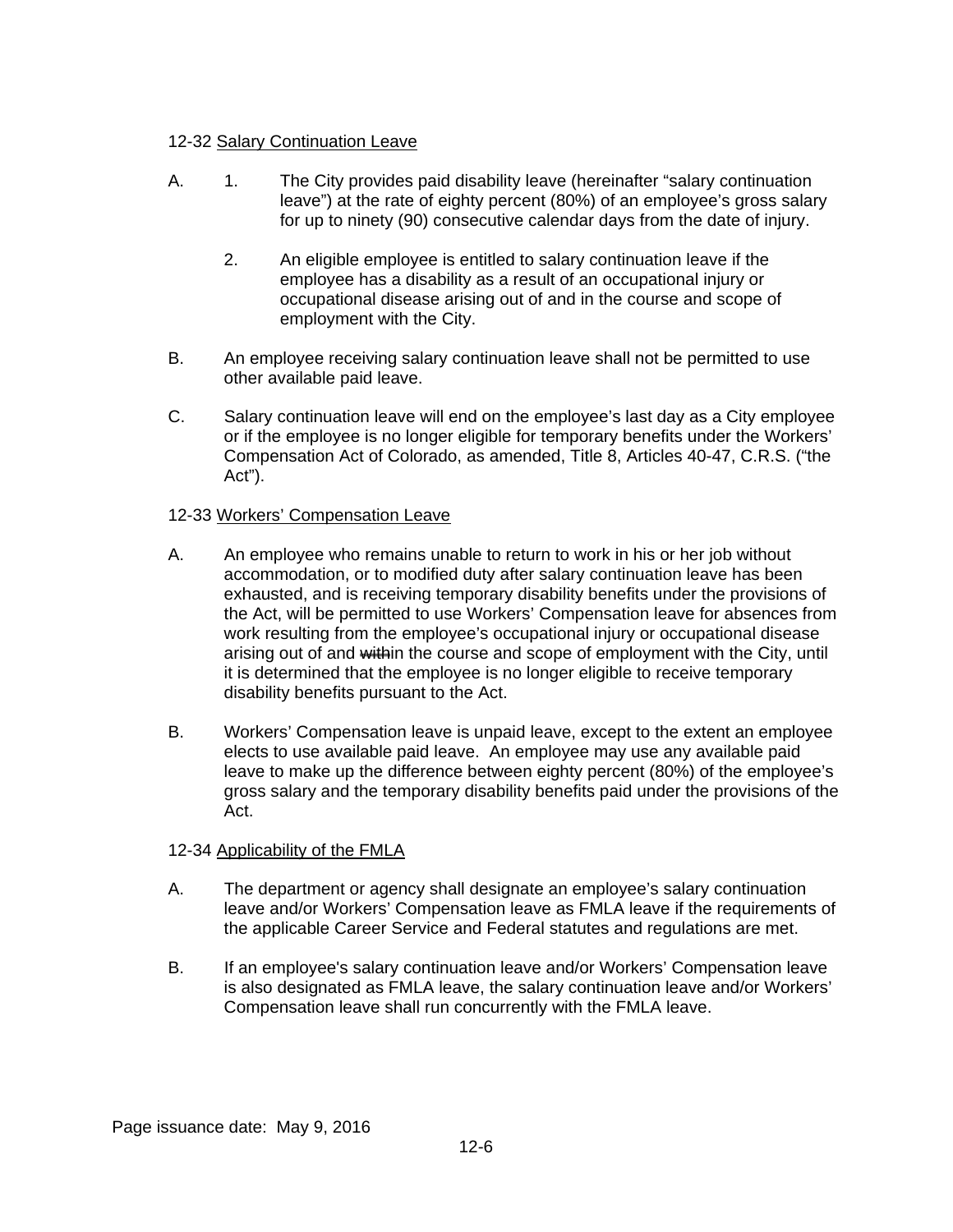## 12-32 Salary Continuation Leave

- A. 1. The City provides paid disability leave (hereinafter "salary continuation leave") at the rate of eighty percent (80%) of an employee's gross salary for up to ninety (90) consecutive calendar days from the date of injury.
	- 2. An eligible employee is entitled to salary continuation leave if the employee has a disability as a result of an occupational injury or occupational disease arising out of and in the course and scope of employment with the City.
- B. An employee receiving salary continuation leave shall not be permitted to use other available paid leave.
- C. Salary continuation leave will end on the employee's last day as a City employee or if the employee is no longer eligible for temporary benefits under the Workers' Compensation Act of Colorado, as amended, Title 8, Articles 40-47, C.R.S. ("the Act").

## 12-33 Workers' Compensation Leave

- A. An employee who remains unable to return to work in his or her job without accommodation, or to modified duty after salary continuation leave has been exhausted, and is receiving temporary disability benefits under the provisions of the Act, will be permitted to use Workers' Compensation leave for absences from work resulting from the employee's occupational injury or occupational disease arising out of and within the course and scope of employment with the City, until it is determined that the employee is no longer eligible to receive temporary disability benefits pursuant to the Act.
- B. Workers' Compensation leave is unpaid leave, except to the extent an employee elects to use available paid leave. An employee may use any available paid leave to make up the difference between eighty percent (80%) of the employee's gross salary and the temporary disability benefits paid under the provisions of the Act.

## 12-34 Applicability of the FMLA

- A. The department or agency shall designate an employee's salary continuation leave and/or Workers' Compensation leave as FMLA leave if the requirements of the applicable Career Service and Federal statutes and regulations are met.
- B. If an employee's salary continuation leave and/or Workers' Compensation leave is also designated as FMLA leave, the salary continuation leave and/or Workers' Compensation leave shall run concurrently with the FMLA leave.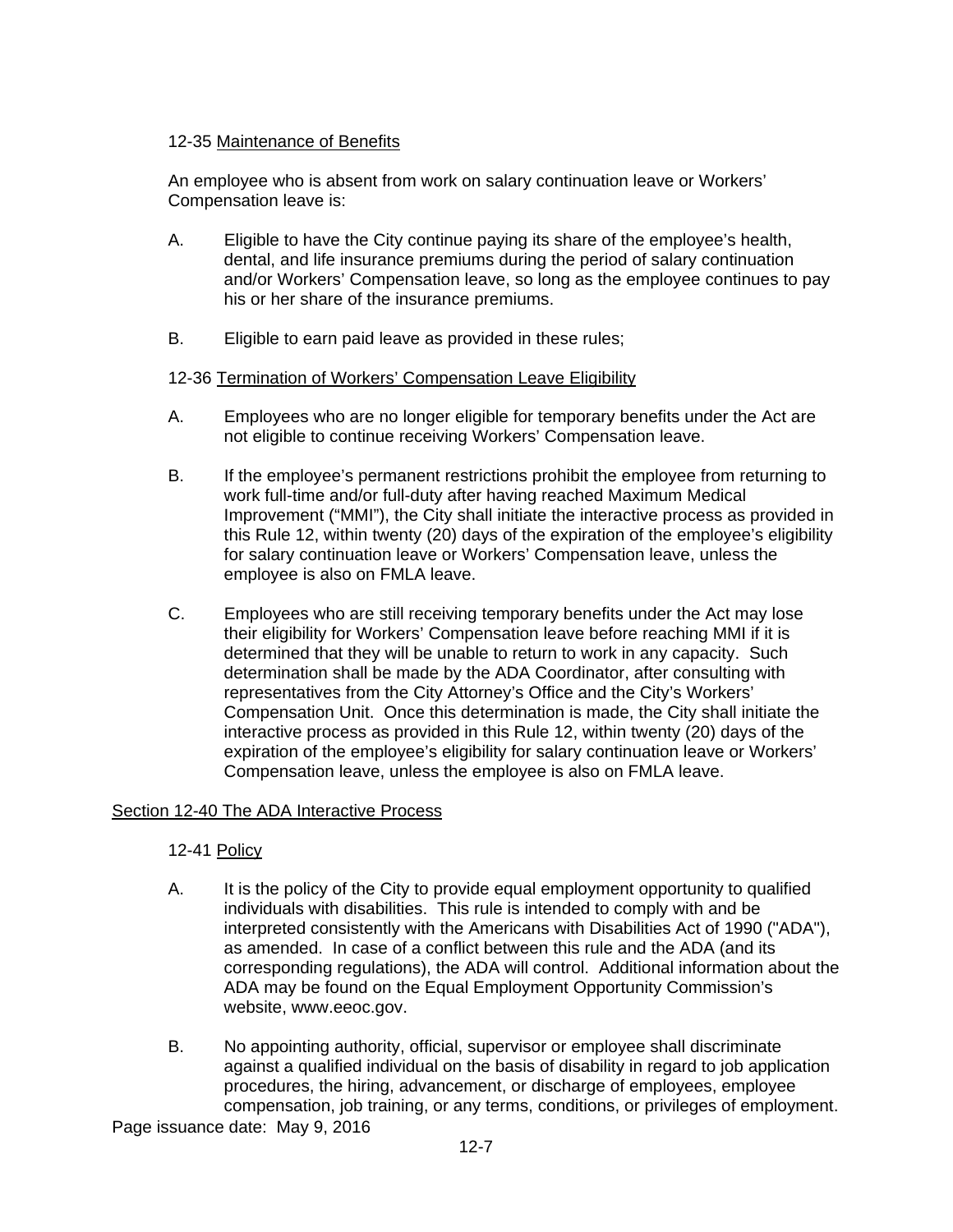## 12-35 Maintenance of Benefits

An employee who is absent from work on salary continuation leave or Workers' Compensation leave is:

- A. Eligible to have the City continue paying its share of the employee's health, dental, and life insurance premiums during the period of salary continuation and/or Workers' Compensation leave, so long as the employee continues to pay his or her share of the insurance premiums.
- B. Eligible to earn paid leave as provided in these rules;

## 12-36 Termination of Workers' Compensation Leave Eligibility

- A. Employees who are no longer eligible for temporary benefits under the Act are not eligible to continue receiving Workers' Compensation leave.
- B. If the employee's permanent restrictions prohibit the employee from returning to work full-time and/or full-duty after having reached Maximum Medical Improvement ("MMI"), the City shall initiate the interactive process as provided in this Rule 12, within twenty (20) days of the expiration of the employee's eligibility for salary continuation leave or Workers' Compensation leave, unless the employee is also on FMLA leave.
- C. Employees who are still receiving temporary benefits under the Act may lose their eligibility for Workers' Compensation leave before reaching MMI if it is determined that they will be unable to return to work in any capacity. Such determination shall be made by the ADA Coordinator, after consulting with representatives from the City Attorney's Office and the City's Workers' Compensation Unit. Once this determination is made, the City shall initiate the interactive process as provided in this Rule 12, within twenty (20) days of the expiration of the employee's eligibility for salary continuation leave or Workers' Compensation leave, unless the employee is also on FMLA leave.

## Section 12-40 The ADA Interactive Process

# 12-41 Policy

- A. It is the policy of the City to provide equal employment opportunity to qualified individuals with disabilities. This rule is intended to comply with and be interpreted consistently with the Americans with Disabilities Act of 1990 ("ADA"), as amended. In case of a conflict between this rule and the ADA (and its corresponding regulations), the ADA will control. Additional information about the ADA may be found on the Equal Employment Opportunity Commission's website, www.eeoc.gov.
- B. No appointing authority, official, supervisor or employee shall discriminate against a qualified individual on the basis of disability in regard to job application procedures, the hiring, advancement, or discharge of employees, employee compensation, job training, or any terms, conditions, or privileges of employment.

Page issuance date: May 9, 2016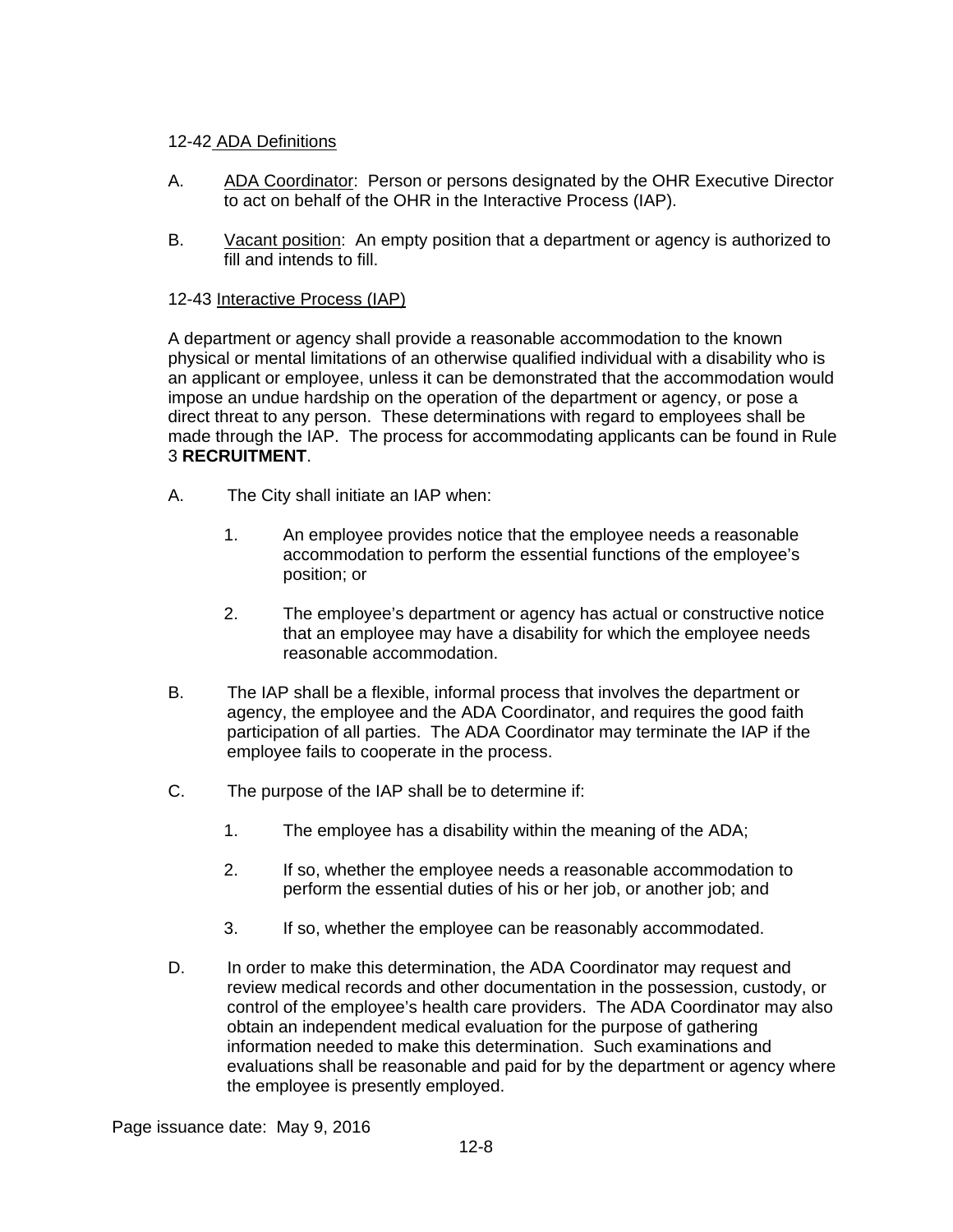## 12-42 ADA Definitions

- A. ADA Coordinator: Person or persons designated by the OHR Executive Director to act on behalf of the OHR in the Interactive Process (IAP).
- B. Vacant position: An empty position that a department or agency is authorized to fill and intends to fill.

#### 12-43 Interactive Process (IAP)

A department or agency shall provide a reasonable accommodation to the known physical or mental limitations of an otherwise qualified individual with a disability who is an applicant or employee, unless it can be demonstrated that the accommodation would impose an undue hardship on the operation of the department or agency, or pose a direct threat to any person. These determinations with regard to employees shall be made through the IAP. The process for accommodating applicants can be found in Rule 3 **RECRUITMENT**.

- A. The City shall initiate an IAP when:
	- 1. An employee provides notice that the employee needs a reasonable accommodation to perform the essential functions of the employee's position; or
	- 2. The employee's department or agency has actual or constructive notice that an employee may have a disability for which the employee needs reasonable accommodation.
- B. The IAP shall be a flexible, informal process that involves the department or agency, the employee and the ADA Coordinator, and requires the good faith participation of all parties. The ADA Coordinator may terminate the IAP if the employee fails to cooperate in the process.
- C. The purpose of the IAP shall be to determine if:
	- 1. The employee has a disability within the meaning of the ADA;
	- 2. If so, whether the employee needs a reasonable accommodation to perform the essential duties of his or her job, or another job; and
	- 3. If so, whether the employee can be reasonably accommodated.
- D. In order to make this determination, the ADA Coordinator may request and review medical records and other documentation in the possession, custody, or control of the employee's health care providers. The ADA Coordinator may also obtain an independent medical evaluation for the purpose of gathering information needed to make this determination. Such examinations and evaluations shall be reasonable and paid for by the department or agency where the employee is presently employed.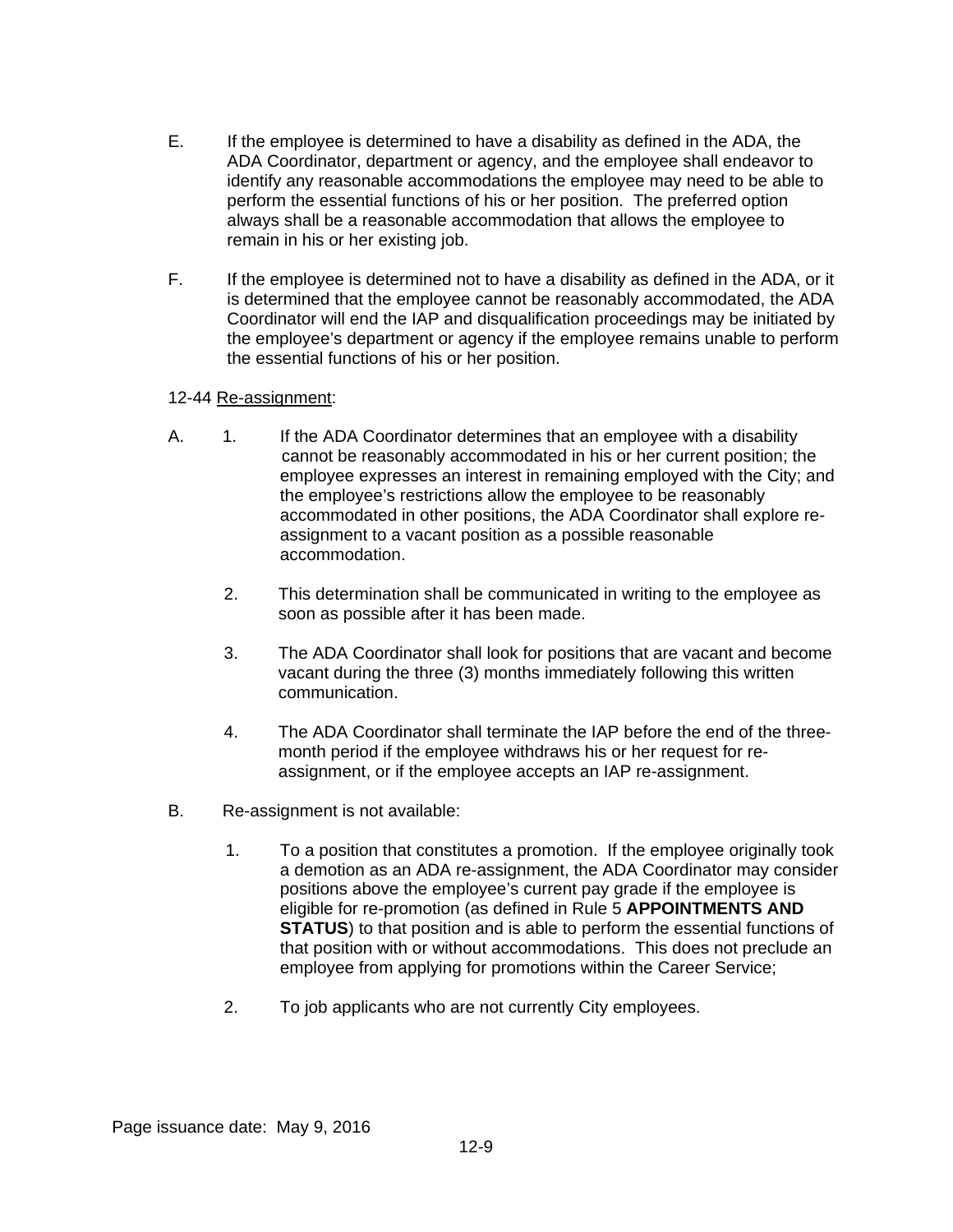- E. If the employee is determined to have a disability as defined in the ADA, the ADA Coordinator, department or agency, and the employee shall endeavor to identify any reasonable accommodations the employee may need to be able to perform the essential functions of his or her position. The preferred option always shall be a reasonable accommodation that allows the employee to remain in his or her existing job.
- F. If the employee is determined not to have a disability as defined in the ADA, or it is determined that the employee cannot be reasonably accommodated, the ADA Coordinator will end the IAP and disqualification proceedings may be initiated by the employee's department or agency if the employee remains unable to perform the essential functions of his or her position.

#### 12-44 Re-assignment:

- A. 1. If the ADA Coordinator determines that an employee with a disability cannot be reasonably accommodated in his or her current position; the employee expresses an interest in remaining employed with the City; and the employee's restrictions allow the employee to be reasonably accommodated in other positions, the ADA Coordinator shall explore reassignment to a vacant position as a possible reasonable accommodation.
	- 2. This determination shall be communicated in writing to the employee as soon as possible after it has been made.
	- 3. The ADA Coordinator shall look for positions that are vacant and become vacant during the three (3) months immediately following this written communication.
	- 4. The ADA Coordinator shall terminate the IAP before the end of the threemonth period if the employee withdraws his or her request for reassignment, or if the employee accepts an IAP re-assignment.
- B. Re-assignment is not available:
	- 1. To a position that constitutes a promotion. If the employee originally took a demotion as an ADA re-assignment, the ADA Coordinator may consider positions above the employee's current pay grade if the employee is eligible for re-promotion (as defined in Rule 5 **APPOINTMENTS AND STATUS**) to that position and is able to perform the essential functions of that position with or without accommodations. This does not preclude an employee from applying for promotions within the Career Service;
	- 2. To job applicants who are not currently City employees.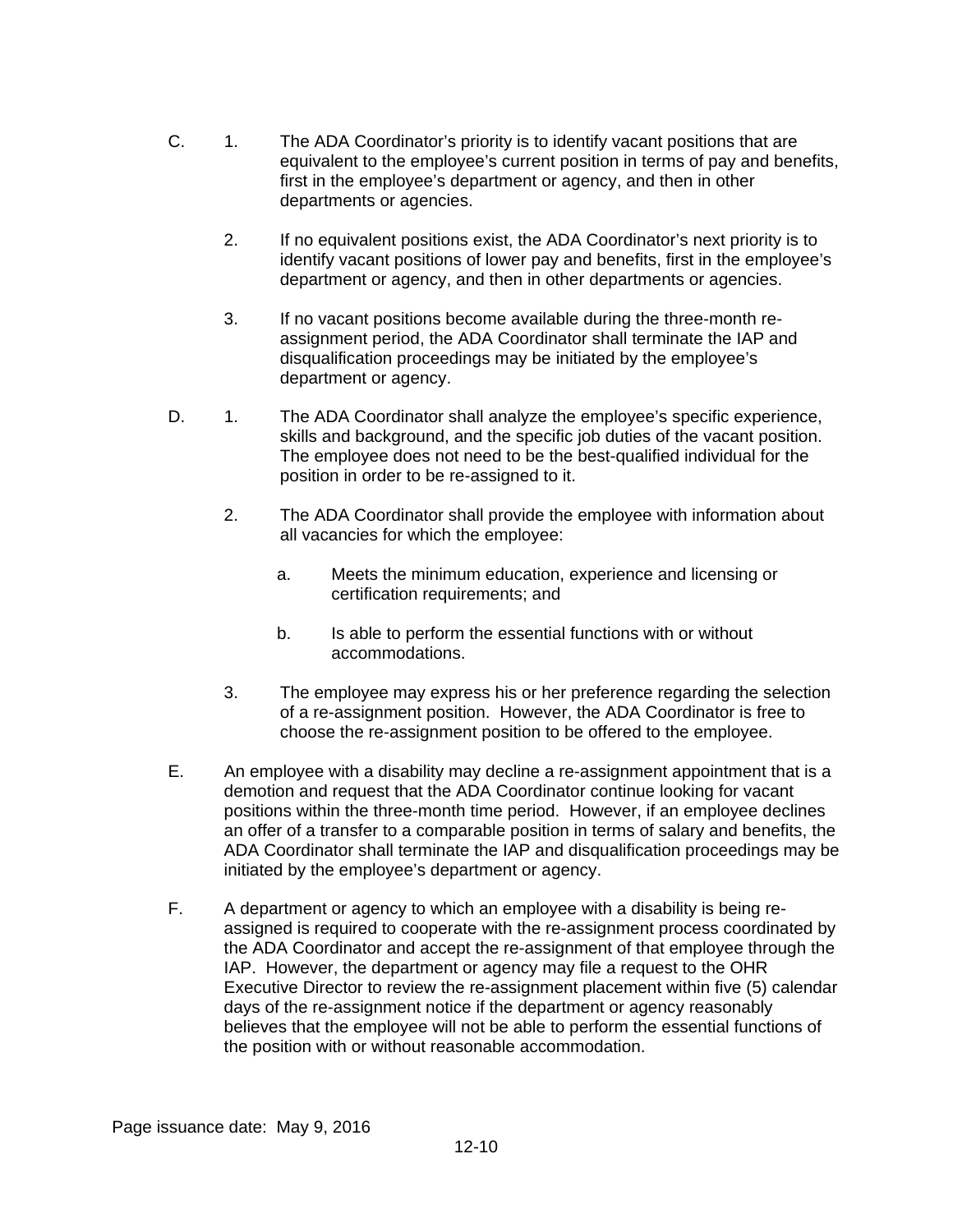- C. 1. The ADA Coordinator's priority is to identify vacant positions that are equivalent to the employee's current position in terms of pay and benefits, first in the employee's department or agency, and then in other departments or agencies.
	- 2. If no equivalent positions exist, the ADA Coordinator's next priority is to identify vacant positions of lower pay and benefits, first in the employee's department or agency, and then in other departments or agencies.
	- 3. If no vacant positions become available during the three-month reassignment period, the ADA Coordinator shall terminate the IAP and disqualification proceedings may be initiated by the employee's department or agency.
- D. 1. The ADA Coordinator shall analyze the employee's specific experience, skills and background, and the specific job duties of the vacant position. The employee does not need to be the best-qualified individual for the position in order to be re-assigned to it.
	- 2. The ADA Coordinator shall provide the employee with information about all vacancies for which the employee:
		- a. Meets the minimum education, experience and licensing or certification requirements; and
		- b. Is able to perform the essential functions with or without accommodations.
	- 3. The employee may express his or her preference regarding the selection of a re-assignment position. However, the ADA Coordinator is free to choose the re-assignment position to be offered to the employee.
- E. An employee with a disability may decline a re-assignment appointment that is a demotion and request that the ADA Coordinator continue looking for vacant positions within the three-month time period. However, if an employee declines an offer of a transfer to a comparable position in terms of salary and benefits, the ADA Coordinator shall terminate the IAP and disqualification proceedings may be initiated by the employee's department or agency.
- F. A department or agency to which an employee with a disability is being reassigned is required to cooperate with the re-assignment process coordinated by the ADA Coordinator and accept the re-assignment of that employee through the IAP. However, the department or agency may file a request to the OHR Executive Director to review the re-assignment placement within five (5) calendar days of the re-assignment notice if the department or agency reasonably believes that the employee will not be able to perform the essential functions of the position with or without reasonable accommodation.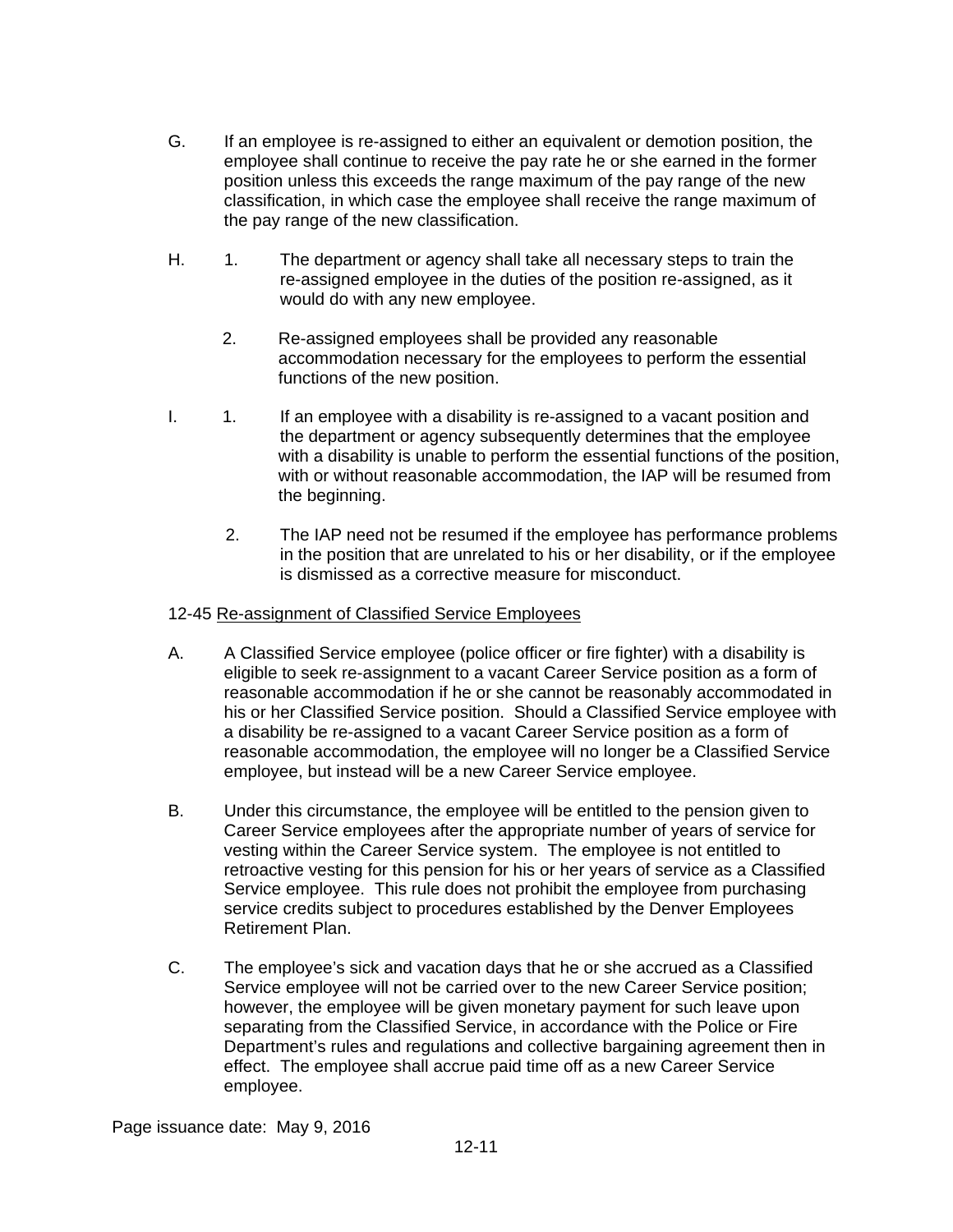- G. If an employee is re-assigned to either an equivalent or demotion position, the employee shall continue to receive the pay rate he or she earned in the former position unless this exceeds the range maximum of the pay range of the new classification, in which case the employee shall receive the range maximum of the pay range of the new classification.
- H. 1. The department or agency shall take all necessary steps to train the re-assigned employee in the duties of the position re-assigned, as it would do with any new employee.
	- 2. Re-assigned employees shall be provided any reasonable accommodation necessary for the employees to perform the essential functions of the new position.
- I. 1. If an employee with a disability is re-assigned to a vacant position and the department or agency subsequently determines that the employee with a disability is unable to perform the essential functions of the position, with or without reasonable accommodation, the IAP will be resumed from the beginning.
	- 2. The IAP need not be resumed if the employee has performance problems in the position that are unrelated to his or her disability, or if the employee is dismissed as a corrective measure for misconduct.

#### 12-45 Re-assignment of Classified Service Employees

- A. A Classified Service employee (police officer or fire fighter) with a disability is eligible to seek re-assignment to a vacant Career Service position as a form of reasonable accommodation if he or she cannot be reasonably accommodated in his or her Classified Service position. Should a Classified Service employee with a disability be re-assigned to a vacant Career Service position as a form of reasonable accommodation, the employee will no longer be a Classified Service employee, but instead will be a new Career Service employee.
- B. Under this circumstance, the employee will be entitled to the pension given to Career Service employees after the appropriate number of years of service for vesting within the Career Service system. The employee is not entitled to retroactive vesting for this pension for his or her years of service as a Classified Service employee. This rule does not prohibit the employee from purchasing service credits subject to procedures established by the Denver Employees Retirement Plan.
- C. The employee's sick and vacation days that he or she accrued as a Classified Service employee will not be carried over to the new Career Service position; however, the employee will be given monetary payment for such leave upon separating from the Classified Service, in accordance with the Police or Fire Department's rules and regulations and collective bargaining agreement then in effect. The employee shall accrue paid time off as a new Career Service employee.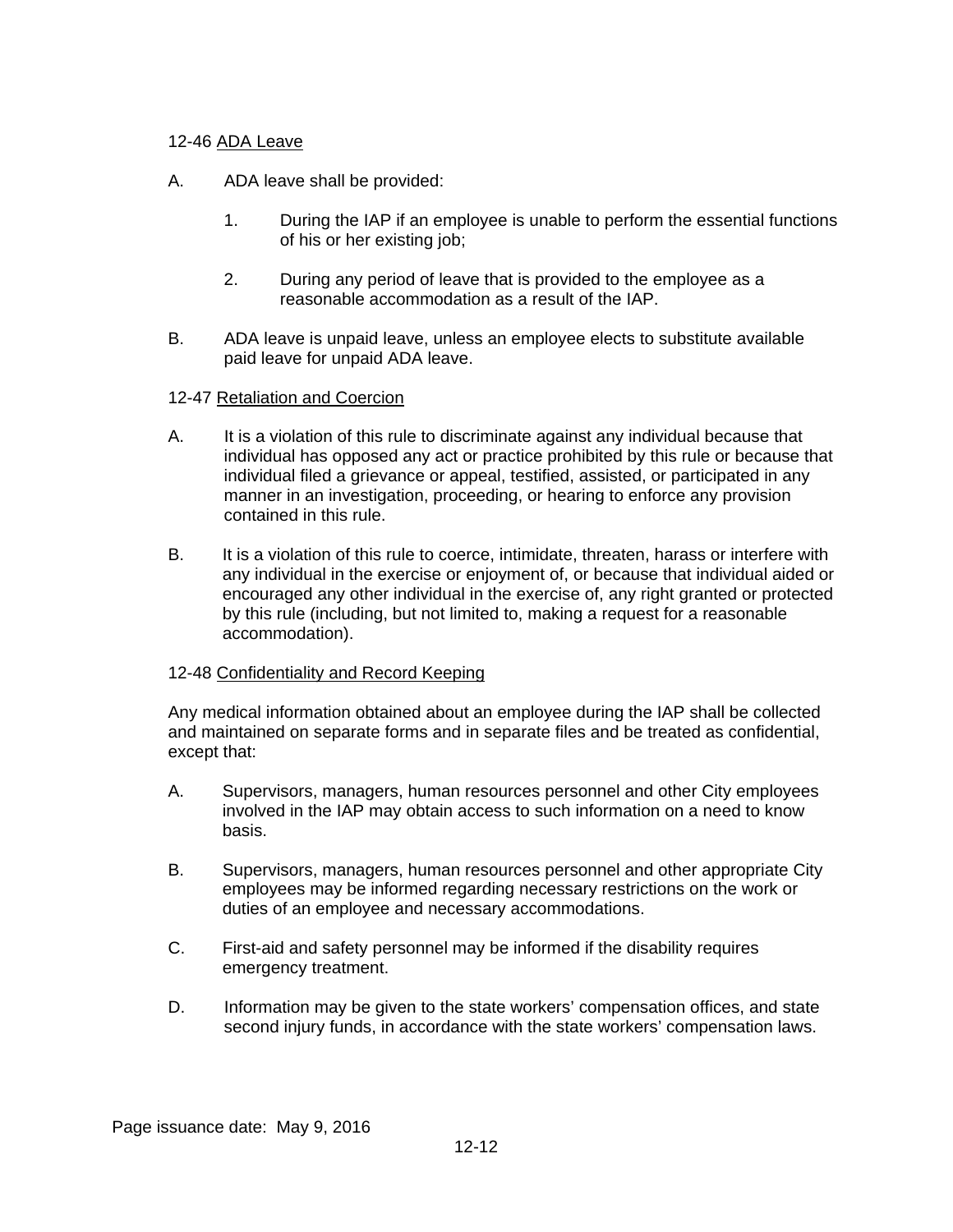## 12-46 ADA Leave

- A. ADA leave shall be provided:
	- 1. During the IAP if an employee is unable to perform the essential functions of his or her existing job;
	- 2. During any period of leave that is provided to the employee as a reasonable accommodation as a result of the IAP.
- B. ADA leave is unpaid leave, unless an employee elects to substitute available paid leave for unpaid ADA leave.

## 12-47 Retaliation and Coercion

- A. It is a violation of this rule to discriminate against any individual because that individual has opposed any act or practice prohibited by this rule or because that individual filed a grievance or appeal, testified, assisted, or participated in any manner in an investigation, proceeding, or hearing to enforce any provision contained in this rule.
- B. It is a violation of this rule to coerce, intimidate, threaten, harass or interfere with any individual in the exercise or enjoyment of, or because that individual aided or encouraged any other individual in the exercise of, any right granted or protected by this rule (including, but not limited to, making a request for a reasonable accommodation).

## 12-48 Confidentiality and Record Keeping

Any medical information obtained about an employee during the IAP shall be collected and maintained on separate forms and in separate files and be treated as confidential, except that:

- A. Supervisors, managers, human resources personnel and other City employees involved in the IAP may obtain access to such information on a need to know basis.
- B. Supervisors, managers, human resources personnel and other appropriate City employees may be informed regarding necessary restrictions on the work or duties of an employee and necessary accommodations.
- C. First-aid and safety personnel may be informed if the disability requires emergency treatment.
- D. Information may be given to the state workers' compensation offices, and state second injury funds, in accordance with the state workers' compensation laws.